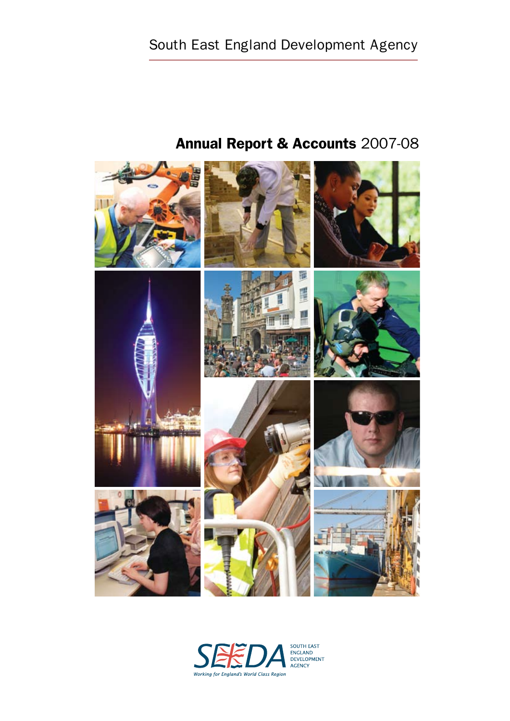

# Annual Report & Accounts 2007-08

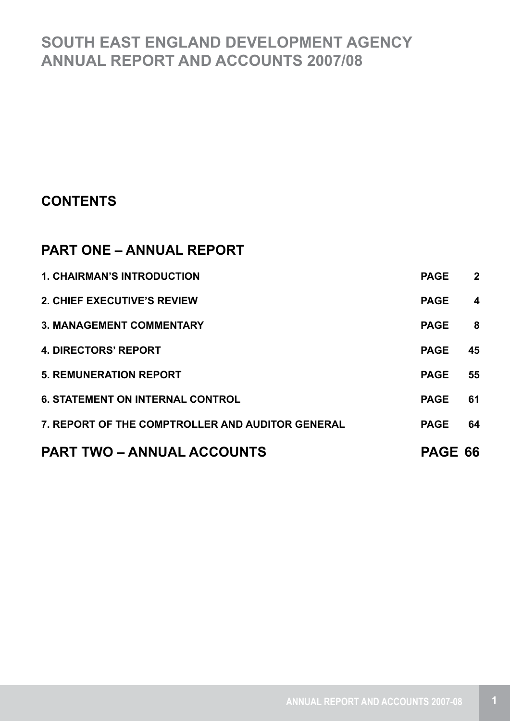## **SOUTH EAST ENGLAND DEVELOPMENT AGENCY ANNUAL REPORT AND ACCOUNTS 2007/08**

## **CONTENTS**

## **PART ONE – ANNUAL REPORT**

| <b>PART TWO – ANNUAL ACCOUNTS</b>                | PAGE 66     |                         |
|--------------------------------------------------|-------------|-------------------------|
| 7. REPORT OF THE COMPTROLLER AND AUDITOR GENERAL | <b>PAGE</b> | 64                      |
| <b>6. STATEMENT ON INTERNAL CONTROL</b>          | <b>PAGE</b> | 61                      |
| <b>5. REMUNERATION REPORT</b>                    | <b>PAGE</b> | 55                      |
| <b>4. DIRECTORS' REPORT</b>                      | <b>PAGE</b> | 45                      |
| <b>3. MANAGEMENT COMMENTARY</b>                  | <b>PAGE</b> | 8                       |
| <b>2. CHIEF EXECUTIVE'S REVIEW</b>               | <b>PAGE</b> | $\overline{\mathbf{4}}$ |
| <b>1. CHAIRMAN'S INTRODUCTION</b>                | <b>PAGE</b> | $\overline{2}$          |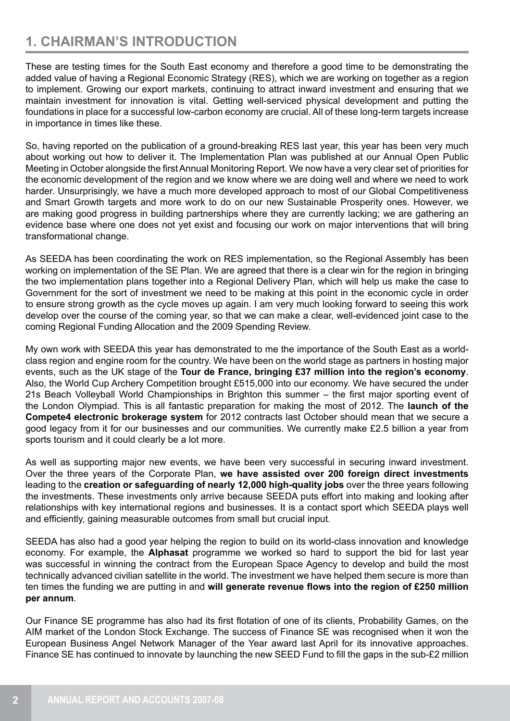## **1. CHAIRMAN'S INTRODUCTION**

These are testing times for the South East economy and therefore a good time to be demonstrating the added value of having a Regional Economic Strategy (RES), which we are working on together as a region to implement. Growing our export markets, continuing to attract inward investment and ensuring that we maintain investment for innovation is vital. Getting well-serviced physical development and putting the foundations in place for a successful low-carbon economy are crucial. All of these long-term targets increase in importance in times like these.

So, having reported on the publication of a ground-breaking RES last year, this year has been very much about working out how to deliver it. The Implementation Plan was published at our Annual Open Public Meeting in October alongside the first Annual Monitoring Report. We now have a very clear set of priorities for the economic development of the region and we know where we are doing well and where we need to work harder. Unsurprisingly, we have a much more developed approach to most of our Global Competitiveness and Smart Growth targets and more work to do on our new Sustainable Prosperity ones. However, we are making good progress in building partnerships where they are currently lacking; we are gathering an evidence base where one does not yet exist and focusing our work on major interventions that will bring transformational change.

As SEEDA has been coordinating the work on RES implementation, so the Regional Assembly has been working on implementation of the SE Plan. We are agreed that there is a clear win for the region in bringing the two implementation plans together into a Regional Delivery Plan, which will help us make the case to Government for the sort of investment we need to be making at this point in the economic cycle in order to ensure strong growth as the cycle moves up again. I am very much looking forward to seeing this work develop over the course of the coming year, so that we can make a clear, well-evidenced joint case to the coming Regional Funding Allocation and the 2009 Spending Review.

My own work with SEEDA this year has demonstrated to me the importance of the South East as a worldclass region and engine room for the country. We have been on the world stage as partners in hosting major events, such as the UK stage of the **Tour de France, bringing £37 million into the region's economy**. Also, the World Cup Archery Competition brought £515,000 into our economy. We have secured the under 21s Beach Volleyball World Championships in Brighton this summer – the first major sporting event of the London Olympiad. This is all fantastic preparation for making the most of 2012. The **launch of the Compete4 electronic brokerage system** for 2012 contracts last October should mean that we secure a good legacy from it for our businesses and our communities. We currently make £2.5 billion a year from sports tourism and it could clearly be a lot more.

As well as supporting major new events, we have been very successful in securing inward investment. Over the three years of the Corporate Plan, **we have assisted over 200 foreign direct investments** leading to the **creation or safeguarding of nearly 12,000 high-quality jobs** over the three years following the investments. These investments only arrive because SEEDA puts effort into making and looking after relationships with key international regions and businesses. It is a contact sport which SEEDA plays well and efficiently, gaining measurable outcomes from small but crucial input.

SEEDA has also had a good year helping the region to build on its world-class innovation and knowledge economy. For example, the **Alphasat** programme we worked so hard to support the bid for last year was successful in winning the contract from the European Space Agency to develop and build the most technically advanced civilian satellite in the world. The investment we have helped them secure is more than ten times the funding we are putting in and **will generate revenue flows into the region of £250 million per annum**.

Our Finance SE programme has also had its first flotation of one of its clients, Probability Games, on the AIM market of the London Stock Exchange. The success of Finance SE was recognised when it won the European Business Angel Network Manager of the Year award last April for its innovative approaches. Finance SE has continued to innovate by launching the new SEED Fund to fill the gaps in the sub-£2 million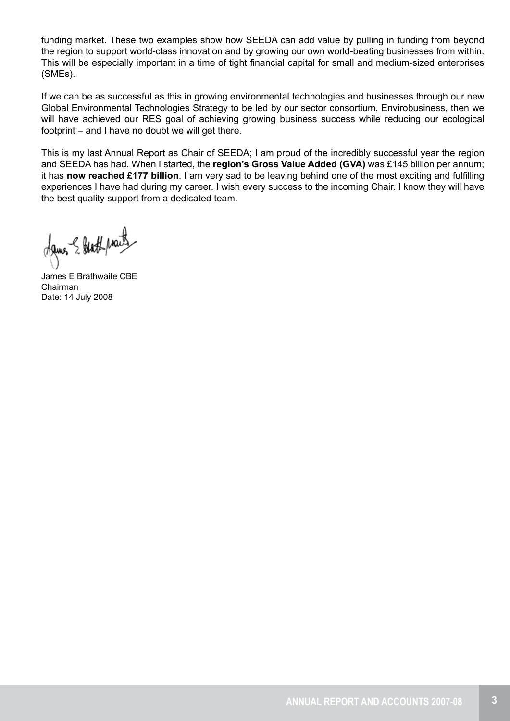funding market. These two examples show how SEEDA can add value by pulling in funding from beyond the region to support world-class innovation and by growing our own world-beating businesses from within. This will be especially important in a time of tight financial capital for small and medium-sized enterprises (SMEs).

If we can be as successful as this in growing environmental technologies and businesses through our new Global Environmental Technologies Strategy to be led by our sector consortium, Envirobusiness, then we will have achieved our RES goal of achieving growing business success while reducing our ecological footprint – and I have no doubt we will get there.

This is my last Annual Report as Chair of SEEDA; I am proud of the incredibly successful year the region and SEEDA has had. When I started, the **region's Gross Value Added (GVA)** was £145 billion per annum; it has **now reached £177 billion**. I am very sad to be leaving behind one of the most exciting and fulfilling experiences I have had during my career. I wish every success to the incoming Chair. I know they will have the best quality support from a dedicated team.

dames & blatt practs

James E Brathwaite CBE Chairman Date: 14 July 2008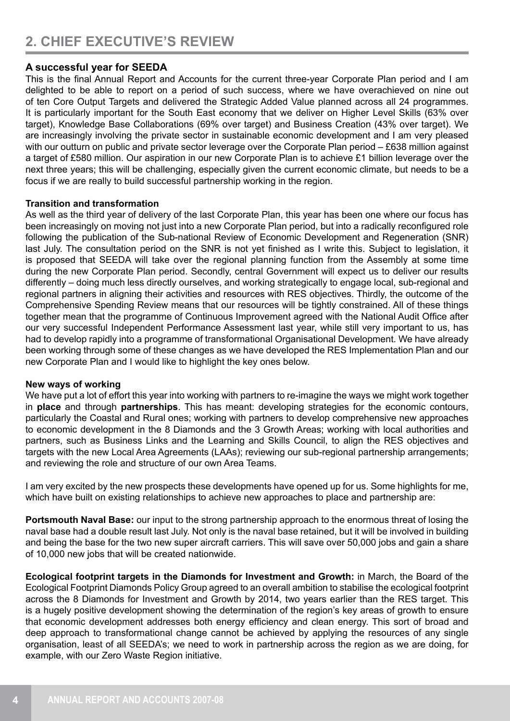#### **A successful year for SEEDA**

This is the final Annual Report and Accounts for the current three-year Corporate Plan period and I am delighted to be able to report on a period of such success, where we have overachieved on nine out of ten Core Output Targets and delivered the Strategic Added Value planned across all 24 programmes. It is particularly important for the South East economy that we deliver on Higher Level Skills (63% over target), Knowledge Base Collaborations (69% over target) and Business Creation (43% over target). We are increasingly involving the private sector in sustainable economic development and I am very pleased with our outturn on public and private sector leverage over the Corporate Plan period – £638 million against a target of £580 million. Our aspiration in our new Corporate Plan is to achieve £1 billion leverage over the next three years; this will be challenging, especially given the current economic climate, but needs to be a focus if we are really to build successful partnership working in the region.

#### **Transition and transformation**

As well as the third year of delivery of the last Corporate Plan, this year has been one where our focus has been increasingly on moving not just into a new Corporate Plan period, but into a radically reconfigured role following the publication of the Sub-national Review of Economic Development and Regeneration (SNR) last July. The consultation period on the SNR is not yet finished as I write this. Subject to legislation, it is proposed that SEEDA will take over the regional planning function from the Assembly at some time during the new Corporate Plan period. Secondly, central Government will expect us to deliver our results differently – doing much less directly ourselves, and working strategically to engage local, sub-regional and regional partners in aligning their activities and resources with RES objectives. Thirdly, the outcome of the Comprehensive Spending Review means that our resources will be tightly constrained. All of these things together mean that the programme of Continuous Improvement agreed with the National Audit Office after our very successful Independent Performance Assessment last year, while still very important to us, has had to develop rapidly into a programme of transformational Organisational Development. We have already been working through some of these changes as we have developed the RES Implementation Plan and our new Corporate Plan and I would like to highlight the key ones below.

#### **New ways of working**

We have put a lot of effort this year into working with partners to re-imagine the ways we might work together in **place** and through **partnerships**. This has meant: developing strategies for the economic contours, particularly the Coastal and Rural ones; working with partners to develop comprehensive new approaches to economic development in the 8 Diamonds and the 3 Growth Areas; working with local authorities and partners, such as Business Links and the Learning and Skills Council, to align the RES objectives and targets with the new Local Area Agreements (LAAs); reviewing our sub-regional partnership arrangements; and reviewing the role and structure of our own Area Teams.

I am very excited by the new prospects these developments have opened up for us. Some highlights for me, which have built on existing relationships to achieve new approaches to place and partnership are:

**Portsmouth Naval Base:** our input to the strong partnership approach to the enormous threat of losing the naval base had a double result last July. Not only is the naval base retained, but it will be involved in building and being the base for the two new super aircraft carriers. This will save over 50,000 jobs and gain a share of 10,000 new jobs that will be created nationwide.

**Ecological footprint targets in the Diamonds for Investment and Growth:** in March, the Board of the Ecological Footprint Diamonds Policy Group agreed to an overall ambition to stabilise the ecological footprint across the 8 Diamonds for Investment and Growth by 2014, two years earlier than the RES target. This is a hugely positive development showing the determination of the region's key areas of growth to ensure that economic development addresses both energy efficiency and clean energy. This sort of broad and deep approach to transformational change cannot be achieved by applying the resources of any single organisation, least of all SEEDA's; we need to work in partnership across the region as we are doing, for example, with our Zero Waste Region initiative.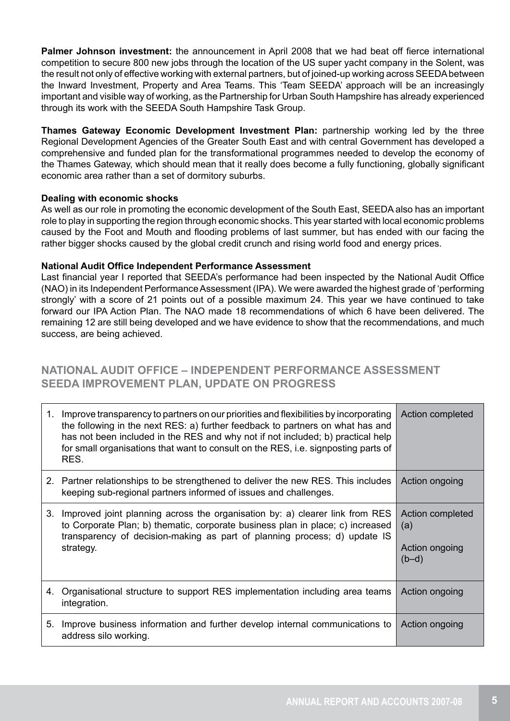**Palmer Johnson investment:** the announcement in April 2008 that we had beat off fierce international competition to secure 800 new jobs through the location of the US super yacht company in the Solent, was the result not only of effective working with external partners, but of joined-up working across SEEDA between the Inward Investment, Property and Area Teams. This 'Team SEEDA' approach will be an increasingly important and visible way of working, as the Partnership for Urban South Hampshire has already experienced through its work with the SEEDA South Hampshire Task Group.

**Thames Gateway Economic Development Investment Plan:** partnership working led by the three Regional Development Agencies of the Greater South East and with central Government has developed a comprehensive and funded plan for the transformational programmes needed to develop the economy of the Thames Gateway, which should mean that it really does become a fully functioning, globally significant economic area rather than a set of dormitory suburbs.

#### **Dealing with economic shocks**

As well as our role in promoting the economic development of the South East, SEEDA also has an important role to play in supporting the region through economic shocks. This year started with local economic problems caused by the Foot and Mouth and flooding problems of last summer, but has ended with our facing the rather bigger shocks caused by the global credit crunch and rising world food and energy prices.

#### **National Audit Office Independent Performance Assessment**

Last financial year I reported that SEEDA's performance had been inspected by the National Audit Office (NAO) in its Independent Performance Assessment (IPA). We were awarded the highest grade of 'performing strongly' with a score of 21 points out of a possible maximum 24. This year we have continued to take forward our IPA Action Plan. The NAO made 18 recommendations of which 6 have been delivered. The remaining 12 are still being developed and we have evidence to show that the recommendations, and much success, are being achieved.

### **NATIONAL AUDIT OFFICE – INDEPENDENT PERFORMANCE ASSESSMENT SEEDA IMPROVEMENT PLAN, UPDATE ON PROGRESS**

| 1. | Improve transparency to partners on our priorities and flexibilities by incorporating<br>the following in the next RES: a) further feedback to partners on what has and<br>has not been included in the RES and why not if not included; b) practical help<br>for small organisations that want to consult on the RES, i.e. signposting parts of<br>RES. | Action completed                                     |
|----|----------------------------------------------------------------------------------------------------------------------------------------------------------------------------------------------------------------------------------------------------------------------------------------------------------------------------------------------------------|------------------------------------------------------|
|    | 2. Partner relationships to be strengthened to deliver the new RES. This includes<br>keeping sub-regional partners informed of issues and challenges.                                                                                                                                                                                                    | Action ongoing                                       |
| 3. | Improved joint planning across the organisation by: a) clearer link from RES<br>to Corporate Plan; b) thematic, corporate business plan in place; c) increased<br>transparency of decision-making as part of planning process; d) update IS<br>strategy.                                                                                                 | Action completed<br>(a)<br>Action ongoing<br>$(b-d)$ |
|    | 4. Organisational structure to support RES implementation including area teams<br>integration.                                                                                                                                                                                                                                                           | Action ongoing                                       |
| 5. | Improve business information and further develop internal communications to<br>address silo working.                                                                                                                                                                                                                                                     | Action ongoing                                       |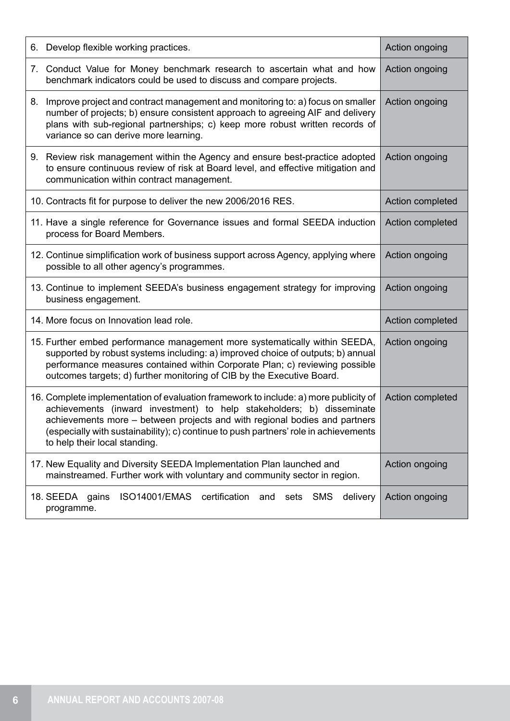| 6. Develop flexible working practices.                                                                                                                                                                                                                                                                                                                               | Action ongoing   |
|----------------------------------------------------------------------------------------------------------------------------------------------------------------------------------------------------------------------------------------------------------------------------------------------------------------------------------------------------------------------|------------------|
| 7. Conduct Value for Money benchmark research to ascertain what and how<br>benchmark indicators could be used to discuss and compare projects.                                                                                                                                                                                                                       | Action ongoing   |
| 8. Improve project and contract management and monitoring to: a) focus on smaller<br>number of projects; b) ensure consistent approach to agreeing AIF and delivery<br>plans with sub-regional partnerships; c) keep more robust written records of<br>variance so can derive more learning.                                                                         | Action ongoing   |
| 9. Review risk management within the Agency and ensure best-practice adopted<br>to ensure continuous review of risk at Board level, and effective mitigation and<br>communication within contract management.                                                                                                                                                        | Action ongoing   |
| 10. Contracts fit for purpose to deliver the new 2006/2016 RES.                                                                                                                                                                                                                                                                                                      | Action completed |
| 11. Have a single reference for Governance issues and formal SEEDA induction<br>process for Board Members.                                                                                                                                                                                                                                                           | Action completed |
| 12. Continue simplification work of business support across Agency, applying where<br>possible to all other agency's programmes.                                                                                                                                                                                                                                     | Action ongoing   |
| 13. Continue to implement SEEDA's business engagement strategy for improving<br>business engagement.                                                                                                                                                                                                                                                                 | Action ongoing   |
| 14. More focus on Innovation lead role.                                                                                                                                                                                                                                                                                                                              | Action completed |
| 15. Further embed performance management more systematically within SEEDA,<br>supported by robust systems including: a) improved choice of outputs; b) annual<br>performance measures contained within Corporate Plan; c) reviewing possible<br>outcomes targets; d) further monitoring of CIB by the Executive Board.                                               | Action ongoing   |
| 16. Complete implementation of evaluation framework to include: a) more publicity of<br>achievements (inward investment) to help stakeholders; b) disseminate<br>achievements more - between projects and with regional bodies and partners<br>(especially with sustainability); c) continue to push partners' role in achievements<br>to help their local standing. | Action completed |
| 17. New Equality and Diversity SEEDA Implementation Plan launched and<br>mainstreamed. Further work with voluntary and community sector in region.                                                                                                                                                                                                                   | Action ongoing   |
| certification<br><b>ISO14001/EMAS</b><br><b>SMS</b><br>delivery<br>18. SEEDA gains<br>and<br>sets<br>programme.                                                                                                                                                                                                                                                      | Action ongoing   |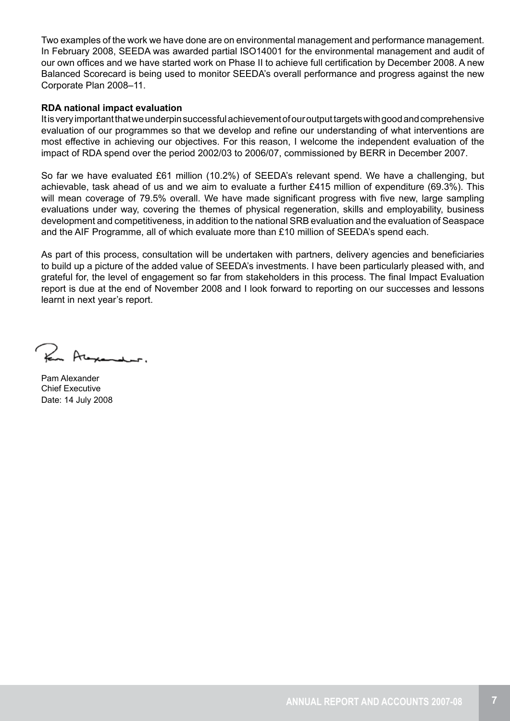Two examples of the work we have done are on environmental management and performance management. In February 2008, SEEDA was awarded partial ISO14001 for the environmental management and audit of our own offices and we have started work on Phase II to achieve full certification by December 2008. A new Balanced Scorecard is being used to monitor SEEDA's overall performance and progress against the new Corporate Plan 2008–11.

#### **RDA national impact evaluation**

It is very important that we underpin successful achievement of our output targets with good and comprehensive evaluation of our programmes so that we develop and refine our understanding of what interventions are most effective in achieving our objectives. For this reason, I welcome the independent evaluation of the impact of RDA spend over the period 2002/03 to 2006/07, commissioned by BERR in December 2007.

So far we have evaluated £61 million (10.2%) of SEEDA's relevant spend. We have a challenging, but achievable, task ahead of us and we aim to evaluate a further £415 million of expenditure (69.3%). This will mean coverage of 79.5% overall. We have made significant progress with five new, large sampling evaluations under way, covering the themes of physical regeneration, skills and employability, business development and competitiveness, in addition to the national SRB evaluation and the evaluation of Seaspace and the AIF Programme, all of which evaluate more than £10 million of SEEDA's spend each.

As part of this process, consultation will be undertaken with partners, delivery agencies and beneficiaries to build up a picture of the added value of SEEDA's investments. I have been particularly pleased with, and grateful for, the level of engagement so far from stakeholders in this process. The final Impact Evaluation report is due at the end of November 2008 and I look forward to reporting on our successes and lessons learnt in next year's report.

For Alexander.

Pam Alexander Chief Executive Date: 14 July 2008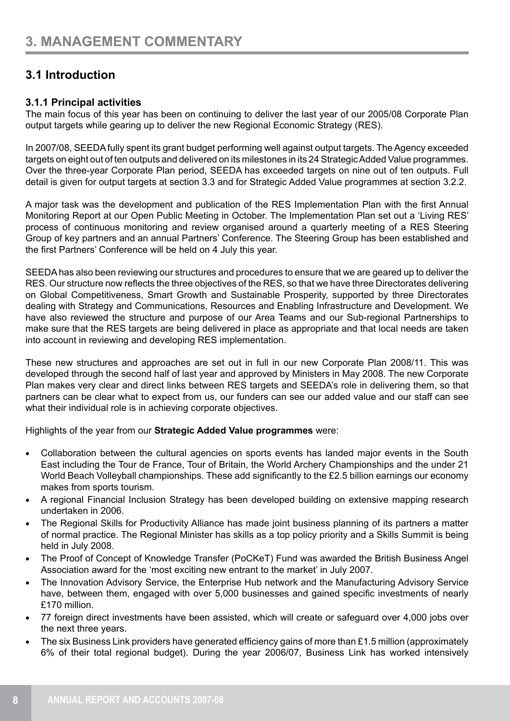## **3.1 Introduction**

#### **3.1.1 Principal activities**

The main focus of this year has been on continuing to deliver the last year of our 2005/08 Corporate Plan output targets while gearing up to deliver the new Regional Economic Strategy (RES).

In 2007/08, SEEDA fully spent its grant budget performing well against output targets. The Agency exceeded targets on eight out of ten outputs and delivered on its milestones in its 24 Strategic Added Value programmes. Over the three-year Corporate Plan period, SEEDA has exceeded targets on nine out of ten outputs. Full detail is given for output targets at section 3.3 and for Strategic Added Value programmes at section 3.2.2.

A major task was the development and publication of the RES Implementation Plan with the first Annual Monitoring Report at our Open Public Meeting in October. The Implementation Plan set out a 'Living RES' process of continuous monitoring and review organised around a quarterly meeting of a RES Steering Group of key partners and an annual Partners' Conference. The Steering Group has been established and the first Partners' Conference will be held on 4 July this year.

SEEDA has also been reviewing our structures and procedures to ensure that we are geared up to deliver the RES. Our structure now reflects the three objectives of the RES, so that we have three Directorates delivering on Global Competitiveness, Smart Growth and Sustainable Prosperity, supported by three Directorates dealing with Strategy and Communications, Resources and Enabling Infrastructure and Development. We have also reviewed the structure and purpose of our Area Teams and our Sub-regional Partnerships to make sure that the RES targets are being delivered in place as appropriate and that local needs are taken into account in reviewing and developing RES implementation.

These new structures and approaches are set out in full in our new Corporate Plan 2008/11. This was developed through the second half of last year and approved by Ministers in May 2008. The new Corporate Plan makes very clear and direct links between RES targets and SEEDA's role in delivering them, so that partners can be clear what to expect from us, our funders can see our added value and our staff can see what their individual role is in achieving corporate objectives.

Highlights of the year from our **Strategic Added Value programmes** were:

- Collaboration between the cultural agencies on sports events has landed major events in the South East including the Tour de France, Tour of Britain, the World Archery Championships and the under 21 World Beach Volleyball championships. These add significantly to the £2.5 billion earnings our economy makes from sports tourism.
- A regional Financial Inclusion Strategy has been developed building on extensive mapping research undertaken in 2006.
- The Regional Skills for Productivity Alliance has made joint business planning of its partners a matter of normal practice. The Regional Minister has skills as a top policy priority and a Skills Summit is being held in July 2008.
- The Proof of Concept of Knowledge Transfer (PoCKeT) Fund was awarded the British Business Angel Association award for the 'most exciting new entrant to the market' in July 2007.
- The Innovation Advisory Service, the Enterprise Hub network and the Manufacturing Advisory Service have, between them, engaged with over 5,000 businesses and gained specific investments of nearly £170 million.
- 77 foreign direct investments have been assisted, which will create or safeguard over 4,000 jobs over the next three years.
- The six Business Link providers have generated efficiency gains of more than £1.5 million (approximately 6% of their total regional budget). During the year 2006/07, Business Link has worked intensively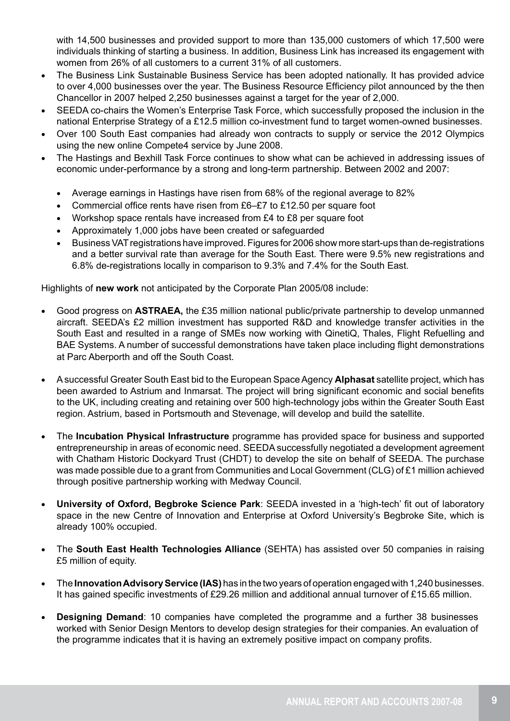with 14,500 businesses and provided support to more than 135,000 customers of which 17,500 were individuals thinking of starting a business. In addition, Business Link has increased its engagement with women from 26% of all customers to a current 31% of all customers.

- The Business Link Sustainable Business Service has been adopted nationally. It has provided advice to over 4,000 businesses over the year. The Business Resource Efficiency pilot announced by the then Chancellor in 2007 helped 2,250 businesses against a target for the year of 2,000.
- SEEDA co-chairs the Women's Enterprise Task Force, which successfully proposed the inclusion in the national Enterprise Strategy of a £12.5 million co-investment fund to target women-owned businesses.
- Over 100 South East companies had already won contracts to supply or service the 2012 Olympics using the new online Compete4 service by June 2008.
- The Hastings and Bexhill Task Force continues to show what can be achieved in addressing issues of economic under-performance by a strong and long-term partnership. Between 2002 and 2007:
	- Average earnings in Hastings have risen from 68% of the regional average to 82%
	- Commercial office rents have risen from £6–£7 to £12.50 per square foot
	- Workshop space rentals have increased from £4 to £8 per square foot
	- Approximately 1,000 jobs have been created or safeguarded
	- Business VAT registrations have improved. Figures for 2006 show more start-ups than de-registrations and a better survival rate than average for the South East. There were 9.5% new registrations and 6.8% de-registrations locally in comparison to 9.3% and 7.4% for the South East.

Highlights of **new work** not anticipated by the Corporate Plan 2005/08 include:

- Good progress on **ASTRAEA**, the £35 million national public/private partnership to develop unmanned aircraft. SEEDA's £2 million investment has supported R&D and knowledge transfer activities in the South East and resulted in a range of SMEs now working with QinetiQ, Thales, Flight Refuelling and BAE Systems. A number of successful demonstrations have taken place including flight demonstrations at Parc Aberporth and off the South Coast.
- A successful Greater South East bid to the European Space Agency **Alphasat** satellite project, which has been awarded to Astrium and Inmarsat. The project will bring significant economic and social benefits to the UK, including creating and retaining over 500 high-technology jobs within the Greater South East region. Astrium, based in Portsmouth and Stevenage, will develop and build the satellite.
- The **Incubation Physical Infrastructure** programme has provided space for business and supported entrepreneurship in areas of economic need. SEEDA successfully negotiated a development agreement with Chatham Historic Dockyard Trust (CHDT) to develop the site on behalf of SEEDA. The purchase was made possible due to a grant from Communities and Local Government (CLG) of £1 million achieved through positive partnership working with Medway Council.
- **University of Oxford, Begbroke Science Park:** SEEDA invested in a 'high-tech' fit out of laboratory space in the new Centre of Innovation and Enterprise at Oxford University's Begbroke Site, which is already 100% occupied.
- The **South East Health Technologies Alliance** (SEHTA) has assisted over 50 companies in raising £5 million of equity.
- The **Innovation Advisory Service (IAS)** has in the two years of operation engaged with 1,240 businesses. It has gained specific investments of £29.26 million and additional annual turnover of £15.65 million.
- **Designing Demand:** 10 companies have completed the programme and a further 38 businesses worked with Senior Design Mentors to develop design strategies for their companies. An evaluation of the programme indicates that it is having an extremely positive impact on company profits.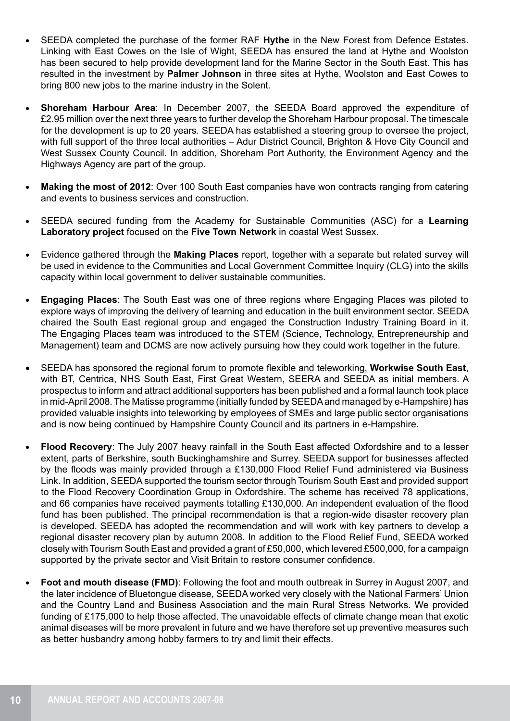- SEEDA completed the purchase of the former RAF Hythe in the New Forest from Defence Estates. Linking with East Cowes on the Isle of Wight, SEEDA has ensured the land at Hythe and Woolston has been secured to help provide development land for the Marine Sector in the South East. This has resulted in the investment by **Palmer Johnson** in three sites at Hythe, Woolston and East Cowes to bring 800 new jobs to the marine industry in the Solent.
- **Shoreham Harbour Area: In December 2007, the SEEDA Board approved the expenditure of** £2.95 million over the next three years to further develop the Shoreham Harbour proposal. The timescale for the development is up to 20 years. SEEDA has established a steering group to oversee the project, with full support of the three local authorities – Adur District Council, Brighton & Hove City Council and West Sussex County Council. In addition, Shoreham Port Authority, the Environment Agency and the Highways Agency are part of the group.
- **Making the most of 2012**: Over 100 South East companies have won contracts ranging from catering and events to business services and construction.
- SEEDA secured funding from the Academy for Sustainable Communities (ASC) for a Learning **Laboratory project** focused on the **Five Town Network** in coastal West Sussex.
- • Evidence gathered through the **Making Places** report, together with a separate but related survey will be used in evidence to the Communities and Local Government Committee Inquiry (CLG) into the skills capacity within local government to deliver sustainable communities.
- **Engaging Places:** The South East was one of three regions where Engaging Places was piloted to explore ways of improving the delivery of learning and education in the built environment sector. SEEDA chaired the South East regional group and engaged the Construction Industry Training Board in it. The Engaging Places team was introduced to the STEM (Science, Technology, Entrepreneurship and Management) team and DCMS are now actively pursuing how they could work together in the future.
- • SEEDA has sponsored the regional forum to promote flexible and teleworking, **Workwise South East**, with BT, Centrica, NHS South East, First Great Western, SEERA and SEEDA as initial members. A prospectus to inform and attract additional supporters has been published and a formal launch took place in mid-April 2008. The Matisse programme (initially funded by SEEDA and managed by e-Hampshire) has provided valuable insights into teleworking by employees of SMEs and large public sector organisations and is now being continued by Hampshire County Council and its partners in e-Hampshire.
- • **Flood Recovery**: The July 2007 heavy rainfall in the South East affected Oxfordshire and to a lesser extent, parts of Berkshire, south Buckinghamshire and Surrey. SEEDA support for businesses affected by the floods was mainly provided through a £130,000 Flood Relief Fund administered via Business Link. In addition, SEEDA supported the tourism sector through Tourism South East and provided support to the Flood Recovery Coordination Group in Oxfordshire. The scheme has received 78 applications, and 66 companies have received payments totalling £130,000. An independent evaluation of the flood fund has been published. The principal recommendation is that a region-wide disaster recovery plan is developed. SEEDA has adopted the recommendation and will work with key partners to develop a regional disaster recovery plan by autumn 2008. In addition to the Flood Relief Fund, SEEDA worked closely with Tourism South East and provided a grant of £50,000, which levered £500,000, for a campaign supported by the private sector and Visit Britain to restore consumer confidence.
- **Foot and mouth disease (FMD)**: Following the foot and mouth outbreak in Surrey in August 2007, and the later incidence of Bluetongue disease, SEEDA worked very closely with the National Farmers' Union and the Country Land and Business Association and the main Rural Stress Networks. We provided funding of £175,000 to help those affected. The unavoidable effects of climate change mean that exotic animal diseases will be more prevalent in future and we have therefore set up preventive measures such as better husbandry among hobby farmers to try and limit their effects.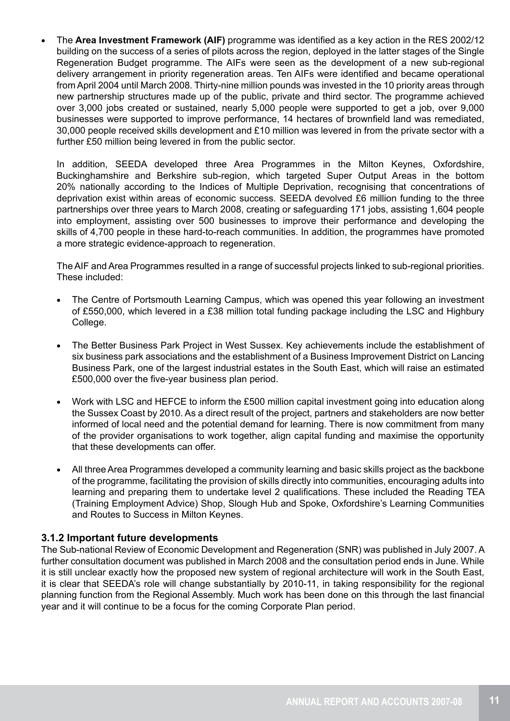The **Area Investment Framework (AIF)** programme was identified as a key action in the RES 2002/12 building on the success of a series of pilots across the region, deployed in the latter stages of the Single Regeneration Budget programme. The AIFs were seen as the development of a new sub-regional delivery arrangement in priority regeneration areas. Ten AIFs were identified and became operational from April 2004 until March 2008. Thirty-nine million pounds was invested in the 10 priority areas through new partnership structures made up of the public, private and third sector. The programme achieved over 3,000 jobs created or sustained, nearly 5,000 people were supported to get a job, over 9,000 businesses were supported to improve performance, 14 hectares of brownfield land was remediated, 30,000 people received skills development and £10 million was levered in from the private sector with a further £50 million being levered in from the public sector.

In addition, SEEDA developed three Area Programmes in the Milton Keynes, Oxfordshire, Buckinghamshire and Berkshire sub-region, which targeted Super Output Areas in the bottom 20% nationally according to the Indices of Multiple Deprivation, recognising that concentrations of deprivation exist within areas of economic success. SEEDA devolved £6 million funding to the three partnerships over three years to March 2008, creating or safeguarding 171 jobs, assisting 1,604 people into employment, assisting over 500 businesses to improve their performance and developing the skills of 4,700 people in these hard-to-reach communities. In addition, the programmes have promoted a more strategic evidence-approach to regeneration.

The AIF and Area Programmes resulted in a range of successful projects linked to sub-regional priorities. These included:

- The Centre of Portsmouth Learning Campus, which was opened this year following an investment of £550,000, which levered in a £38 million total funding package including the LSC and Highbury College.
- The Better Business Park Project in West Sussex. Key achievements include the establishment of six business park associations and the establishment of a Business Improvement District on Lancing Business Park, one of the largest industrial estates in the South East, which will raise an estimated £500,000 over the five-year business plan period.
- Work with LSC and HEFCE to inform the £500 million capital investment going into education along the Sussex Coast by 2010. As a direct result of the project, partners and stakeholders are now better informed of local need and the potential demand for learning. There is now commitment from many of the provider organisations to work together, align capital funding and maximise the opportunity that these developments can offer.
- All three Area Programmes developed a community learning and basic skills project as the backbone of the programme, facilitating the provision of skills directly into communities, encouraging adults into learning and preparing them to undertake level 2 qualifications. These included the Reading TEA (Training Employment Advice) Shop, Slough Hub and Spoke, Oxfordshire's Learning Communities and Routes to Success in Milton Keynes.

#### **3.1.2 Important future developments**

The Sub-national Review of Economic Development and Regeneration (SNR) was published in July 2007. A further consultation document was published in March 2008 and the consultation period ends in June. While it is still unclear exactly how the proposed new system of regional architecture will work in the South East, it is clear that SEEDA's role will change substantially by 2010-11, in taking responsibility for the regional planning function from the Regional Assembly. Much work has been done on this through the last financial year and it will continue to be a focus for the coming Corporate Plan period.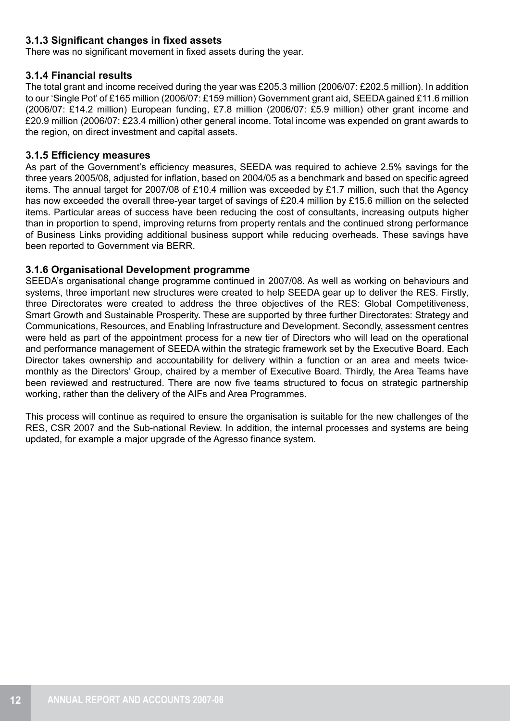#### **3.1.3 Significant changes in fixed assets**

There was no significant movement in fixed assets during the year.

#### **3.1.4 Financial results**

The total grant and income received during the year was £205.3 million (2006/07: £202.5 million). In addition to our 'Single Pot' of £165 million (2006/07: £159 million) Government grant aid, SEEDA gained £11.6 million (2006/07: £14.2 million) European funding, £7.8 million (2006/07: £5.9 million) other grant income and £20.9 million (2006/07: £23.4 million) other general income. Total income was expended on grant awards to the region, on direct investment and capital assets.

#### **3.1.5 Efficiency measures**

As part of the Government's efficiency measures, SEEDA was required to achieve 2.5% savings for the three years 2005/08, adjusted for inflation, based on 2004/05 as a benchmark and based on specific agreed items. The annual target for 2007/08 of £10.4 million was exceeded by £1.7 million, such that the Agency has now exceeded the overall three-year target of savings of £20.4 million by £15.6 million on the selected items. Particular areas of success have been reducing the cost of consultants, increasing outputs higher than in proportion to spend, improving returns from property rentals and the continued strong performance of Business Links providing additional business support while reducing overheads. These savings have been reported to Government via BERR.

#### **3.1.6 Organisational Development programme**

SEEDA's organisational change programme continued in 2007/08. As well as working on behaviours and systems, three important new structures were created to help SEEDA gear up to deliver the RES. Firstly, three Directorates were created to address the three objectives of the RES: Global Competitiveness, Smart Growth and Sustainable Prosperity. These are supported by three further Directorates: Strategy and Communications, Resources, and Enabling Infrastructure and Development. Secondly, assessment centres were held as part of the appointment process for a new tier of Directors who will lead on the operational and performance management of SEEDA within the strategic framework set by the Executive Board. Each Director takes ownership and accountability for delivery within a function or an area and meets twicemonthly as the Directors' Group, chaired by a member of Executive Board. Thirdly, the Area Teams have been reviewed and restructured. There are now five teams structured to focus on strategic partnership working, rather than the delivery of the AIFs and Area Programmes.

This process will continue as required to ensure the organisation is suitable for the new challenges of the RES, CSR 2007 and the Sub-national Review. In addition, the internal processes and systems are being updated, for example a major upgrade of the Agresso finance system.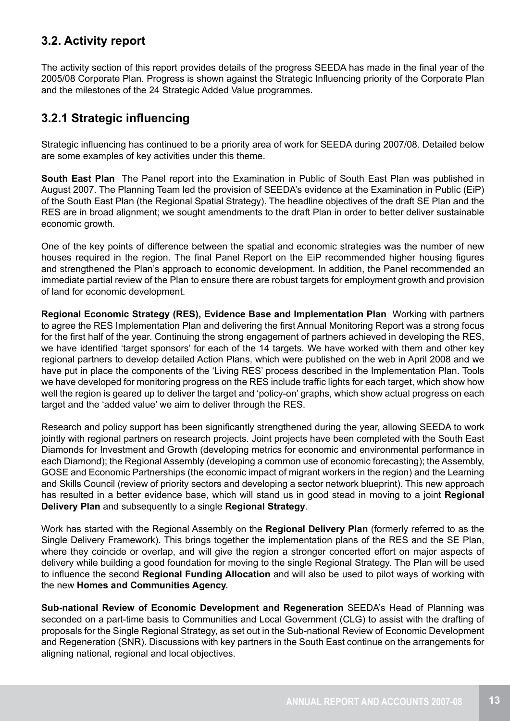### **3.2. Activity report**

The activity section of this report provides details of the progress SEEDA has made in the final year of the 2005/08 Corporate Plan. Progress is shown against the Strategic Influencing priority of the Corporate Plan and the milestones of the 24 Strategic Added Value programmes.

## **3.2.1 Strategic influencing**

Strategic influencing has continued to be a priority area of work for SEEDA during 2007/08. Detailed below are some examples of key activities under this theme.

**South East Plan** The Panel report into the Examination in Public of South East Plan was published in August 2007. The Planning Team led the provision of SEEDA's evidence at the Examination in Public (EiP) of the South East Plan (the Regional Spatial Strategy). The headline objectives of the draft SE Plan and the RES are in broad alignment; we sought amendments to the draft Plan in order to better deliver sustainable economic growth.

One of the key points of difference between the spatial and economic strategies was the number of new houses required in the region. The final Panel Report on the EiP recommended higher housing figures and strengthened the Plan's approach to economic development. In addition, the Panel recommended an immediate partial review of the Plan to ensure there are robust targets for employment growth and provision of land for economic development.

**Regional Economic Strategy (RES), Evidence Base and Implementation Plan** Working with partners to agree the RES Implementation Plan and delivering the first Annual Monitoring Report was a strong focus for the first half of the year. Continuing the strong engagement of partners achieved in developing the RES, we have identified 'target sponsors' for each of the 14 targets. We have worked with them and other key regional partners to develop detailed Action Plans, which were published on the web in April 2008 and we have put in place the components of the 'Living RES' process described in the Implementation Plan. Tools we have developed for monitoring progress on the RES include traffic lights for each target, which show how well the region is geared up to deliver the target and 'policy-on' graphs, which show actual progress on each target and the 'added value' we aim to deliver through the RES.

Research and policy support has been significantly strengthened during the year, allowing SEEDA to work jointly with regional partners on research projects. Joint projects have been completed with the South East Diamonds for Investment and Growth (developing metrics for economic and environmental performance in each Diamond); the Regional Assembly (developing a common use of economic forecasting); the Assembly, GOSE and Economic Partnerships (the economic impact of migrant workers in the region) and the Learning and Skills Council (review of priority sectors and developing a sector network blueprint). This new approach has resulted in a better evidence base, which will stand us in good stead in moving to a joint **Regional Delivery Plan** and subsequently to a single **Regional Strategy**.

Work has started with the Regional Assembly on the **Regional Delivery Plan** (formerly referred to as the Single Delivery Framework). This brings together the implementation plans of the RES and the SE Plan, where they coincide or overlap, and will give the region a stronger concerted effort on major aspects of delivery while building a good foundation for moving to the single Regional Strategy. The Plan will be used to influence the second **Regional Funding Allocation** and will also be used to pilot ways of working with the new **Homes and Communities Agency.**

**Sub-national Review of Economic Development and Regeneration** SEEDA's Head of Planning was seconded on a part-time basis to Communities and Local Government (CLG) to assist with the drafting of proposals for the Single Regional Strategy, as set out in the Sub-national Review of Economic Development and Regeneration (SNR). Discussions with key partners in the South East continue on the arrangements for aligning national, regional and local objectives.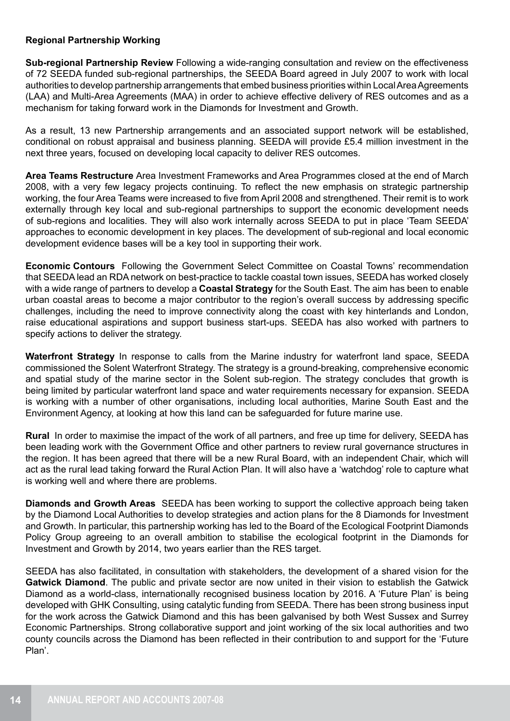#### **Regional Partnership Working**

**Sub-regional Partnership Review** Following a wide-ranging consultation and review on the effectiveness of 72 SEEDA funded sub-regional partnerships, the SEEDA Board agreed in July 2007 to work with local authorities to develop partnership arrangements that embed business priorities within Local Area Agreements (LAA) and Multi-Area Agreements (MAA) in order to achieve effective delivery of RES outcomes and as a mechanism for taking forward work in the Diamonds for Investment and Growth.

As a result, 13 new Partnership arrangements and an associated support network will be established, conditional on robust appraisal and business planning. SEEDA will provide £5.4 million investment in the next three years, focused on developing local capacity to deliver RES outcomes.

**Area Teams Restructure** Area Investment Frameworks and Area Programmes closed at the end of March 2008, with a very few legacy projects continuing. To reflect the new emphasis on strategic partnership working, the four Area Teams were increased to five from April 2008 and strengthened. Their remit is to work externally through key local and sub-regional partnerships to support the economic development needs of sub-regions and localities. They will also work internally across SEEDA to put in place 'Team SEEDA' approaches to economic development in key places. The development of sub-regional and local economic development evidence bases will be a key tool in supporting their work.

**Economic Contours** Following the Government Select Committee on Coastal Towns' recommendation that SEEDA lead an RDA network on best-practice to tackle coastal town issues, SEEDA has worked closely with a wide range of partners to develop a **Coastal Strategy** for the South East. The aim has been to enable urban coastal areas to become a major contributor to the region's overall success by addressing specific challenges, including the need to improve connectivity along the coast with key hinterlands and London, raise educational aspirations and support business start-ups. SEEDA has also worked with partners to specify actions to deliver the strategy.

**Waterfront Strategy** In response to calls from the Marine industry for waterfront land space, SEEDA commissioned the Solent Waterfront Strategy. The strategy is a ground-breaking, comprehensive economic and spatial study of the marine sector in the Solent sub-region. The strategy concludes that growth is being limited by particular waterfront land space and water requirements necessary for expansion. SEEDA is working with a number of other organisations, including local authorities, Marine South East and the Environment Agency, at looking at how this land can be safeguarded for future marine use.

**Rural** In order to maximise the impact of the work of all partners, and free up time for delivery, SEEDA has been leading work with the Government Office and other partners to review rural governance structures in the region. It has been agreed that there will be a new Rural Board, with an independent Chair, which will act as the rural lead taking forward the Rural Action Plan. It will also have a 'watchdog' role to capture what is working well and where there are problems.

**Diamonds and Growth Areas** SEEDA has been working to support the collective approach being taken by the Diamond Local Authorities to develop strategies and action plans for the 8 Diamonds for Investment and Growth. In particular, this partnership working has led to the Board of the Ecological Footprint Diamonds Policy Group agreeing to an overall ambition to stabilise the ecological footprint in the Diamonds for Investment and Growth by 2014, two years earlier than the RES target.

SEEDA has also facilitated, in consultation with stakeholders, the development of a shared vision for the **Gatwick Diamond**. The public and private sector are now united in their vision to establish the Gatwick Diamond as a world-class, internationally recognised business location by 2016. A 'Future Plan' is being developed with GHK Consulting, using catalytic funding from SEEDA. There has been strong business input for the work across the Gatwick Diamond and this has been galvanised by both West Sussex and Surrey Economic Partnerships. Strong collaborative support and joint working of the six local authorities and two county councils across the Diamond has been reflected in their contribution to and support for the 'Future Plan'.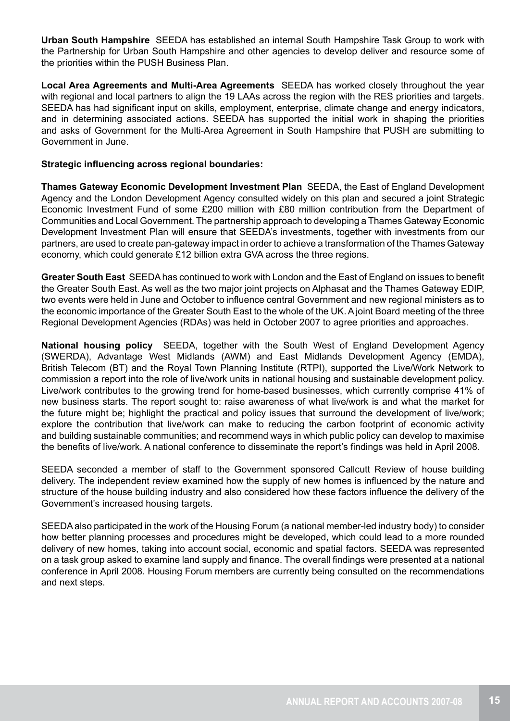**Urban South Hampshire** SEEDA has established an internal South Hampshire Task Group to work with the Partnership for Urban South Hampshire and other agencies to develop deliver and resource some of the priorities within the PUSH Business Plan.

**Local Area Agreements and Multi-Area Agreements** SEEDA has worked closely throughout the year with regional and local partners to align the 19 LAAs across the region with the RES priorities and targets. SEEDA has had significant input on skills, employment, enterprise, climate change and energy indicators, and in determining associated actions. SEEDA has supported the initial work in shaping the priorities and asks of Government for the Multi-Area Agreement in South Hampshire that PUSH are submitting to Government in June.

#### **Strategic influencing across regional boundaries:**

**Thames Gateway Economic Development Investment Plan** SEEDA, the East of England Development Agency and the London Development Agency consulted widely on this plan and secured a joint Strategic Economic Investment Fund of some £200 million with £80 million contribution from the Department of Communities and Local Government. The partnership approach to developing a Thames Gateway Economic Development Investment Plan will ensure that SEEDA's investments, together with investments from our partners, are used to create pan-gateway impact in order to achieve a transformation of the Thames Gateway economy, which could generate £12 billion extra GVA across the three regions.

**Greater South East** SEEDA has continued to work with London and the East of England on issues to benefit the Greater South East. As well as the two major joint projects on Alphasat and the Thames Gateway EDIP, two events were held in June and October to influence central Government and new regional ministers as to the economic importance of the Greater South East to the whole of the UK. A joint Board meeting of the three Regional Development Agencies (RDAs) was held in October 2007 to agree priorities and approaches.

**National housing policy** SEEDA, together with the South West of England Development Agency (SWERDA), Advantage West Midlands (AWM) and East Midlands Development Agency (EMDA), British Telecom (BT) and the Royal Town Planning Institute (RTPI), supported the Live/Work Network to commission a report into the role of live/work units in national housing and sustainable development policy. Live/work contributes to the growing trend for home-based businesses, which currently comprise 41% of new business starts. The report sought to: raise awareness of what live/work is and what the market for the future might be; highlight the practical and policy issues that surround the development of live/work; explore the contribution that live/work can make to reducing the carbon footprint of economic activity and building sustainable communities; and recommend ways in which public policy can develop to maximise the benefits of live/work. A national conference to disseminate the report's findings was held in April 2008.

SEEDA seconded a member of staff to the Government sponsored Callcutt Review of house building delivery. The independent review examined how the supply of new homes is influenced by the nature and structure of the house building industry and also considered how these factors influence the delivery of the Government's increased housing targets.

SEEDA also participated in the work of the Housing Forum (a national member-led industry body) to consider how better planning processes and procedures might be developed, which could lead to a more rounded delivery of new homes, taking into account social, economic and spatial factors. SEEDA was represented on a task group asked to examine land supply and finance. The overall findings were presented at a national conference in April 2008. Housing Forum members are currently being consulted on the recommendations and next steps.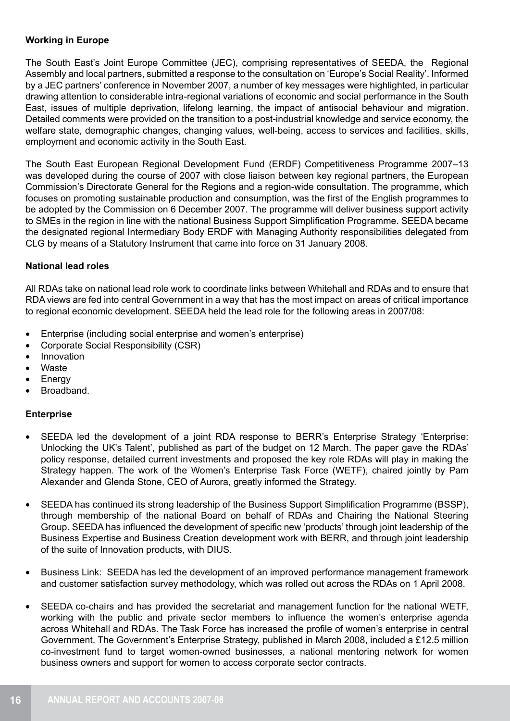#### **Working in Europe**

The South East's Joint Europe Committee (JEC), comprising representatives of SEEDA, the Regional Assembly and local partners, submitted a response to the consultation on 'Europe's Social Reality'. Informed by a JEC partners' conference in November 2007, a number of key messages were highlighted, in particular drawing attention to considerable intra-regional variations of economic and social performance in the South East, issues of multiple deprivation, lifelong learning, the impact of antisocial behaviour and migration. Detailed comments were provided on the transition to a post-industrial knowledge and service economy, the welfare state, demographic changes, changing values, well-being, access to services and facilities, skills, employment and economic activity in the South East.

The South East European Regional Development Fund (ERDF) Competitiveness Programme 2007–13 was developed during the course of 2007 with close liaison between key regional partners, the European Commission's Directorate General for the Regions and a region-wide consultation. The programme, which focuses on promoting sustainable production and consumption, was the first of the English programmes to be adopted by the Commission on 6 December 2007. The programme will deliver business support activity to SMEs in the region in line with the national Business Support Simplification Programme. SEEDA became the designated regional Intermediary Body ERDF with Managing Authority responsibilities delegated from CLG by means of a Statutory Instrument that came into force on 31 January 2008.

#### **National lead roles**

All RDAs take on national lead role work to coordinate links between Whitehall and RDAs and to ensure that RDA views are fed into central Government in a way that has the most impact on areas of critical importance to regional economic development. SEEDA held the lead role for the following areas in 2007/08:

- Enterprise (including social enterprise and women's enterprise)
- Corporate Social Responsibility (CSR)
- Innovation
- **Waste**
- **Energy**
- Broadband.

#### **Enterprise**

- SEEDA led the development of a joint RDA response to BERR's Enterprise Strategy 'Enterprise: Unlocking the UK's Talent', published as part of the budget on 12 March. The paper gave the RDAs' policy response, detailed current investments and proposed the key role RDAs will play in making the Strategy happen. The work of the Women's Enterprise Task Force (WETF), chaired jointly by Pam Alexander and Glenda Stone, CEO of Aurora, greatly informed the Strategy.
- SEEDA has continued its strong leadership of the Business Support Simplification Programme (BSSP), through membership of the national Board on behalf of RDAs and Chairing the National Steering Group. SEEDA has influenced the development of specific new 'products' through joint leadership of the Business Expertise and Business Creation development work with BERR, and through joint leadership of the suite of Innovation products, with DIUS.
- Business Link: SEEDA has led the development of an improved performance management framework and customer satisfaction survey methodology, which was rolled out across the RDAs on 1 April 2008.
- SEEDA co-chairs and has provided the secretariat and management function for the national WETF, working with the public and private sector members to influence the women's enterprise agenda across Whitehall and RDAs. The Task Force has increased the profile of women's enterprise in central Government. The Government's Enterprise Strategy, published in March 2008, included a £12.5 million co-investment fund to target women-owned businesses, a national mentoring network for women business owners and support for women to access corporate sector contracts.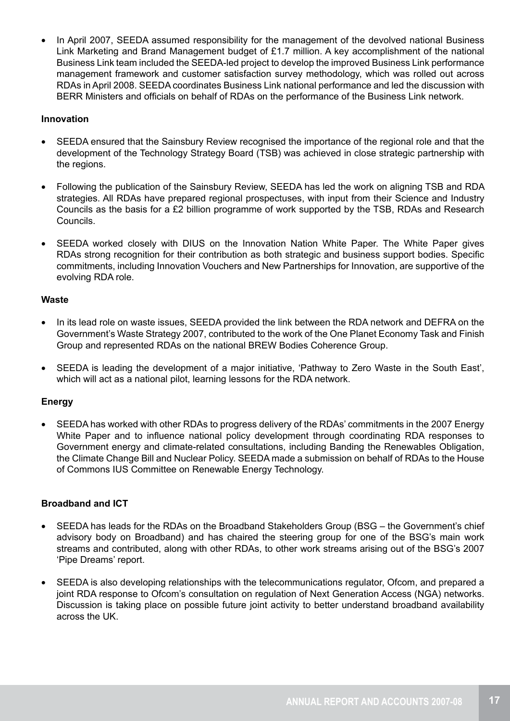In April 2007, SEEDA assumed responsibility for the management of the devolved national Business Link Marketing and Brand Management budget of £1.7 million. A key accomplishment of the national Business Link team included the SEEDA-led project to develop the improved Business Link performance management framework and customer satisfaction survey methodology, which was rolled out across RDAs in April 2008. SEEDA coordinates Business Link national performance and led the discussion with BERR Ministers and officials on behalf of RDAs on the performance of the Business Link network.

#### **Innovation**

- SEEDA ensured that the Sainsbury Review recognised the importance of the regional role and that the development of the Technology Strategy Board (TSB) was achieved in close strategic partnership with the regions.
- Following the publication of the Sainsbury Review, SEEDA has led the work on aligning TSB and RDA strategies. All RDAs have prepared regional prospectuses, with input from their Science and Industry Councils as the basis for a £2 billion programme of work supported by the TSB, RDAs and Research Councils.
- SEEDA worked closely with DIUS on the Innovation Nation White Paper. The White Paper gives RDAs strong recognition for their contribution as both strategic and business support bodies. Specific commitments, including Innovation Vouchers and New Partnerships for Innovation, are supportive of the evolving RDA role.

#### **Waste**

- In its lead role on waste issues, SEEDA provided the link between the RDA network and DEFRA on the Government's Waste Strategy 2007, contributed to the work of the One Planet Economy Task and Finish Group and represented RDAs on the national BREW Bodies Coherence Group.
- SEEDA is leading the development of a major initiative, 'Pathway to Zero Waste in the South East', which will act as a national pilot, learning lessons for the RDA network.

#### **Energy**

• SEEDA has worked with other RDAs to progress delivery of the RDAs' commitments in the 2007 Energy White Paper and to influence national policy development through coordinating RDA responses to Government energy and climate-related consultations, including Banding the Renewables Obligation, the Climate Change Bill and Nuclear Policy. SEEDA made a submission on behalf of RDAs to the House of Commons IUS Committee on Renewable Energy Technology.

#### **Broadband and ICT**

- SEEDA has leads for the RDAs on the Broadband Stakeholders Group (BSG the Government's chief advisory body on Broadband) and has chaired the steering group for one of the BSG's main work streams and contributed, along with other RDAs, to other work streams arising out of the BSG's 2007 'Pipe Dreams' report.
- SEEDA is also developing relationships with the telecommunications regulator, Ofcom, and prepared a joint RDA response to Ofcom's consultation on regulation of Next Generation Access (NGA) networks. Discussion is taking place on possible future joint activity to better understand broadband availability across the UK.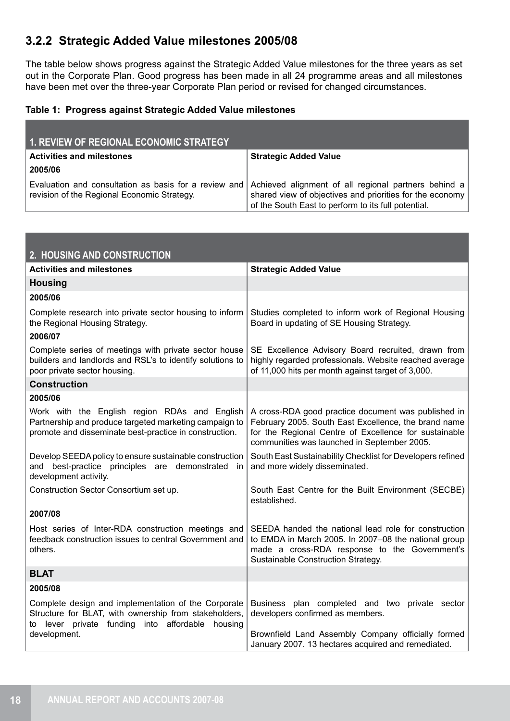### **3.2.2 Strategic Added Value milestones 2005/08**

The table below shows progress against the Strategic Added Value milestones for the three years as set out in the Corporate Plan. Good progress has been made in all 24 programme areas and all milestones have been met over the three-year Corporate Plan period or revised for changed circumstances.

#### **Table 1: Progress against Strategic Added Value milestones**

| <b>1. REVIEW OF REGIONAL ECONOMIC STRATEGY</b>                                                       |                                                                                                                                                                         |
|------------------------------------------------------------------------------------------------------|-------------------------------------------------------------------------------------------------------------------------------------------------------------------------|
| <b>Activities and milestones</b>                                                                     | <b>Strategic Added Value</b>                                                                                                                                            |
| 2005/06                                                                                              |                                                                                                                                                                         |
| Evaluation and consultation as basis for a review and<br>revision of the Regional Economic Strategy. | Achieved alignment of all regional partners behind a<br>shared view of objectives and priorities for the economy<br>of the South East to perform to its full potential. |

| 2. HOUSING AND CONSTRUCTION                                                                                                                                            |                                                                                                                                                                                                                     |
|------------------------------------------------------------------------------------------------------------------------------------------------------------------------|---------------------------------------------------------------------------------------------------------------------------------------------------------------------------------------------------------------------|
| <b>Activities and milestones</b>                                                                                                                                       | <b>Strategic Added Value</b>                                                                                                                                                                                        |
| <b>Housing</b>                                                                                                                                                         |                                                                                                                                                                                                                     |
| 2005/06                                                                                                                                                                |                                                                                                                                                                                                                     |
| Complete research into private sector housing to inform<br>the Regional Housing Strategy.                                                                              | Studies completed to inform work of Regional Housing<br>Board in updating of SE Housing Strategy.                                                                                                                   |
| 2006/07                                                                                                                                                                |                                                                                                                                                                                                                     |
| Complete series of meetings with private sector house<br>builders and landlords and RSL's to identify solutions to<br>poor private sector housing.                     | SE Excellence Advisory Board recruited, drawn from<br>highly regarded professionals. Website reached average<br>of 11,000 hits per month against target of 3,000.                                                   |
| <b>Construction</b>                                                                                                                                                    |                                                                                                                                                                                                                     |
| 2005/06                                                                                                                                                                |                                                                                                                                                                                                                     |
| Work with the English region RDAs and English<br>Partnership and produce targeted marketing campaign to<br>promote and disseminate best-practice in construction.      | A cross-RDA good practice document was published in<br>February 2005. South East Excellence, the brand name<br>for the Regional Centre of Excellence for sustainable<br>communities was launched in September 2005. |
| Develop SEEDA policy to ensure sustainable construction<br>and best-practice principles are demonstrated in<br>development activity.                                   | South East Sustainability Checklist for Developers refined<br>and more widely disseminated.                                                                                                                         |
| Construction Sector Consortium set up.                                                                                                                                 | South East Centre for the Built Environment (SECBE)<br>established.                                                                                                                                                 |
| 2007/08                                                                                                                                                                |                                                                                                                                                                                                                     |
| Host series of Inter-RDA construction meetings and<br>feedback construction issues to central Government and<br>others.                                                | SEEDA handed the national lead role for construction<br>to EMDA in March 2005. In 2007-08 the national group<br>made a cross-RDA response to the Government's<br>Sustainable Construction Strategy.                 |
| <b>BLAT</b>                                                                                                                                                            |                                                                                                                                                                                                                     |
| 2005/08                                                                                                                                                                |                                                                                                                                                                                                                     |
| Complete design and implementation of the Corporate<br>Structure for BLAT, with ownership from stakeholders,<br>lever private funding into affordable<br>housing<br>to | Business plan completed and two private sector<br>developers confirmed as members.                                                                                                                                  |
| development.                                                                                                                                                           | Brownfield Land Assembly Company officially formed<br>January 2007. 13 hectares acquired and remediated.                                                                                                            |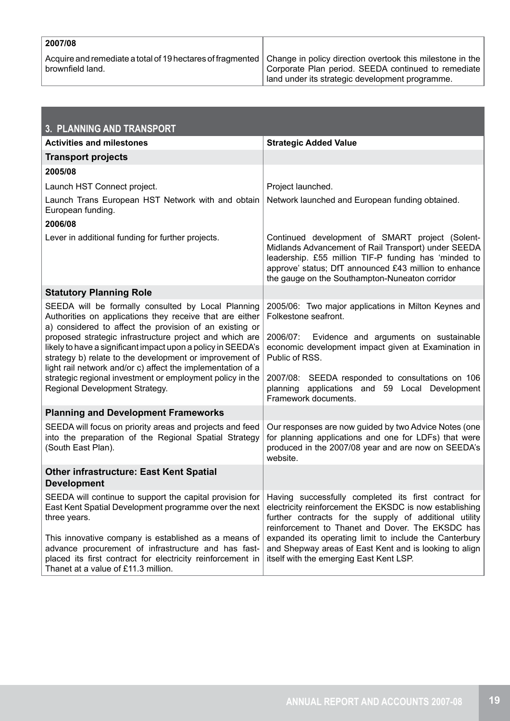| 2007/08          |                                                                                                                                                                               |
|------------------|-------------------------------------------------------------------------------------------------------------------------------------------------------------------------------|
| brownfield land. | Acquire and remediate a total of 19 hectares of fragmented   Change in policy direction overtook this milestone in the<br>Corporate Plan period. SEEDA continued to remediate |
|                  | lland under its strategic development programme.                                                                                                                              |

| 3. PLANNING AND TRANSPORT                                                                                                                                                                                                                                                                                                                                                                                                      |                                                                                                                                                                                                                                                                           |  |
|--------------------------------------------------------------------------------------------------------------------------------------------------------------------------------------------------------------------------------------------------------------------------------------------------------------------------------------------------------------------------------------------------------------------------------|---------------------------------------------------------------------------------------------------------------------------------------------------------------------------------------------------------------------------------------------------------------------------|--|
| <b>Activities and milestones</b>                                                                                                                                                                                                                                                                                                                                                                                               | <b>Strategic Added Value</b>                                                                                                                                                                                                                                              |  |
| <b>Transport projects</b>                                                                                                                                                                                                                                                                                                                                                                                                      |                                                                                                                                                                                                                                                                           |  |
| 2005/08                                                                                                                                                                                                                                                                                                                                                                                                                        |                                                                                                                                                                                                                                                                           |  |
| Launch HST Connect project.                                                                                                                                                                                                                                                                                                                                                                                                    | Project launched.                                                                                                                                                                                                                                                         |  |
| Launch Trans European HST Network with and obtain<br>European funding.                                                                                                                                                                                                                                                                                                                                                         | Network launched and European funding obtained.                                                                                                                                                                                                                           |  |
| 2006/08                                                                                                                                                                                                                                                                                                                                                                                                                        |                                                                                                                                                                                                                                                                           |  |
| Lever in additional funding for further projects.                                                                                                                                                                                                                                                                                                                                                                              | Continued development of SMART project (Solent-<br>Midlands Advancement of Rail Transport) under SEEDA<br>leadership. £55 million TIF-P funding has 'minded to<br>approve' status; DfT announced £43 million to enhance<br>the gauge on the Southampton-Nuneaton corridor |  |
| <b>Statutory Planning Role</b>                                                                                                                                                                                                                                                                                                                                                                                                 |                                                                                                                                                                                                                                                                           |  |
| SEEDA will be formally consulted by Local Planning<br>Authorities on applications they receive that are either<br>a) considered to affect the provision of an existing or<br>proposed strategic infrastructure project and which are<br>likely to have a significant impact upon a policy in SEEDA's<br>strategy b) relate to the development or improvement of<br>light rail network and/or c) affect the implementation of a | 2005/06: Two major applications in Milton Keynes and<br>Folkestone seafront.<br>2006/07: Evidence and arguments on sustainable<br>economic development impact given at Examination in<br>Public of RSS.                                                                   |  |
| strategic regional investment or employment policy in the<br>Regional Development Strategy.                                                                                                                                                                                                                                                                                                                                    | 2007/08: SEEDA responded to consultations on 106<br>planning applications and 59 Local Development<br>Framework documents.                                                                                                                                                |  |
| <b>Planning and Development Frameworks</b>                                                                                                                                                                                                                                                                                                                                                                                     |                                                                                                                                                                                                                                                                           |  |
| SEEDA will focus on priority areas and projects and feed<br>into the preparation of the Regional Spatial Strategy<br>(South East Plan).                                                                                                                                                                                                                                                                                        | Our responses are now guided by two Advice Notes (one<br>for planning applications and one for LDFs) that were<br>produced in the 2007/08 year and are now on SEEDA's<br>website.                                                                                         |  |
| <b>Other infrastructure: East Kent Spatial</b><br><b>Development</b>                                                                                                                                                                                                                                                                                                                                                           |                                                                                                                                                                                                                                                                           |  |
| SEEDA will continue to support the capital provision for<br>East Kent Spatial Development programme over the next<br>three years.                                                                                                                                                                                                                                                                                              | Having successfully completed its first contract for<br>electricity reinforcement the EKSDC is now establishing<br>further contracts for the supply of additional utility<br>reinforcement to Thanet and Dover. The EKSDC has                                             |  |
| This innovative company is established as a means of<br>advance procurement of infrastructure and has fast-<br>placed its first contract for electricity reinforcement in<br>Thanet at a value of £11.3 million.                                                                                                                                                                                                               | expanded its operating limit to include the Canterbury<br>and Shepway areas of East Kent and is looking to align<br>itself with the emerging East Kent LSP.                                                                                                               |  |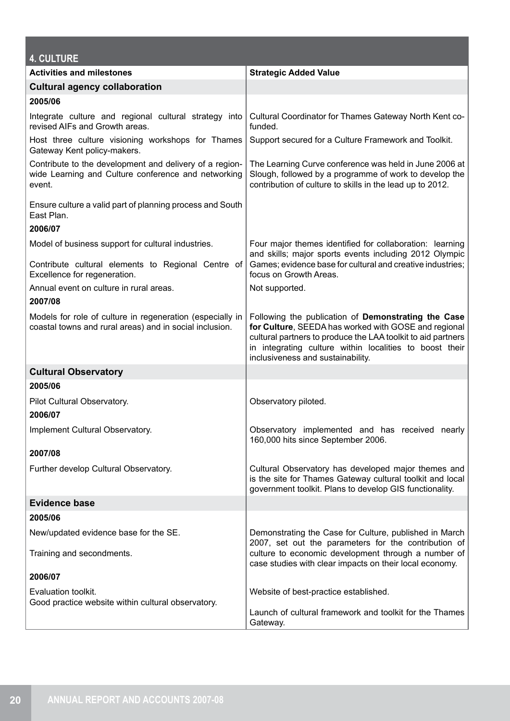| <b>4. CULTURE</b>                                                                                                                        |                                                                                                                                                                                                                                                                             |
|------------------------------------------------------------------------------------------------------------------------------------------|-----------------------------------------------------------------------------------------------------------------------------------------------------------------------------------------------------------------------------------------------------------------------------|
| <b>Activities and milestones</b>                                                                                                         | <b>Strategic Added Value</b>                                                                                                                                                                                                                                                |
| <b>Cultural agency collaboration</b>                                                                                                     |                                                                                                                                                                                                                                                                             |
| 2005/06                                                                                                                                  |                                                                                                                                                                                                                                                                             |
| Integrate culture and regional cultural strategy into<br>revised AIFs and Growth areas.                                                  | Cultural Coordinator for Thames Gateway North Kent co-<br>funded.                                                                                                                                                                                                           |
| Host three culture visioning workshops for Thames<br>Gateway Kent policy-makers.                                                         | Support secured for a Culture Framework and Toolkit.                                                                                                                                                                                                                        |
| Contribute to the development and delivery of a region-<br>wide Learning and Culture conference and networking<br>event.                 | The Learning Curve conference was held in June 2006 at<br>Slough, followed by a programme of work to develop the<br>contribution of culture to skills in the lead up to 2012.                                                                                               |
| Ensure culture a valid part of planning process and South<br>East Plan.                                                                  |                                                                                                                                                                                                                                                                             |
| 2006/07                                                                                                                                  |                                                                                                                                                                                                                                                                             |
| Model of business support for cultural industries.<br>Contribute cultural elements to Regional Centre of<br>Excellence for regeneration. | Four major themes identified for collaboration: learning<br>and skills; major sports events including 2012 Olympic<br>Games; evidence base for cultural and creative industries;<br>focus on Growth Areas.                                                                  |
| Annual event on culture in rural areas.                                                                                                  | Not supported.                                                                                                                                                                                                                                                              |
| 2007/08                                                                                                                                  |                                                                                                                                                                                                                                                                             |
| Models for role of culture in regeneration (especially in<br>coastal towns and rural areas) and in social inclusion.                     | Following the publication of Demonstrating the Case<br>for Culture, SEEDA has worked with GOSE and regional<br>cultural partners to produce the LAA toolkit to aid partners<br>in integrating culture within localities to boost their<br>inclusiveness and sustainability. |
| <b>Cultural Observatory</b>                                                                                                              |                                                                                                                                                                                                                                                                             |
| 2005/06                                                                                                                                  |                                                                                                                                                                                                                                                                             |
| Pilot Cultural Observatory.<br>2006/07                                                                                                   | Observatory piloted.                                                                                                                                                                                                                                                        |
| Implement Cultural Observatory.                                                                                                          | Observatory implemented and has received nearly<br>160,000 hits since September 2006.                                                                                                                                                                                       |
| 2007/08                                                                                                                                  |                                                                                                                                                                                                                                                                             |
| Further develop Cultural Observatory.                                                                                                    | Cultural Observatory has developed major themes and<br>is the site for Thames Gateway cultural toolkit and local<br>government toolkit. Plans to develop GIS functionality.                                                                                                 |
| <b>Evidence base</b>                                                                                                                     |                                                                                                                                                                                                                                                                             |
| 2005/06                                                                                                                                  |                                                                                                                                                                                                                                                                             |
| New/updated evidence base for the SE.                                                                                                    | Demonstrating the Case for Culture, published in March<br>2007, set out the parameters for the contribution of                                                                                                                                                              |
| Training and secondments.                                                                                                                | culture to economic development through a number of<br>case studies with clear impacts on their local economy.                                                                                                                                                              |
| 2006/07                                                                                                                                  |                                                                                                                                                                                                                                                                             |
| Evaluation toolkit.<br>Good practice website within cultural observatory.                                                                | Website of best-practice established.                                                                                                                                                                                                                                       |
|                                                                                                                                          | Launch of cultural framework and toolkit for the Thames<br>Gateway.                                                                                                                                                                                                         |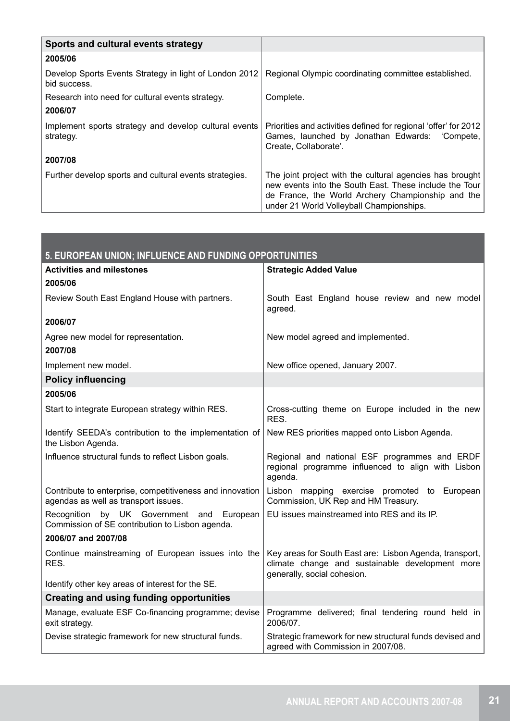| Sports and cultural events strategy                                    |                                                                                                                                                                                                                     |
|------------------------------------------------------------------------|---------------------------------------------------------------------------------------------------------------------------------------------------------------------------------------------------------------------|
| 2005/06                                                                |                                                                                                                                                                                                                     |
| Develop Sports Events Strategy in light of London 2012<br>bid success. | Regional Olympic coordinating committee established.                                                                                                                                                                |
| Research into need for cultural events strategy.                       | Complete.                                                                                                                                                                                                           |
| 2006/07                                                                |                                                                                                                                                                                                                     |
| Implement sports strategy and develop cultural events<br>strategy.     | Priorities and activities defined for regional 'offer' for 2012<br>Games, launched by Jonathan Edwards: 'Compete,<br>Create, Collaborate'.                                                                          |
| 2007/08                                                                |                                                                                                                                                                                                                     |
| Further develop sports and cultural events strategies.                 | The joint project with the cultural agencies has brought<br>new events into the South East. These include the Tour<br>de France, the World Archery Championship and the<br>under 21 World Volleyball Championships. |

| 5. EUROPEAN UNION; INFLUENCE AND FUNDING OPPORTUNITIES                                             |                                                                                                                                           |  |
|----------------------------------------------------------------------------------------------------|-------------------------------------------------------------------------------------------------------------------------------------------|--|
| <b>Activities and milestones</b>                                                                   | <b>Strategic Added Value</b>                                                                                                              |  |
| 2005/06                                                                                            |                                                                                                                                           |  |
| Review South East England House with partners.                                                     | South East England house review and new model<br>agreed.                                                                                  |  |
| 2006/07                                                                                            |                                                                                                                                           |  |
| Agree new model for representation.<br>2007/08                                                     | New model agreed and implemented.                                                                                                         |  |
| Implement new model.                                                                               | New office opened, January 2007.                                                                                                          |  |
| <b>Policy influencing</b>                                                                          |                                                                                                                                           |  |
| 2005/06                                                                                            |                                                                                                                                           |  |
| Start to integrate European strategy within RES.                                                   | Cross-cutting theme on Europe included in the new<br>RES.                                                                                 |  |
| Identify SEEDA's contribution to the implementation of<br>the Lisbon Agenda.                       | New RES priorities mapped onto Lisbon Agenda.                                                                                             |  |
| Influence structural funds to reflect Lisbon goals.                                                | Regional and national ESF programmes and ERDF<br>regional programme influenced to align with Lisbon<br>agenda.                            |  |
| Contribute to enterprise, competitiveness and innovation<br>agendas as well as transport issues.   | Lisbon mapping exercise promoted to European<br>Commission, UK Rep and HM Treasury.                                                       |  |
| by UK Government and<br>European<br>Recognition<br>Commission of SE contribution to Lisbon agenda. | EU issues mainstreamed into RES and its IP.                                                                                               |  |
| 2006/07 and 2007/08                                                                                |                                                                                                                                           |  |
| Continue mainstreaming of European issues into the<br>RES.                                         | Key areas for South East are: Lisbon Agenda, transport,<br>climate change and sustainable development more<br>generally, social cohesion. |  |
| Identify other key areas of interest for the SE.                                                   |                                                                                                                                           |  |
| <b>Creating and using funding opportunities</b>                                                    |                                                                                                                                           |  |
| Manage, evaluate ESF Co-financing programme; devise<br>exit strategy.                              | Programme delivered; final tendering round held in<br>2006/07.                                                                            |  |
| Devise strategic framework for new structural funds.                                               | Strategic framework for new structural funds devised and<br>agreed with Commission in 2007/08.                                            |  |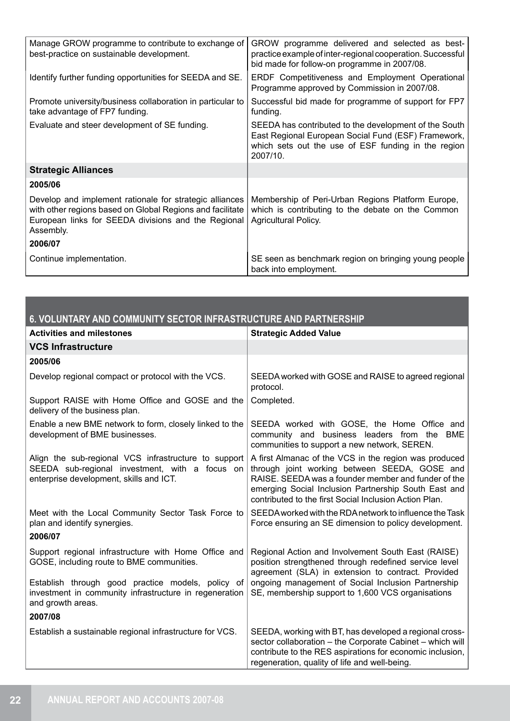| Manage GROW programme to contribute to exchange of<br>best-practice on sustainable development.                                                                                          | GROW programme delivered and selected as best-<br>practice example of inter-regional cooperation. Successful<br>bid made for follow-on programme in 2007/08.                    |
|------------------------------------------------------------------------------------------------------------------------------------------------------------------------------------------|---------------------------------------------------------------------------------------------------------------------------------------------------------------------------------|
| Identify further funding opportunities for SEEDA and SE.                                                                                                                                 | ERDF Competitiveness and Employment Operational<br>Programme approved by Commission in 2007/08.                                                                                 |
| Promote university/business collaboration in particular to<br>take advantage of FP7 funding.                                                                                             | Successful bid made for programme of support for FP7<br>funding.                                                                                                                |
| Evaluate and steer development of SE funding.                                                                                                                                            | SEEDA has contributed to the development of the South<br>East Regional European Social Fund (ESF) Framework,<br>which sets out the use of ESF funding in the region<br>2007/10. |
| <b>Strategic Alliances</b>                                                                                                                                                               |                                                                                                                                                                                 |
| 2005/06                                                                                                                                                                                  |                                                                                                                                                                                 |
| Develop and implement rationale for strategic alliances<br>with other regions based on Global Regions and facilitate<br>European links for SEEDA divisions and the Regional<br>Assembly. | Membership of Peri-Urban Regions Platform Europe,<br>which is contributing to the debate on the Common<br><b>Agricultural Policy.</b>                                           |
| 2006/07                                                                                                                                                                                  |                                                                                                                                                                                 |
| Continue implementation.                                                                                                                                                                 | SE seen as benchmark region on bringing young people<br>back into employment.                                                                                                   |

| 6. VOLUNTARY AND COMMUNITY SECTOR INFRASTRUCTURE AND PARTNERSHIP                                                                                  |                                                                                                                                                                                                                                                                                 |  |  |
|---------------------------------------------------------------------------------------------------------------------------------------------------|---------------------------------------------------------------------------------------------------------------------------------------------------------------------------------------------------------------------------------------------------------------------------------|--|--|
| <b>Activities and milestones</b>                                                                                                                  | <b>Strategic Added Value</b>                                                                                                                                                                                                                                                    |  |  |
| <b>VCS Infrastructure</b>                                                                                                                         |                                                                                                                                                                                                                                                                                 |  |  |
| 2005/06                                                                                                                                           |                                                                                                                                                                                                                                                                                 |  |  |
| Develop regional compact or protocol with the VCS.                                                                                                | SEEDA worked with GOSE and RAISE to agreed regional<br>protocol.                                                                                                                                                                                                                |  |  |
| Support RAISE with Home Office and GOSE and the<br>delivery of the business plan.                                                                 | Completed.                                                                                                                                                                                                                                                                      |  |  |
| Enable a new BME network to form, closely linked to the<br>development of BME businesses.                                                         | SEEDA worked with GOSE, the Home Office and<br>community and business leaders from the BME<br>communities to support a new network, SEREN.                                                                                                                                      |  |  |
| Align the sub-regional VCS infrastructure to support<br>SEEDA sub-regional investment, with a focus on<br>enterprise development, skills and ICT. | A first Almanac of the VCS in the region was produced<br>through joint working between SEEDA, GOSE and<br>RAISE. SEEDA was a founder member and funder of the<br>emerging Social Inclusion Partnership South East and<br>contributed to the first Social Inclusion Action Plan. |  |  |
| Meet with the Local Community Sector Task Force to<br>plan and identify synergies.                                                                | SEEDA worked with the RDA network to influence the Task<br>Force ensuring an SE dimension to policy development.                                                                                                                                                                |  |  |
| 2006/07                                                                                                                                           |                                                                                                                                                                                                                                                                                 |  |  |
| Support regional infrastructure with Home Office and<br>GOSE, including route to BME communities.                                                 | Regional Action and Involvement South East (RAISE)<br>position strengthened through redefined service level<br>agreement (SLA) in extension to contract. Provided                                                                                                               |  |  |
| Establish through good practice models, policy of<br>investment in community infrastructure in regeneration<br>and growth areas.                  | ongoing management of Social Inclusion Partnership<br>SE, membership support to 1,600 VCS organisations                                                                                                                                                                         |  |  |
| 2007/08                                                                                                                                           |                                                                                                                                                                                                                                                                                 |  |  |
| Establish a sustainable regional infrastructure for VCS.                                                                                          | SEEDA, working with BT, has developed a regional cross-<br>sector collaboration - the Corporate Cabinet - which will<br>contribute to the RES aspirations for economic inclusion,<br>regeneration, quality of life and well-being.                                              |  |  |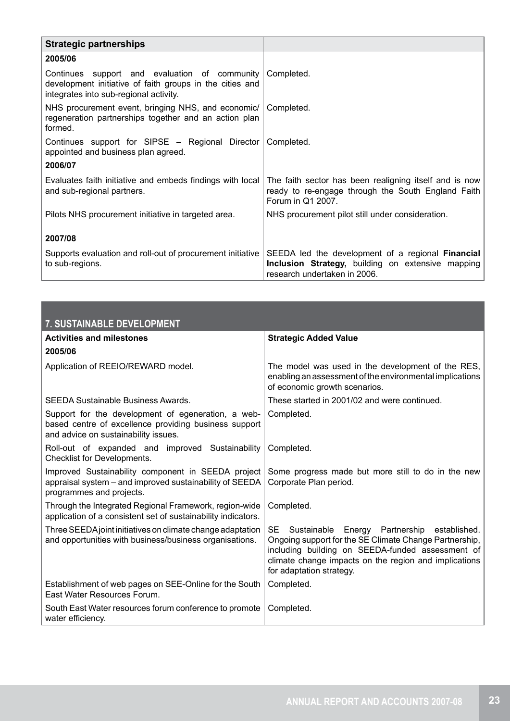| <b>Strategic partnerships</b>                                                                                                                       |                                                                                                                                        |
|-----------------------------------------------------------------------------------------------------------------------------------------------------|----------------------------------------------------------------------------------------------------------------------------------------|
| 2005/06                                                                                                                                             |                                                                                                                                        |
| Continues support and evaluation of community<br>development initiative of faith groups in the cities and<br>integrates into sub-regional activity. | Completed.                                                                                                                             |
| NHS procurement event, bringing NHS, and economic/<br>regeneration partnerships together and an action plan<br>formed.                              | Completed.                                                                                                                             |
| Continues support for SIPSE - Regional Director<br>appointed and business plan agreed.                                                              | Completed.                                                                                                                             |
| 2006/07                                                                                                                                             |                                                                                                                                        |
| Evaluates faith initiative and embeds findings with local<br>and sub-regional partners.                                                             | The faith sector has been realigning itself and is now<br>ready to re-engage through the South England Faith<br>Forum in Q1 2007.      |
| Pilots NHS procurement initiative in targeted area.                                                                                                 | NHS procurement pilot still under consideration.                                                                                       |
| 2007/08                                                                                                                                             |                                                                                                                                        |
| Supports evaluation and roll-out of procurement initiative<br>to sub-regions.                                                                       | SEEDA led the development of a regional Financial<br>Inclusion Strategy, building on extensive mapping<br>research undertaken in 2006. |

| 7. SUSTAINABLE DEVELOPMENT                                                                                                                          |                                                                                                                                                                                                                                                                   |
|-----------------------------------------------------------------------------------------------------------------------------------------------------|-------------------------------------------------------------------------------------------------------------------------------------------------------------------------------------------------------------------------------------------------------------------|
| <b>Activities and milestones</b>                                                                                                                    | <b>Strategic Added Value</b>                                                                                                                                                                                                                                      |
| 2005/06                                                                                                                                             |                                                                                                                                                                                                                                                                   |
| Application of REEIO/REWARD model.                                                                                                                  | The model was used in the development of the RES,<br>enabling an assessment of the environmental implications<br>of economic growth scenarios.                                                                                                                    |
| SEEDA Sustainable Business Awards.                                                                                                                  | These started in 2001/02 and were continued.                                                                                                                                                                                                                      |
| Support for the development of egeneration, a web-<br>based centre of excellence providing business support<br>and advice on sustainability issues. | Completed.                                                                                                                                                                                                                                                        |
| Roll-out of expanded and improved Sustainability<br>Checklist for Developments.                                                                     | Completed.                                                                                                                                                                                                                                                        |
| Improved Sustainability component in SEEDA project<br>appraisal system - and improved sustainability of SEEDA<br>programmes and projects.           | Some progress made but more still to do in the new<br>Corporate Plan period.                                                                                                                                                                                      |
| Through the Integrated Regional Framework, region-wide<br>application of a consistent set of sustainability indicators.                             | Completed.                                                                                                                                                                                                                                                        |
| Three SEEDA joint initiatives on climate change adaptation<br>and opportunities with business/business organisations.                               | <b>SE</b><br>Sustainable<br>Energy Partnership<br>established.<br>Ongoing support for the SE Climate Change Partnership,<br>including building on SEEDA-funded assessment of<br>climate change impacts on the region and implications<br>for adaptation strategy. |
| Establishment of web pages on SEE-Online for the South<br>East Water Resources Forum.                                                               | Completed.                                                                                                                                                                                                                                                        |
| South East Water resources forum conference to promote<br>water efficiency.                                                                         | Completed.                                                                                                                                                                                                                                                        |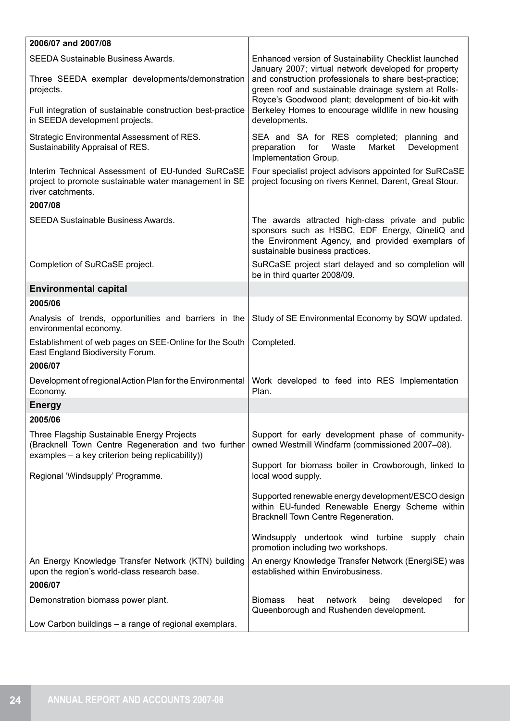| 2006/07 and 2007/08                                                                                                                                   |                                                                                                                                                                                              |
|-------------------------------------------------------------------------------------------------------------------------------------------------------|----------------------------------------------------------------------------------------------------------------------------------------------------------------------------------------------|
| SEEDA Sustainable Business Awards.                                                                                                                    | Enhanced version of Sustainability Checklist launched<br>January 2007; virtual network developed for property                                                                                |
| Three SEEDA exemplar developments/demonstration<br>projects.                                                                                          | and construction professionals to share best-practice;<br>green roof and sustainable drainage system at Rolls-<br>Royce's Goodwood plant; development of bio-kit with                        |
| Full integration of sustainable construction best-practice<br>in SEEDA development projects.                                                          | Berkeley Homes to encourage wildlife in new housing<br>developments.                                                                                                                         |
| Strategic Environmental Assessment of RES.<br>Sustainability Appraisal of RES.                                                                        | SEA and SA for RES completed; planning and<br>Market<br>Development<br>preparation<br>for<br>Waste<br>Implementation Group.                                                                  |
| Interim Technical Assessment of EU-funded SuRCaSE<br>project to promote sustainable water management in SE<br>river catchments.<br>2007/08            | Four specialist project advisors appointed for SuRCaSE<br>project focusing on rivers Kennet, Darent, Great Stour.                                                                            |
| <b>SEEDA Sustainable Business Awards.</b>                                                                                                             | The awards attracted high-class private and public<br>sponsors such as HSBC, EDF Energy, QinetiQ and<br>the Environment Agency, and provided exemplars of<br>sustainable business practices. |
| Completion of SuRCaSE project.                                                                                                                        | SuRCaSE project start delayed and so completion will<br>be in third quarter 2008/09.                                                                                                         |
| <b>Environmental capital</b>                                                                                                                          |                                                                                                                                                                                              |
| 2005/06                                                                                                                                               |                                                                                                                                                                                              |
| Analysis of trends, opportunities and barriers in the<br>environmental economy.                                                                       | Study of SE Environmental Economy by SQW updated.                                                                                                                                            |
| Establishment of web pages on SEE-Online for the South<br>East England Biodiversity Forum.<br>2006/07                                                 | Completed.                                                                                                                                                                                   |
| Development of regional Action Plan for the Environmental<br>Economy.                                                                                 | Work developed to feed into RES Implementation<br>Plan.                                                                                                                                      |
| <b>Energy</b>                                                                                                                                         |                                                                                                                                                                                              |
| 2005/06                                                                                                                                               |                                                                                                                                                                                              |
| Three Flagship Sustainable Energy Projects<br>(Bracknell Town Centre Regeneration and two further<br>examples - a key criterion being replicability)) | Support for early development phase of community-<br>owned Westmill Windfarm (commissioned 2007-08).                                                                                         |
| Regional 'Windsupply' Programme.                                                                                                                      | Support for biomass boiler in Crowborough, linked to<br>local wood supply.                                                                                                                   |
|                                                                                                                                                       | Supported renewable energy development/ESCO design<br>within EU-funded Renewable Energy Scheme within<br>Bracknell Town Centre Regeneration.                                                 |
|                                                                                                                                                       | Windsupply undertook wind turbine supply<br>chain<br>promotion including two workshops.                                                                                                      |
| An Energy Knowledge Transfer Network (KTN) building<br>upon the region's world-class research base.<br>2006/07                                        | An energy Knowledge Transfer Network (EnergiSE) was<br>established within Envirobusiness.                                                                                                    |
| Demonstration biomass power plant.                                                                                                                    | network<br><b>Biomass</b><br>heat<br>for<br>being<br>developed                                                                                                                               |
|                                                                                                                                                       | Queenborough and Rushenden development.                                                                                                                                                      |
| Low Carbon buildings - a range of regional exemplars.                                                                                                 |                                                                                                                                                                                              |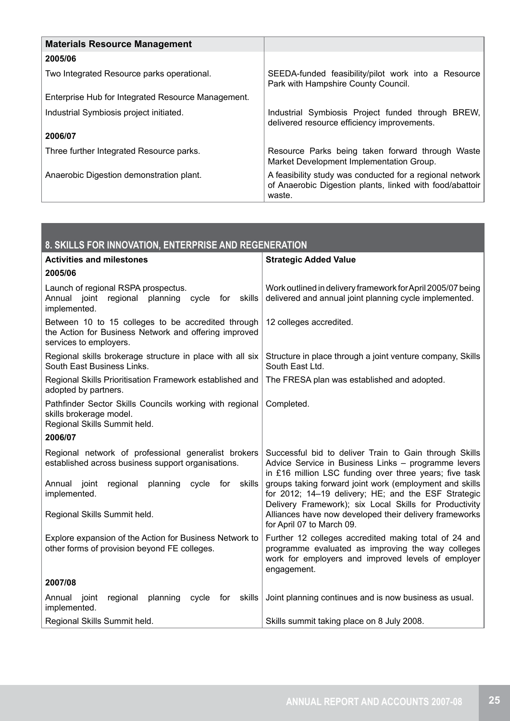| <b>Materials Resource Management</b>               |                                                                                                                                |
|----------------------------------------------------|--------------------------------------------------------------------------------------------------------------------------------|
| 2005/06                                            |                                                                                                                                |
| Two Integrated Resource parks operational.         | SEEDA-funded feasibility/pilot work into a Resource<br>Park with Hampshire County Council.                                     |
| Enterprise Hub for Integrated Resource Management. |                                                                                                                                |
| Industrial Symbiosis project initiated.            | Industrial Symbiosis Project funded through BREW,<br>delivered resource efficiency improvements.                               |
| 2006/07                                            |                                                                                                                                |
| Three further Integrated Resource parks.           | Resource Parks being taken forward through Waste<br>Market Development Implementation Group.                                   |
| Anaerobic Digestion demonstration plant.           | A feasibility study was conducted for a regional network<br>of Anaerobic Digestion plants, linked with food/abattoir<br>waste. |

| 8. SKILLS FOR INNOVATION, ENTERPRISE AND REGENERATION                                                                                                              |                                                                                                                                                                                                                                    |
|--------------------------------------------------------------------------------------------------------------------------------------------------------------------|------------------------------------------------------------------------------------------------------------------------------------------------------------------------------------------------------------------------------------|
| <b>Activities and milestones</b>                                                                                                                                   | <b>Strategic Added Value</b>                                                                                                                                                                                                       |
| 2005/06                                                                                                                                                            |                                                                                                                                                                                                                                    |
| Launch of regional RSPA prospectus.<br>planning<br>Annual joint<br>regional<br>cycle for<br>skills<br>implemented.                                                 | Work outlined in delivery framework for April 2005/07 being<br>delivered and annual joint planning cycle implemented.                                                                                                              |
| Between 10 to 15 colleges to be accredited through<br>the Action for Business Network and offering improved<br>services to employers.                              | 12 colleges accredited.                                                                                                                                                                                                            |
| Regional skills brokerage structure in place with all six<br>South East Business Links.                                                                            | Structure in place through a joint venture company, Skills<br>South East Ltd.                                                                                                                                                      |
| Regional Skills Prioritisation Framework established and<br>adopted by partners.                                                                                   | The FRESA plan was established and adopted.                                                                                                                                                                                        |
| Pathfinder Sector Skills Councils working with regional<br>skills brokerage model.<br>Regional Skills Summit held.                                                 | Completed.                                                                                                                                                                                                                         |
| 2006/07                                                                                                                                                            |                                                                                                                                                                                                                                    |
| Regional network of professional generalist brokers<br>established across business support organisations.<br>planning cycle for skills<br>Annual joint<br>regional | Successful bid to deliver Train to Gain through Skills<br>Advice Service in Business Links - programme levers<br>in £16 million LSC funding over three years; five task<br>groups taking forward joint work (employment and skills |
| implemented.                                                                                                                                                       | for 2012; 14-19 delivery; HE; and the ESF Strategic                                                                                                                                                                                |
| Regional Skills Summit held.                                                                                                                                       | Delivery Framework); six Local Skills for Productivity<br>Alliances have now developed their delivery frameworks<br>for April 07 to March 09.                                                                                      |
| Explore expansion of the Action for Business Network to<br>other forms of provision beyond FE colleges.                                                            | Further 12 colleges accredited making total of 24 and<br>programme evaluated as improving the way colleges<br>work for employers and improved levels of employer<br>engagement.                                                    |
| 2007/08                                                                                                                                                            |                                                                                                                                                                                                                                    |
| Annual joint<br>regional<br>planning<br>cycle<br>skills<br>for<br>implemented.                                                                                     | Joint planning continues and is now business as usual.                                                                                                                                                                             |
| Regional Skills Summit held.                                                                                                                                       | Skills summit taking place on 8 July 2008.                                                                                                                                                                                         |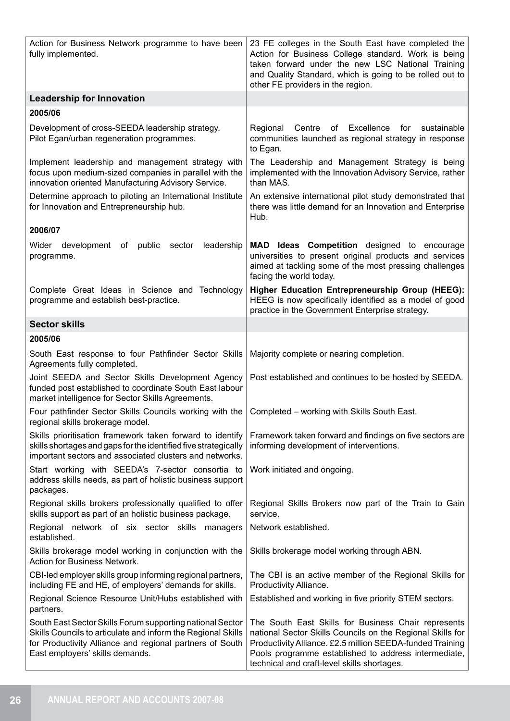| Action for Business Network programme to have been<br>fully implemented.                                                                                                                                                 | 23 FE colleges in the South East have completed the<br>Action for Business College standard. Work is being<br>taken forward under the new LSC National Training<br>and Quality Standard, which is going to be rolled out to<br>other FE providers in the region.                      |
|--------------------------------------------------------------------------------------------------------------------------------------------------------------------------------------------------------------------------|---------------------------------------------------------------------------------------------------------------------------------------------------------------------------------------------------------------------------------------------------------------------------------------|
| <b>Leadership for Innovation</b>                                                                                                                                                                                         |                                                                                                                                                                                                                                                                                       |
| 2005/06                                                                                                                                                                                                                  |                                                                                                                                                                                                                                                                                       |
| Development of cross-SEEDA leadership strategy.<br>Pilot Egan/urban regeneration programmes.                                                                                                                             | Excellence<br>sustainable<br>Regional<br>Centre<br>of<br>for<br>communities launched as regional strategy in response<br>to Egan.                                                                                                                                                     |
| Implement leadership and management strategy with<br>focus upon medium-sized companies in parallel with the<br>innovation oriented Manufacturing Advisory Service.                                                       | The Leadership and Management Strategy is being<br>implemented with the Innovation Advisory Service, rather<br>than MAS.                                                                                                                                                              |
| Determine approach to piloting an International Institute<br>for Innovation and Entrepreneurship hub.                                                                                                                    | An extensive international pilot study demonstrated that<br>there was little demand for an Innovation and Enterprise<br>Hub.                                                                                                                                                          |
| 2006/07                                                                                                                                                                                                                  |                                                                                                                                                                                                                                                                                       |
| Wider development<br>sector<br>leadership<br>of public<br>programme.                                                                                                                                                     | <b>MAD Ideas Competition</b> designed to encourage<br>universities to present original products and services<br>aimed at tackling some of the most pressing challenges<br>facing the world today.                                                                                     |
| Complete Great Ideas in Science and Technology<br>programme and establish best-practice.                                                                                                                                 | Higher Education Entrepreneurship Group (HEEG):<br>HEEG is now specifically identified as a model of good<br>practice in the Government Enterprise strategy.                                                                                                                          |
| <b>Sector skills</b>                                                                                                                                                                                                     |                                                                                                                                                                                                                                                                                       |
| 2005/06                                                                                                                                                                                                                  |                                                                                                                                                                                                                                                                                       |
| South East response to four Pathfinder Sector Skills<br>Agreements fully completed.                                                                                                                                      | Majority complete or nearing completion.                                                                                                                                                                                                                                              |
| Joint SEEDA and Sector Skills Development Agency<br>funded post established to coordinate South East labour<br>market intelligence for Sector Skills Agreements.                                                         | Post established and continues to be hosted by SEEDA.                                                                                                                                                                                                                                 |
| Four pathfinder Sector Skills Councils working with the<br>regional skills brokerage model.                                                                                                                              | Completed - working with Skills South East.                                                                                                                                                                                                                                           |
| Skills prioritisation framework taken forward to identify<br>skills shortages and gaps for the identified five strategically<br>important sectors and associated clusters and networks.                                  | Framework taken forward and findings on five sectors are<br>informing development of interventions.                                                                                                                                                                                   |
| Start working with SEEDA's 7-sector consortia to<br>address skills needs, as part of holistic business support<br>packages.                                                                                              | Work initiated and ongoing.                                                                                                                                                                                                                                                           |
| Regional skills brokers professionally qualified to offer<br>skills support as part of an holistic business package.                                                                                                     | Regional Skills Brokers now part of the Train to Gain<br>service.                                                                                                                                                                                                                     |
| Regional network of six sector skills managers<br>established.                                                                                                                                                           | Network established.                                                                                                                                                                                                                                                                  |
| Skills brokerage model working in conjunction with the<br>Action for Business Network.                                                                                                                                   | Skills brokerage model working through ABN.                                                                                                                                                                                                                                           |
| CBI-led employer skills group informing regional partners,<br>including FE and HE, of employers' demands for skills.                                                                                                     | The CBI is an active member of the Regional Skills for<br>Productivity Alliance.                                                                                                                                                                                                      |
| Regional Science Resource Unit/Hubs established with<br>partners.                                                                                                                                                        | Established and working in five priority STEM sectors.                                                                                                                                                                                                                                |
| South East Sector Skills Forum supporting national Sector<br>Skills Councils to articulate and inform the Regional Skills<br>for Productivity Alliance and regional partners of South<br>East employers' skills demands. | The South East Skills for Business Chair represents<br>national Sector Skills Councils on the Regional Skills for<br>Productivity Alliance. £2.5 million SEEDA-funded Training<br>Pools programme established to address intermediate,<br>technical and craft-level skills shortages. |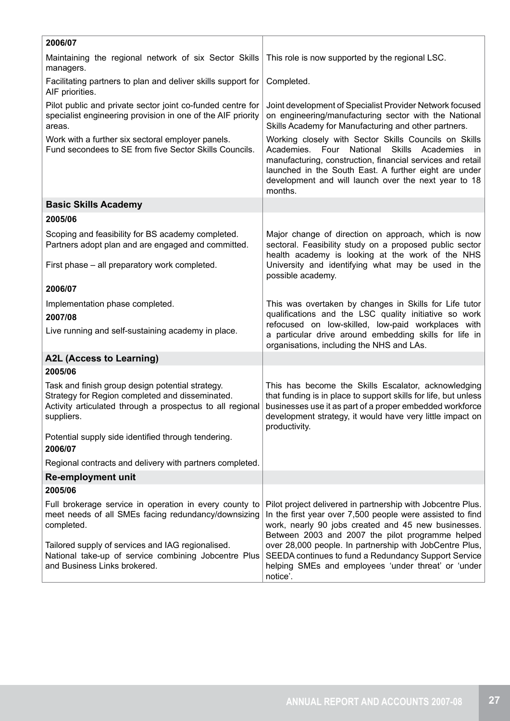| 2006/07                                                                                                                                                                        |                                                                                                                                                                                                                                                                                                                                  |
|--------------------------------------------------------------------------------------------------------------------------------------------------------------------------------|----------------------------------------------------------------------------------------------------------------------------------------------------------------------------------------------------------------------------------------------------------------------------------------------------------------------------------|
| Maintaining the regional network of six Sector Skills<br>managers.                                                                                                             | This role is now supported by the regional LSC.                                                                                                                                                                                                                                                                                  |
| Facilitating partners to plan and deliver skills support for<br>AIF priorities.                                                                                                | Completed.                                                                                                                                                                                                                                                                                                                       |
| Pilot public and private sector joint co-funded centre for<br>specialist engineering provision in one of the AIF priority<br>areas.                                            | Joint development of Specialist Provider Network focused<br>on engineering/manufacturing sector with the National<br>Skills Academy for Manufacturing and other partners.                                                                                                                                                        |
| Work with a further six sectoral employer panels.<br>Fund secondees to SE from five Sector Skills Councils.                                                                    | Working closely with Sector Skills Councils on Skills<br>Academies.<br>Four<br>National<br><b>Skills</b><br>Academies<br><sub>in</sub><br>manufacturing, construction, financial services and retail<br>launched in the South East. A further eight are under<br>development and will launch over the next year to 18<br>months. |
| <b>Basic Skills Academy</b>                                                                                                                                                    |                                                                                                                                                                                                                                                                                                                                  |
| 2005/06                                                                                                                                                                        |                                                                                                                                                                                                                                                                                                                                  |
| Scoping and feasibility for BS academy completed.<br>Partners adopt plan and are engaged and committed.                                                                        | Major change of direction on approach, which is now<br>sectoral. Feasibility study on a proposed public sector<br>health academy is looking at the work of the NHS                                                                                                                                                               |
| First phase - all preparatory work completed.                                                                                                                                  | University and identifying what may be used in the<br>possible academy.                                                                                                                                                                                                                                                          |
| 2006/07                                                                                                                                                                        |                                                                                                                                                                                                                                                                                                                                  |
| Implementation phase completed.<br>2007/08<br>Live running and self-sustaining academy in place.                                                                               | This was overtaken by changes in Skills for Life tutor<br>qualifications and the LSC quality initiative so work<br>refocused on low-skilled, low-paid workplaces with<br>a particular drive around embedding skills for life in<br>organisations, including the NHS and LAs.                                                     |
| A2L (Access to Learning)                                                                                                                                                       |                                                                                                                                                                                                                                                                                                                                  |
| 2005/06                                                                                                                                                                        |                                                                                                                                                                                                                                                                                                                                  |
| Task and finish group design potential strategy.<br>Strategy for Region completed and disseminated.<br>Activity articulated through a prospectus to all regional<br>suppliers. | This has become the Skills Escalator, acknowledging<br>that funding is in place to support skills for life, but unless<br>businesses use it as part of a proper embedded workforce<br>development strategy, it would have very little impact on<br>productivity.                                                                 |
| Potential supply side identified through tendering.<br>2006/07                                                                                                                 |                                                                                                                                                                                                                                                                                                                                  |
| Regional contracts and delivery with partners completed.                                                                                                                       |                                                                                                                                                                                                                                                                                                                                  |
| <b>Re-employment unit</b>                                                                                                                                                      |                                                                                                                                                                                                                                                                                                                                  |
| 2005/06                                                                                                                                                                        |                                                                                                                                                                                                                                                                                                                                  |
| Full brokerage service in operation in every county to<br>meet needs of all SMEs facing redundancy/downsizing<br>completed.                                                    | Pilot project delivered in partnership with Jobcentre Plus.<br>In the first year over 7,500 people were assisted to find<br>work, nearly 90 jobs created and 45 new businesses.<br>Between 2003 and 2007 the pilot programme helped                                                                                              |
| Tailored supply of services and IAG regionalised.<br>National take-up of service combining Jobcentre Plus<br>and Business Links brokered.                                      | over 28,000 people. In partnership with JobCentre Plus,<br>SEEDA continues to fund a Redundancy Support Service<br>helping SMEs and employees 'under threat' or 'under<br>notice'.                                                                                                                                               |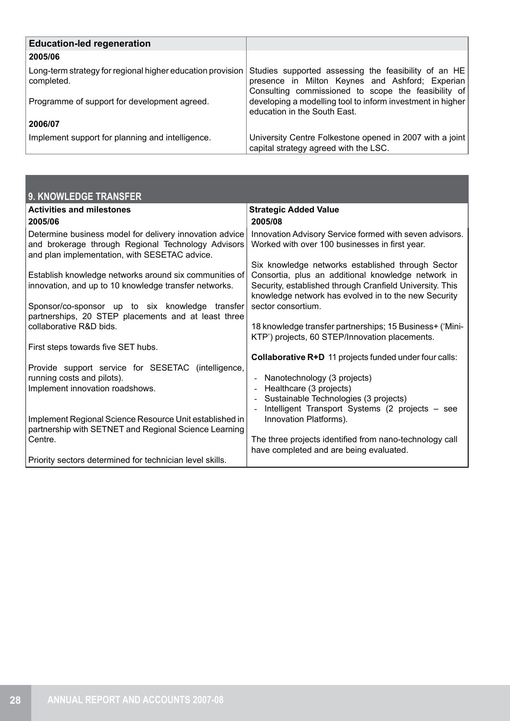| <b>Education-led regeneration</b>                                        |                                                                                                                                                                |
|--------------------------------------------------------------------------|----------------------------------------------------------------------------------------------------------------------------------------------------------------|
| 2005/06                                                                  |                                                                                                                                                                |
| Long-term strategy for regional higher education provision<br>completed. | Studies supported assessing the feasibility of an HE<br>presence in Milton Keynes and Ashford; Experian<br>Consulting commissioned to scope the feasibility of |
| Programme of support for development agreed.                             | developing a modelling tool to inform investment in higher<br>education in the South East.                                                                     |
| 2006/07                                                                  |                                                                                                                                                                |
| Implement support for planning and intelligence.                         | University Centre Folkestone opened in 2007 with a joint<br>capital strategy agreed with the LSC.                                                              |

| 9. KNOWLEDGE TRANSFER                                                                                                                                          |                                                                                                                                                                        |
|----------------------------------------------------------------------------------------------------------------------------------------------------------------|------------------------------------------------------------------------------------------------------------------------------------------------------------------------|
| <b>Activities and milestones</b>                                                                                                                               | <b>Strategic Added Value</b>                                                                                                                                           |
| 2005/06                                                                                                                                                        | 2005/08                                                                                                                                                                |
| Determine business model for delivery innovation advice<br>and brokerage through Regional Technology Advisors<br>and plan implementation, with SESETAC advice. | Innovation Advisory Service formed with seven advisors.<br>Worked with over 100 businesses in first year.                                                              |
|                                                                                                                                                                | Six knowledge networks established through Sector                                                                                                                      |
| Establish knowledge networks around six communities of<br>innovation, and up to 10 knowledge transfer networks.                                                | Consortia, plus an additional knowledge network in<br>Security, established through Cranfield University. This<br>knowledge network has evolved in to the new Security |
| Sponsor/co-sponsor up to six knowledge transfer                                                                                                                | sector consortium.                                                                                                                                                     |
| partnerships, 20 STEP placements and at least three<br>collaborative R&D bids.                                                                                 | 18 knowledge transfer partnerships; 15 Business+ ('Mini-<br>KTP') projects, 60 STEP/Innovation placements.                                                             |
| First steps towards five SET hubs.                                                                                                                             |                                                                                                                                                                        |
|                                                                                                                                                                | Collaborative R+D 11 projects funded under four calls:                                                                                                                 |
| Provide support service for SESETAC (intelligence,                                                                                                             |                                                                                                                                                                        |
| running costs and pilots).<br>Implement innovation roadshows.                                                                                                  | Nanotechnology (3 projects)<br>Healthcare (3 projects)                                                                                                                 |
|                                                                                                                                                                | Sustainable Technologies (3 projects)                                                                                                                                  |
|                                                                                                                                                                | Intelligent Transport Systems (2 projects - see                                                                                                                        |
| Implement Regional Science Resource Unit established in                                                                                                        | Innovation Platforms).                                                                                                                                                 |
| partnership with SETNET and Regional Science Learning<br>Centre.                                                                                               | The three projects identified from nano-technology call                                                                                                                |
|                                                                                                                                                                | have completed and are being evaluated.                                                                                                                                |
| Priority sectors determined for technician level skills.                                                                                                       |                                                                                                                                                                        |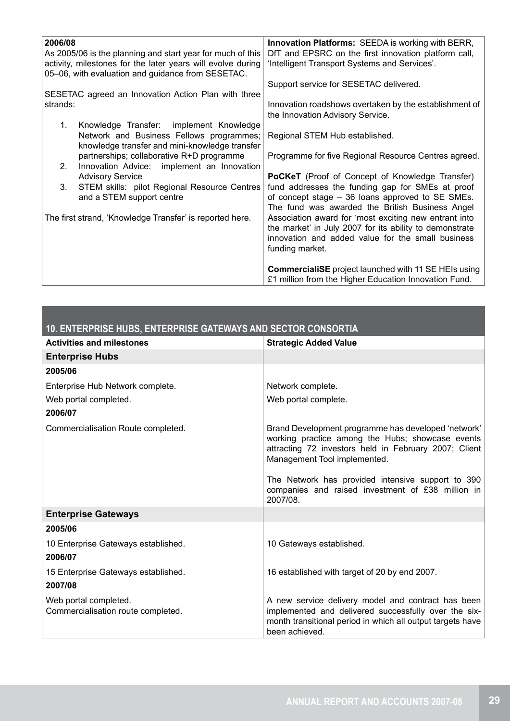| 2006/08                                                     | <b>Innovation Platforms: SEEDA is working with BERR,</b>    |
|-------------------------------------------------------------|-------------------------------------------------------------|
| As 2005/06 is the planning and start year for much of this  | DfT and EPSRC on the first innovation platform call,        |
| activity, milestones for the later years will evolve during | 'Intelligent Transport Systems and Services'.               |
| 05-06, with evaluation and guidance from SESETAC.           |                                                             |
|                                                             | Support service for SESETAC delivered.                      |
| SESETAC agreed an Innovation Action Plan with three         |                                                             |
| strands:                                                    | Innovation roadshows overtaken by the establishment of      |
|                                                             | the Innovation Advisory Service.                            |
| 1.<br>Knowledge Transfer:<br>implement Knowledge            |                                                             |
| Network and Business Fellows programmes;                    | Regional STEM Hub established.                              |
| knowledge transfer and mini-knowledge transfer              |                                                             |
| partnerships; collaborative R+D programme                   | Programme for five Regional Resource Centres agreed.        |
| 2.<br>Innovation Advice: implement an Innovation            |                                                             |
| <b>Advisory Service</b>                                     | PoCKeT (Proof of Concept of Knowledge Transfer)             |
|                                                             |                                                             |
| STEM skills: pilot Regional Resource Centres<br>3.          | fund addresses the funding gap for SMEs at proof            |
| and a STEM support centre                                   | of concept stage – 36 loans approved to SE SMEs.            |
|                                                             | The fund was awarded the British Business Angel             |
| The first strand, 'Knowledge Transfer' is reported here.    | Association award for 'most exciting new entrant into       |
|                                                             | the market' in July 2007 for its ability to demonstrate     |
|                                                             | innovation and added value for the small business           |
|                                                             | funding market.                                             |
|                                                             |                                                             |
|                                                             | <b>CommercialiSE</b> project launched with 11 SE HEIs using |
|                                                             | £1 million from the Higher Education Innovation Fund.       |
|                                                             |                                                             |

| 10. ENTERPRISE HUBS, ENTERPRISE GATEWAYS AND SECTOR CONSORTIA |                                                                                                                                                                                                  |
|---------------------------------------------------------------|--------------------------------------------------------------------------------------------------------------------------------------------------------------------------------------------------|
| <b>Activities and milestones</b>                              | <b>Strategic Added Value</b>                                                                                                                                                                     |
| <b>Enterprise Hubs</b>                                        |                                                                                                                                                                                                  |
| 2005/06                                                       |                                                                                                                                                                                                  |
| Enterprise Hub Network complete.                              | Network complete.                                                                                                                                                                                |
| Web portal completed.                                         | Web portal complete.                                                                                                                                                                             |
| 2006/07                                                       |                                                                                                                                                                                                  |
| Commercialisation Route completed.                            | Brand Development programme has developed 'network'<br>working practice among the Hubs; showcase events<br>attracting 72 investors held in February 2007; Client<br>Management Tool implemented. |
|                                                               | The Network has provided intensive support to 390<br>companies and raised investment of £38 million in<br>2007/08.                                                                               |
| <b>Enterprise Gateways</b>                                    |                                                                                                                                                                                                  |
| 2005/06                                                       |                                                                                                                                                                                                  |
| 10 Enterprise Gateways established.<br>2006/07                | 10 Gateways established.                                                                                                                                                                         |
| 15 Enterprise Gateways established.<br>2007/08                | 16 established with target of 20 by end 2007.                                                                                                                                                    |
| Web portal completed.<br>Commercialisation route completed.   | A new service delivery model and contract has been<br>implemented and delivered successfully over the six-<br>month transitional period in which all output targets have<br>been achieved.       |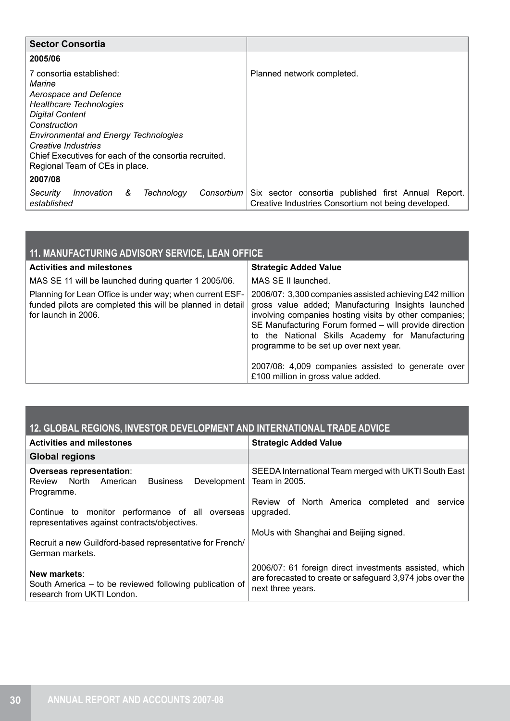| <b>Sector Consortia</b>                                                                                                                                                                                                                                                                            |                                                                                                            |
|----------------------------------------------------------------------------------------------------------------------------------------------------------------------------------------------------------------------------------------------------------------------------------------------------|------------------------------------------------------------------------------------------------------------|
| 2005/06                                                                                                                                                                                                                                                                                            |                                                                                                            |
| 7 consortia established:<br>Marine<br>Aerospace and Defence<br>Healthcare Technologies<br><b>Digital Content</b><br>Construction<br><b>Environmental and Energy Technologies</b><br>Creative Industries<br>Chief Executives for each of the consortia recruited.<br>Regional Team of CEs in place. | Planned network completed.                                                                                 |
| 2007/08                                                                                                                                                                                                                                                                                            |                                                                                                            |
| Innovation<br>&<br>Technology<br>Consortium<br>Security<br>established                                                                                                                                                                                                                             | Six sector consortia published first Annual Report.<br>Creative Industries Consortium not being developed. |

| 11. MANUFACTURING ADVISORY SERVICE, LEAN OFFICE                                                                                               |                                                                                                                                                                                                                                                                                                                                                                                                                             |  |
|-----------------------------------------------------------------------------------------------------------------------------------------------|-----------------------------------------------------------------------------------------------------------------------------------------------------------------------------------------------------------------------------------------------------------------------------------------------------------------------------------------------------------------------------------------------------------------------------|--|
| <b>Activities and milestones</b>                                                                                                              | <b>Strategic Added Value</b>                                                                                                                                                                                                                                                                                                                                                                                                |  |
| MAS SE 11 will be launched during quarter 1 2005/06.                                                                                          | MAS SE II launched.                                                                                                                                                                                                                                                                                                                                                                                                         |  |
| Planning for Lean Office is under way; when current ESF-<br>funded pilots are completed this will be planned in detail<br>for launch in 2006. | 2006/07: 3,300 companies assisted achieving £42 million<br>gross value added; Manufacturing Insights launched<br>involving companies hosting visits by other companies;<br>SE Manufacturing Forum formed - will provide direction<br>to the National Skills Academy for Manufacturing<br>programme to be set up over next year.<br>2007/08: 4,009 companies assisted to generate over<br>£100 million in gross value added. |  |

## **12. GLOBAL REGIONS, INVESTOR DEVELOPMENT AND INTERNATIONAL TRADE ADVICE**

| <b>Activities and milestones</b>                                                                            | <b>Strategic Added Value</b>                                                                                                             |
|-------------------------------------------------------------------------------------------------------------|------------------------------------------------------------------------------------------------------------------------------------------|
| <b>Global regions</b>                                                                                       |                                                                                                                                          |
| <b>Overseas representation:</b><br>Development<br>Review North<br>American<br><b>Business</b><br>Programme. | SEEDA International Team merged with UKTI South East<br>Team in 2005.                                                                    |
| Continue to monitor performance of all overseas<br>representatives against contracts/objectives.            | Review of North America completed and service<br>upgraded.                                                                               |
| Recruit a new Guildford-based representative for French/<br>German markets.                                 | MoUs with Shanghai and Beijing signed.                                                                                                   |
| New markets:<br>South America - to be reviewed following publication of<br>research from UKTI London.       | 2006/07: 61 foreign direct investments assisted, which<br>are forecasted to create or safeguard 3,974 jobs over the<br>next three years. |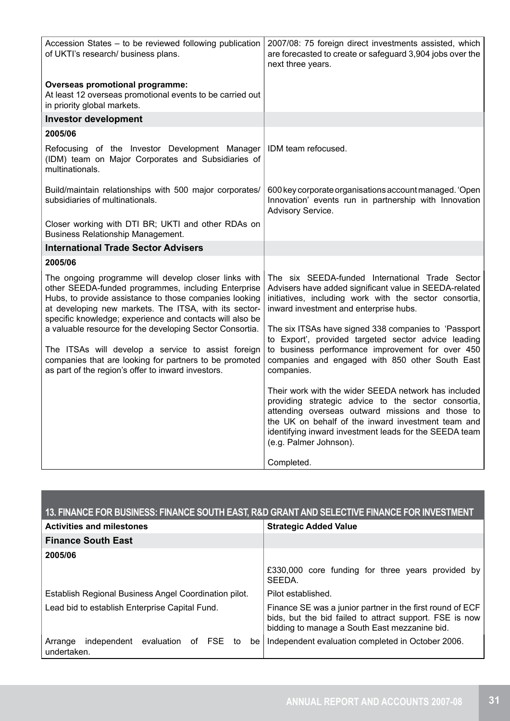| Accession States - to be reviewed following publication<br>of UKTI's research/ business plans.                                                                                                                                                                                             | 2007/08: 75 foreign direct investments assisted, which<br>are forecasted to create or safeguard 3,904 jobs over the<br>next three years.                                                                                                                                                                  |
|--------------------------------------------------------------------------------------------------------------------------------------------------------------------------------------------------------------------------------------------------------------------------------------------|-----------------------------------------------------------------------------------------------------------------------------------------------------------------------------------------------------------------------------------------------------------------------------------------------------------|
| <b>Overseas promotional programme:</b><br>At least 12 overseas promotional events to be carried out<br>in priority global markets.                                                                                                                                                         |                                                                                                                                                                                                                                                                                                           |
| <b>Investor development</b>                                                                                                                                                                                                                                                                |                                                                                                                                                                                                                                                                                                           |
| 2005/06                                                                                                                                                                                                                                                                                    |                                                                                                                                                                                                                                                                                                           |
| Refocusing of the Investor Development Manager<br>(IDM) team on Major Corporates and Subsidiaries of<br>multinationals.                                                                                                                                                                    | IDM team refocused.                                                                                                                                                                                                                                                                                       |
| Build/maintain relationships with 500 major corporates/<br>subsidiaries of multinationals.                                                                                                                                                                                                 | 600 key corporate organisations account managed. 'Open<br>Innovation' events run in partnership with Innovation<br>Advisory Service.                                                                                                                                                                      |
| Closer working with DTI BR; UKTI and other RDAs on<br><b>Business Relationship Management.</b>                                                                                                                                                                                             |                                                                                                                                                                                                                                                                                                           |
| <b>International Trade Sector Advisers</b>                                                                                                                                                                                                                                                 |                                                                                                                                                                                                                                                                                                           |
| 2005/06                                                                                                                                                                                                                                                                                    |                                                                                                                                                                                                                                                                                                           |
| The ongoing programme will develop closer links with<br>other SEEDA-funded programmes, including Enterprise<br>Hubs, to provide assistance to those companies looking<br>at developing new markets. The ITSA, with its sector-<br>specific knowledge; experience and contacts will also be | The six SEEDA-funded International Trade Sector<br>Advisers have added significant value in SEEDA-related<br>initiatives, including work with the sector consortia,<br>inward investment and enterprise hubs.                                                                                             |
| a valuable resource for the developing Sector Consortia.                                                                                                                                                                                                                                   | The six ITSAs have signed 338 companies to 'Passport<br>to Export', provided targeted sector advice leading                                                                                                                                                                                               |
| The ITSAs will develop a service to assist foreign<br>companies that are looking for partners to be promoted<br>as part of the region's offer to inward investors.                                                                                                                         | to business performance improvement for over 450<br>companies and engaged with 850 other South East<br>companies.                                                                                                                                                                                         |
|                                                                                                                                                                                                                                                                                            | Their work with the wider SEEDA network has included<br>providing strategic advice to the sector consortia,<br>attending overseas outward missions and those to<br>the UK on behalf of the inward investment team and<br>identifying inward investment leads for the SEEDA team<br>(e.g. Palmer Johnson). |
|                                                                                                                                                                                                                                                                                            | Completed.                                                                                                                                                                                                                                                                                                |

| 13. FINANCE FOR BUSINESS: FINANCE SOUTH EAST, R&D GRANT AND SELECTIVE FINANCE FOR INVESTMENT |                                                                                                                                                                       |
|----------------------------------------------------------------------------------------------|-----------------------------------------------------------------------------------------------------------------------------------------------------------------------|
| <b>Activities and milestones</b>                                                             | <b>Strategic Added Value</b>                                                                                                                                          |
| <b>Finance South East</b>                                                                    |                                                                                                                                                                       |
| 2005/06                                                                                      |                                                                                                                                                                       |
|                                                                                              | £330,000 core funding for three years provided by<br>SEEDA.                                                                                                           |
| Establish Regional Business Angel Coordination pilot.                                        | Pilot established.                                                                                                                                                    |
| Lead bid to establish Enterprise Capital Fund.                                               | Finance SE was a junior partner in the first round of ECF<br>bids, but the bid failed to attract support. FSE is now<br>bidding to manage a South East mezzanine bid. |
| independent evaluation of FSE to<br>Arrange<br>undertaken.                                   | be   Independent evaluation completed in October 2006.                                                                                                                |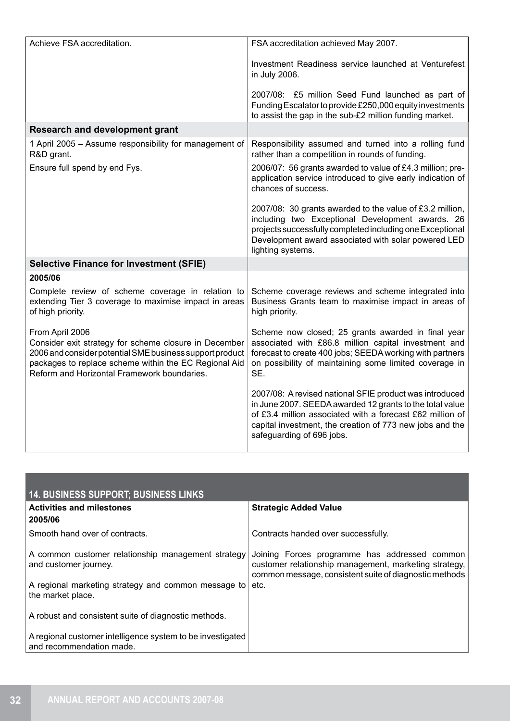| Achieve FSA accreditation.                                                                                                                                                                                                                   | FSA accreditation achieved May 2007.                                                                                                                                                                                                                                      |
|----------------------------------------------------------------------------------------------------------------------------------------------------------------------------------------------------------------------------------------------|---------------------------------------------------------------------------------------------------------------------------------------------------------------------------------------------------------------------------------------------------------------------------|
|                                                                                                                                                                                                                                              | Investment Readiness service launched at Venturefest<br>in July 2006.                                                                                                                                                                                                     |
|                                                                                                                                                                                                                                              | 2007/08: £5 million Seed Fund launched as part of<br>Funding Escalator to provide £250,000 equity investments<br>to assist the gap in the sub-£2 million funding market.                                                                                                  |
| <b>Research and development grant</b>                                                                                                                                                                                                        |                                                                                                                                                                                                                                                                           |
| 1 April 2005 - Assume responsibility for management of<br>R&D grant.                                                                                                                                                                         | Responsibility assumed and turned into a rolling fund<br>rather than a competition in rounds of funding.                                                                                                                                                                  |
| Ensure full spend by end Fys.                                                                                                                                                                                                                | 2006/07: 56 grants awarded to value of £4.3 million; pre-<br>application service introduced to give early indication of<br>chances of success.                                                                                                                            |
|                                                                                                                                                                                                                                              | 2007/08: 30 grants awarded to the value of £3.2 million,<br>including two Exceptional Development awards. 26<br>projects successfully completed including one Exceptional<br>Development award associated with solar powered LED<br>lighting systems.                     |
| <b>Selective Finance for Investment (SFIE)</b>                                                                                                                                                                                               |                                                                                                                                                                                                                                                                           |
| 2005/06                                                                                                                                                                                                                                      |                                                                                                                                                                                                                                                                           |
| Complete review of scheme coverage in relation to<br>extending Tier 3 coverage to maximise impact in areas<br>of high priority.                                                                                                              | Scheme coverage reviews and scheme integrated into<br>Business Grants team to maximise impact in areas of<br>high priority.                                                                                                                                               |
| From April 2006<br>Consider exit strategy for scheme closure in December<br>2006 and consider potential SME business support product<br>packages to replace scheme within the EC Regional Aid<br>Reform and Horizontal Framework boundaries. | Scheme now closed; 25 grants awarded in final year<br>associated with £86.8 million capital investment and<br>forecast to create 400 jobs; SEEDA working with partners<br>on possibility of maintaining some limited coverage in<br>SE.                                   |
|                                                                                                                                                                                                                                              | 2007/08: A revised national SFIE product was introduced<br>in June 2007. SEEDA awarded 12 grants to the total value<br>of £3.4 million associated with a forecast £62 million of<br>capital investment, the creation of 773 new jobs and the<br>safeguarding of 696 jobs. |

| <b>14. BUSINESS SUPPORT; BUSINESS LINKS</b>                                            |                                                                                                                                                                  |  |
|----------------------------------------------------------------------------------------|------------------------------------------------------------------------------------------------------------------------------------------------------------------|--|
| <b>Activities and milestones</b>                                                       | <b>Strategic Added Value</b>                                                                                                                                     |  |
| 2005/06                                                                                |                                                                                                                                                                  |  |
| Smooth hand over of contracts.                                                         | Contracts handed over successfully.                                                                                                                              |  |
| A common customer relationship management strategy<br>and customer journey.            | Joining Forces programme has addressed common<br>customer relationship management, marketing strategy,<br>common message, consistent suite of diagnostic methods |  |
| A regional marketing strategy and common message to<br>the market place.               | etc.                                                                                                                                                             |  |
| A robust and consistent suite of diagnostic methods.                                   |                                                                                                                                                                  |  |
| A regional customer intelligence system to be investigated<br>and recommendation made. |                                                                                                                                                                  |  |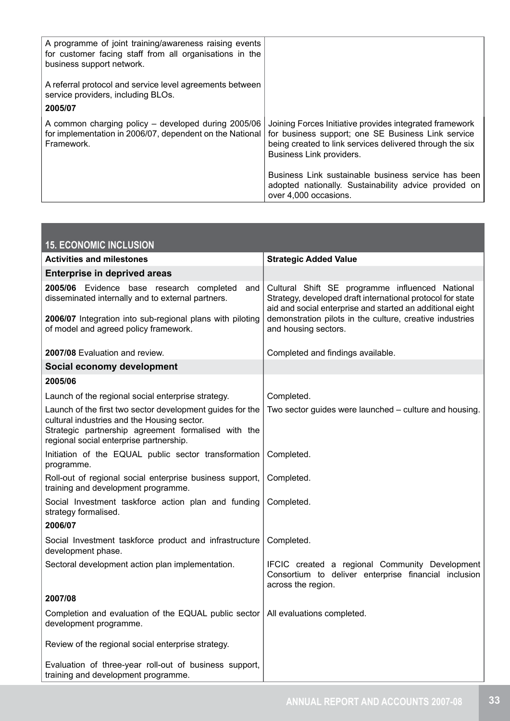| A programme of joint training/awareness raising events<br>for customer facing staff from all organisations in the<br>business support network. |                                                                                                                                                                                                       |
|------------------------------------------------------------------------------------------------------------------------------------------------|-------------------------------------------------------------------------------------------------------------------------------------------------------------------------------------------------------|
| A referral protocol and service level agreements between<br>service providers, including BLOs.                                                 |                                                                                                                                                                                                       |
| 2005/07                                                                                                                                        |                                                                                                                                                                                                       |
| A common charging policy - developed during 2005/06<br>for implementation in 2006/07, dependent on the National<br>Framework.                  | Joining Forces Initiative provides integrated framework<br>for business support; one SE Business Link service<br>being created to link services delivered through the six<br>Business Link providers. |
|                                                                                                                                                | Business Link sustainable business service has been<br>adopted nationally. Sustainability advice provided on<br>over 4,000 occasions.                                                                 |

| <b>15. ECONOMIC INCLUSION</b>                                                                                                                                                                              |                                                                                                                                                                                                                                        |
|------------------------------------------------------------------------------------------------------------------------------------------------------------------------------------------------------------|----------------------------------------------------------------------------------------------------------------------------------------------------------------------------------------------------------------------------------------|
| <b>Activities and milestones</b>                                                                                                                                                                           | <b>Strategic Added Value</b>                                                                                                                                                                                                           |
| <b>Enterprise in deprived areas</b>                                                                                                                                                                        |                                                                                                                                                                                                                                        |
| 2005/06 Evidence base research completed<br>and<br>disseminated internally and to external partners.<br>2006/07 Integration into sub-regional plans with piloting                                          | Cultural Shift SE programme influenced National<br>Strategy, developed draft international protocol for state<br>aid and social enterprise and started an additional eight<br>demonstration pilots in the culture, creative industries |
| of model and agreed policy framework.                                                                                                                                                                      | and housing sectors.                                                                                                                                                                                                                   |
| 2007/08 Evaluation and review.                                                                                                                                                                             | Completed and findings available.                                                                                                                                                                                                      |
| Social economy development                                                                                                                                                                                 |                                                                                                                                                                                                                                        |
| 2005/06                                                                                                                                                                                                    |                                                                                                                                                                                                                                        |
| Launch of the regional social enterprise strategy.                                                                                                                                                         | Completed.                                                                                                                                                                                                                             |
| Launch of the first two sector development guides for the<br>cultural industries and the Housing sector.<br>Strategic partnership agreement formalised with the<br>regional social enterprise partnership. | Two sector guides were launched – culture and housing.                                                                                                                                                                                 |
| Initiation of the EQUAL public sector transformation<br>programme.                                                                                                                                         | Completed.                                                                                                                                                                                                                             |
| Roll-out of regional social enterprise business support,<br>training and development programme.                                                                                                            | Completed.                                                                                                                                                                                                                             |
| Social Investment taskforce action plan and funding<br>strategy formalised.                                                                                                                                | Completed.                                                                                                                                                                                                                             |
| 2006/07                                                                                                                                                                                                    |                                                                                                                                                                                                                                        |
| Social Investment taskforce product and infrastructure<br>development phase.                                                                                                                               | Completed.                                                                                                                                                                                                                             |
| Sectoral development action plan implementation.                                                                                                                                                           | IFCIC created a regional Community Development<br>Consortium to deliver enterprise financial inclusion<br>across the region.                                                                                                           |
| 2007/08                                                                                                                                                                                                    |                                                                                                                                                                                                                                        |
| Completion and evaluation of the EQUAL public sector<br>development programme.                                                                                                                             | All evaluations completed.                                                                                                                                                                                                             |
| Review of the regional social enterprise strategy.                                                                                                                                                         |                                                                                                                                                                                                                                        |
| Evaluation of three-year roll-out of business support,<br>training and development programme.                                                                                                              |                                                                                                                                                                                                                                        |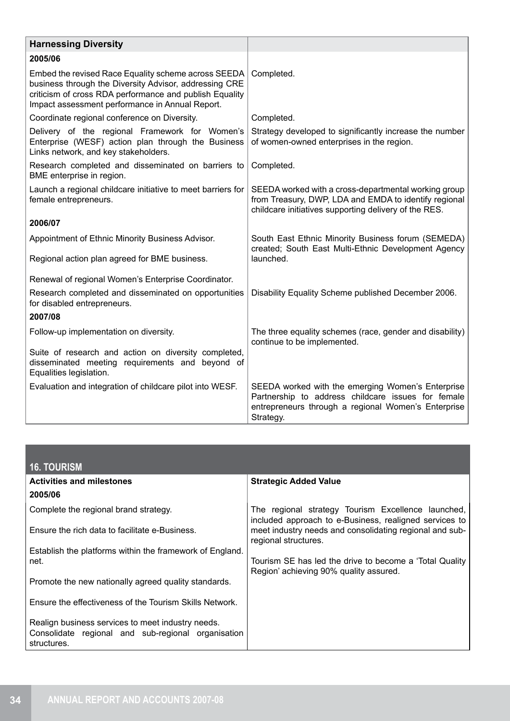| <b>Harnessing Diversity</b>                                                                                                                                                                                                 |                                                                                                                                                                             |
|-----------------------------------------------------------------------------------------------------------------------------------------------------------------------------------------------------------------------------|-----------------------------------------------------------------------------------------------------------------------------------------------------------------------------|
| 2005/06                                                                                                                                                                                                                     |                                                                                                                                                                             |
| Embed the revised Race Equality scheme across SEEDA<br>business through the Diversity Advisor, addressing CRE<br>criticism of cross RDA performance and publish Equality<br>Impact assessment performance in Annual Report. | Completed.                                                                                                                                                                  |
| Coordinate regional conference on Diversity.                                                                                                                                                                                | Completed.                                                                                                                                                                  |
| Delivery of the regional Framework for Women's<br>Enterprise (WESF) action plan through the Business<br>Links network, and key stakeholders.                                                                                | Strategy developed to significantly increase the number<br>of women-owned enterprises in the region.                                                                        |
| Research completed and disseminated on barriers to<br>BME enterprise in region.                                                                                                                                             | Completed.                                                                                                                                                                  |
| Launch a regional childcare initiative to meet barriers for<br>female entrepreneurs.                                                                                                                                        | SEEDA worked with a cross-departmental working group<br>from Treasury, DWP, LDA and EMDA to identify regional<br>childcare initiatives supporting delivery of the RES.      |
| 2006/07                                                                                                                                                                                                                     |                                                                                                                                                                             |
| Appointment of Ethnic Minority Business Advisor.                                                                                                                                                                            | South East Ethnic Minority Business forum (SEMEDA)<br>created; South East Multi-Ethnic Development Agency                                                                   |
| Regional action plan agreed for BME business.                                                                                                                                                                               | launched.                                                                                                                                                                   |
| Renewal of regional Women's Enterprise Coordinator.                                                                                                                                                                         |                                                                                                                                                                             |
| Research completed and disseminated on opportunities<br>for disabled entrepreneurs.                                                                                                                                         | Disability Equality Scheme published December 2006.                                                                                                                         |
| 2007/08                                                                                                                                                                                                                     |                                                                                                                                                                             |
| Follow-up implementation on diversity.                                                                                                                                                                                      | The three equality schemes (race, gender and disability)<br>continue to be implemented.                                                                                     |
| Suite of research and action on diversity completed,<br>disseminated meeting requirements and beyond of<br>Equalities legislation.                                                                                          |                                                                                                                                                                             |
| Evaluation and integration of childcare pilot into WESF.                                                                                                                                                                    | SEEDA worked with the emerging Women's Enterprise<br>Partnership to address childcare issues for female<br>entrepreneurs through a regional Women's Enterprise<br>Strategy. |

| <b>16. TOURISM</b>                                                                                                     |                                                                                                              |
|------------------------------------------------------------------------------------------------------------------------|--------------------------------------------------------------------------------------------------------------|
| <b>Activities and milestones</b>                                                                                       | <b>Strategic Added Value</b>                                                                                 |
| 2005/06                                                                                                                |                                                                                                              |
| Complete the regional brand strategy.                                                                                  | The regional strategy Tourism Excellence launched,<br>included approach to e-Business, realigned services to |
| Ensure the rich data to facilitate e-Business.                                                                         | meet industry needs and consolidating regional and sub-<br>regional structures.                              |
| Establish the platforms within the framework of England.<br>net.                                                       | Tourism SE has led the drive to become a 'Total Quality'                                                     |
|                                                                                                                        | Region' achieving 90% quality assured.                                                                       |
| Promote the new nationally agreed quality standards.                                                                   |                                                                                                              |
| Ensure the effectiveness of the Tourism Skills Network.                                                                |                                                                                                              |
| Realign business services to meet industry needs.<br>Consolidate regional and sub-regional organisation<br>structures. |                                                                                                              |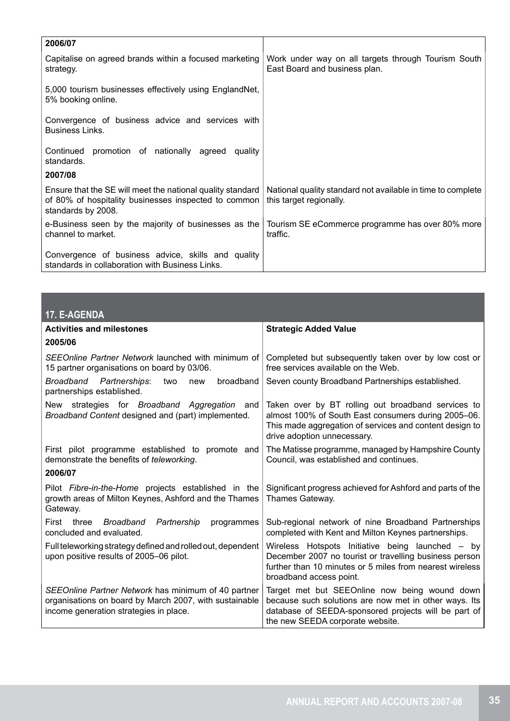| 2006/07                                                                                                                                  |                                                                                        |
|------------------------------------------------------------------------------------------------------------------------------------------|----------------------------------------------------------------------------------------|
| Capitalise on agreed brands within a focused marketing<br>strategy.                                                                      | Work under way on all targets through Tourism South<br>East Board and business plan.   |
| 5,000 tourism businesses effectively using EnglandNet,<br>5% booking online.                                                             |                                                                                        |
| Convergence of business advice and services with<br>Business Links.                                                                      |                                                                                        |
| Continued promotion of nationally agreed quality<br>standards.<br>2007/08                                                                |                                                                                        |
| Ensure that the SE will meet the national quality standard<br>of 80% of hospitality businesses inspected to common<br>standards by 2008. | National quality standard not available in time to complete<br>this target regionally. |
| e-Business seen by the majority of businesses as the<br>channel to market.                                                               | Tourism SE eCommerce programme has over 80% more<br>traffic.                           |
| Convergence of business advice, skills and quality<br>standards in collaboration with Business Links.                                    |                                                                                        |

| 17. E-AGENDA                                                                                                                                            |                                                                                                                                                                                                     |
|---------------------------------------------------------------------------------------------------------------------------------------------------------|-----------------------------------------------------------------------------------------------------------------------------------------------------------------------------------------------------|
| <b>Activities and milestones</b>                                                                                                                        | <b>Strategic Added Value</b>                                                                                                                                                                        |
| 2005/06                                                                                                                                                 |                                                                                                                                                                                                     |
| SEEOnline Partner Network launched with minimum of<br>15 partner organisations on board by 03/06.                                                       | Completed but subsequently taken over by low cost or<br>free services available on the Web.                                                                                                         |
| Broadband Partnerships:<br>broadband<br>two<br>new<br>partnerships established.                                                                         | Seven county Broadband Partnerships established.                                                                                                                                                    |
| strategies for Broadband Aggregation and<br>New<br>Broadband Content designed and (part) implemented.                                                   | Taken over by BT rolling out broadband services to<br>almost 100% of South East consumers during 2005-06.<br>This made aggregation of services and content design to<br>drive adoption unnecessary. |
| First pilot programme established to promote and<br>demonstrate the benefits of teleworking.                                                            | The Matisse programme, managed by Hampshire County<br>Council, was established and continues.                                                                                                       |
| 2006/07                                                                                                                                                 |                                                                                                                                                                                                     |
| Pilot <i>Fibre-in-the-Home</i> projects established in the<br>growth areas of Milton Keynes, Ashford and the Thames<br>Gateway.                         | Significant progress achieved for Ashford and parts of the<br>Thames Gateway.                                                                                                                       |
| three Broadband Partnership<br>programmes<br>First<br>concluded and evaluated.                                                                          | Sub-regional network of nine Broadband Partnerships<br>completed with Kent and Milton Keynes partnerships.                                                                                          |
| Full teleworking strategy defined and rolled out, dependent<br>upon positive results of 2005-06 pilot.                                                  | Wireless Hotspots Initiative being launched – by<br>December 2007 no tourist or travelling business person<br>further than 10 minutes or 5 miles from nearest wireless<br>broadband access point.   |
| SEEOnline Partner Network has minimum of 40 partner<br>organisations on board by March 2007, with sustainable<br>income generation strategies in place. | Target met but SEEOnline now being wound down<br>because such solutions are now met in other ways. Its<br>database of SEEDA-sponsored projects will be part of<br>the new SEEDA corporate website.  |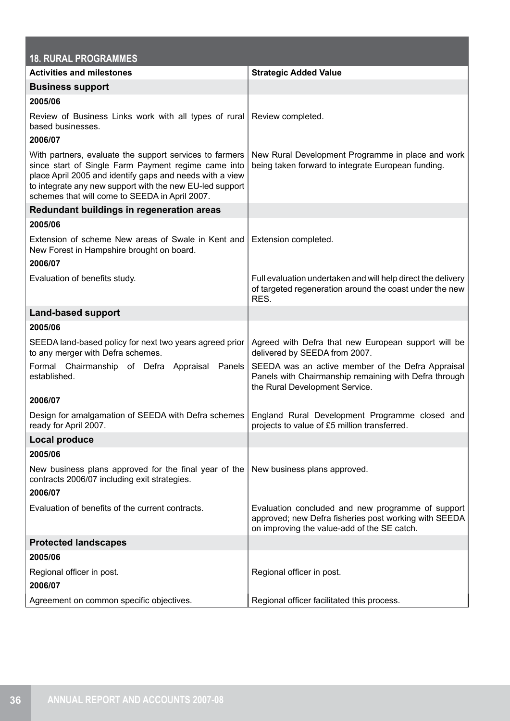| <b>18. RURAL PROGRAMMES</b>                                                                                                                                                                                                                                                              |                                                                                                                                                           |
|------------------------------------------------------------------------------------------------------------------------------------------------------------------------------------------------------------------------------------------------------------------------------------------|-----------------------------------------------------------------------------------------------------------------------------------------------------------|
| <b>Activities and milestones</b>                                                                                                                                                                                                                                                         | <b>Strategic Added Value</b>                                                                                                                              |
| <b>Business support</b>                                                                                                                                                                                                                                                                  |                                                                                                                                                           |
| 2005/06                                                                                                                                                                                                                                                                                  |                                                                                                                                                           |
| Review of Business Links work with all types of rural<br>based businesses.<br>2006/07                                                                                                                                                                                                    | Review completed.                                                                                                                                         |
| With partners, evaluate the support services to farmers<br>since start of Single Farm Payment regime came into<br>place April 2005 and identify gaps and needs with a view<br>to integrate any new support with the new EU-led support<br>schemes that will come to SEEDA in April 2007. | New Rural Development Programme in place and work<br>being taken forward to integrate European funding.                                                   |
| Redundant buildings in regeneration areas                                                                                                                                                                                                                                                |                                                                                                                                                           |
| 2005/06                                                                                                                                                                                                                                                                                  |                                                                                                                                                           |
| Extension of scheme New areas of Swale in Kent and<br>New Forest in Hampshire brought on board.<br>2006/07                                                                                                                                                                               | Extension completed.                                                                                                                                      |
| Evaluation of benefits study.                                                                                                                                                                                                                                                            | Full evaluation undertaken and will help direct the delivery<br>of targeted regeneration around the coast under the new<br>RES.                           |
| <b>Land-based support</b>                                                                                                                                                                                                                                                                |                                                                                                                                                           |
| 2005/06                                                                                                                                                                                                                                                                                  |                                                                                                                                                           |
| SEEDA land-based policy for next two years agreed prior<br>to any merger with Defra schemes.                                                                                                                                                                                             | Agreed with Defra that new European support will be<br>delivered by SEEDA from 2007.                                                                      |
| Formal Chairmanship of Defra Appraisal Panels<br>established.                                                                                                                                                                                                                            | SEEDA was an active member of the Defra Appraisal<br>Panels with Chairmanship remaining with Defra through<br>the Rural Development Service.              |
| 2006/07                                                                                                                                                                                                                                                                                  |                                                                                                                                                           |
| Design for amalgamation of SEEDA with Defra schemes England Rural Development Programme closed and<br>ready for April 2007.                                                                                                                                                              | projects to value of £5 million transferred.                                                                                                              |
| <b>Local produce</b>                                                                                                                                                                                                                                                                     |                                                                                                                                                           |
| 2005/06                                                                                                                                                                                                                                                                                  |                                                                                                                                                           |
| New business plans approved for the final year of the<br>contracts 2006/07 including exit strategies.                                                                                                                                                                                    | New business plans approved.                                                                                                                              |
| 2006/07                                                                                                                                                                                                                                                                                  |                                                                                                                                                           |
| Evaluation of benefits of the current contracts.                                                                                                                                                                                                                                         | Evaluation concluded and new programme of support<br>approved; new Defra fisheries post working with SEEDA<br>on improving the value-add of the SE catch. |
| <b>Protected landscapes</b>                                                                                                                                                                                                                                                              |                                                                                                                                                           |
| 2005/06                                                                                                                                                                                                                                                                                  |                                                                                                                                                           |
| Regional officer in post.<br>2006/07                                                                                                                                                                                                                                                     | Regional officer in post.                                                                                                                                 |
| Agreement on common specific objectives.                                                                                                                                                                                                                                                 | Regional officer facilitated this process.                                                                                                                |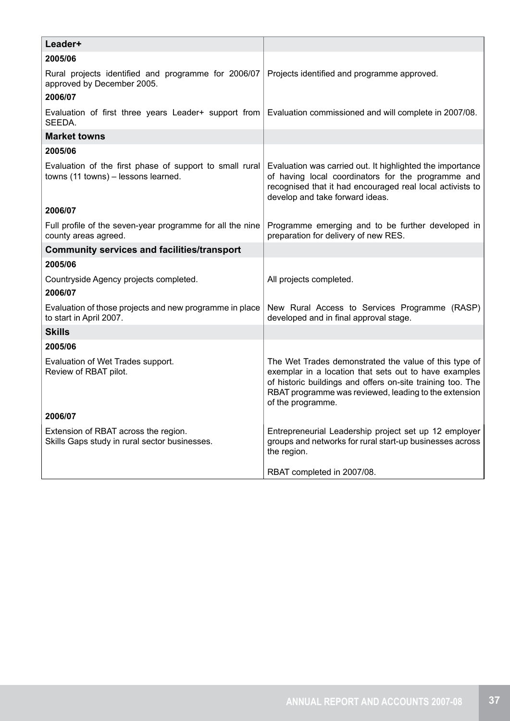| Leader+                                                                                        |                                                                                                                                                                                                                                                            |  |  |
|------------------------------------------------------------------------------------------------|------------------------------------------------------------------------------------------------------------------------------------------------------------------------------------------------------------------------------------------------------------|--|--|
| 2005/06                                                                                        |                                                                                                                                                                                                                                                            |  |  |
| Rural projects identified and programme for 2006/07<br>approved by December 2005.              | Projects identified and programme approved.                                                                                                                                                                                                                |  |  |
| 2006/07                                                                                        |                                                                                                                                                                                                                                                            |  |  |
| Evaluation of first three years Leader+ support from<br>SEEDA.                                 | Evaluation commissioned and will complete in 2007/08.                                                                                                                                                                                                      |  |  |
| <b>Market towns</b>                                                                            |                                                                                                                                                                                                                                                            |  |  |
| 2005/06                                                                                        |                                                                                                                                                                                                                                                            |  |  |
| Evaluation of the first phase of support to small rural<br>towns (11 towns) - lessons learned. | Evaluation was carried out. It highlighted the importance<br>of having local coordinators for the programme and<br>recognised that it had encouraged real local activists to<br>develop and take forward ideas.                                            |  |  |
| 2006/07                                                                                        |                                                                                                                                                                                                                                                            |  |  |
| Full profile of the seven-year programme for all the nine<br>county areas agreed.              | Programme emerging and to be further developed in<br>preparation for delivery of new RES.                                                                                                                                                                  |  |  |
| <b>Community services and facilities/transport</b>                                             |                                                                                                                                                                                                                                                            |  |  |
| 2005/06                                                                                        |                                                                                                                                                                                                                                                            |  |  |
| Countryside Agency projects completed.                                                         | All projects completed.                                                                                                                                                                                                                                    |  |  |
| 2006/07                                                                                        |                                                                                                                                                                                                                                                            |  |  |
| Evaluation of those projects and new programme in place<br>to start in April 2007.             | New Rural Access to Services Programme (RASP)<br>developed and in final approval stage.                                                                                                                                                                    |  |  |
| <b>Skills</b>                                                                                  |                                                                                                                                                                                                                                                            |  |  |
| 2005/06                                                                                        |                                                                                                                                                                                                                                                            |  |  |
| Evaluation of Wet Trades support.<br>Review of RBAT pilot.                                     | The Wet Trades demonstrated the value of this type of<br>exemplar in a location that sets out to have examples<br>of historic buildings and offers on-site training too. The<br>RBAT programme was reviewed, leading to the extension<br>of the programme. |  |  |
| 2006/07                                                                                        |                                                                                                                                                                                                                                                            |  |  |
| Extension of RBAT across the region.<br>Skills Gaps study in rural sector businesses.          | Entrepreneurial Leadership project set up 12 employer<br>groups and networks for rural start-up businesses across<br>the region.                                                                                                                           |  |  |
|                                                                                                | RBAT completed in 2007/08.                                                                                                                                                                                                                                 |  |  |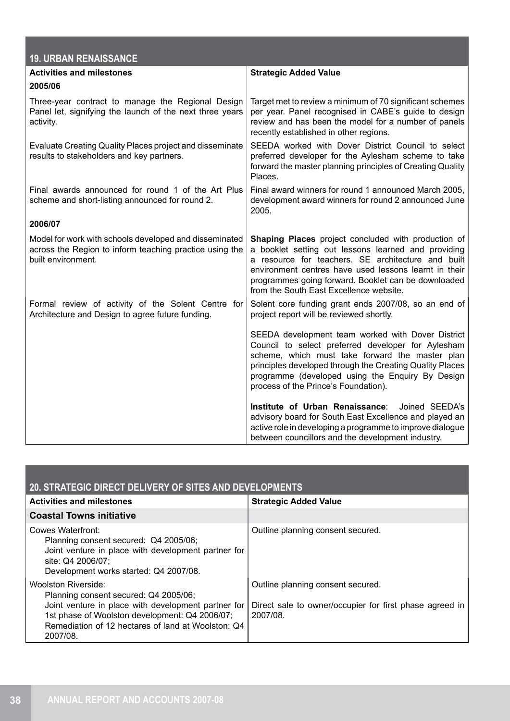| <b>19. URBAN RENAISSANCE</b>                                                                                                            |                                                                                                                                                                                                                                                                                                                             |
|-----------------------------------------------------------------------------------------------------------------------------------------|-----------------------------------------------------------------------------------------------------------------------------------------------------------------------------------------------------------------------------------------------------------------------------------------------------------------------------|
| <b>Activities and milestones</b>                                                                                                        | <b>Strategic Added Value</b>                                                                                                                                                                                                                                                                                                |
| 2005/06                                                                                                                                 |                                                                                                                                                                                                                                                                                                                             |
| Three-year contract to manage the Regional Design<br>Panel let, signifying the launch of the next three years<br>activity.              | Target met to review a minimum of 70 significant schemes<br>per year. Panel recognised in CABE's guide to design<br>review and has been the model for a number of panels<br>recently established in other regions.                                                                                                          |
| Evaluate Creating Quality Places project and disseminate<br>results to stakeholders and key partners.                                   | SEEDA worked with Dover District Council to select<br>preferred developer for the Aylesham scheme to take<br>forward the master planning principles of Creating Quality<br>Places.                                                                                                                                          |
| Final awards announced for round 1 of the Art Plus<br>scheme and short-listing announced for round 2.                                   | Final award winners for round 1 announced March 2005,<br>development award winners for round 2 announced June<br>2005.                                                                                                                                                                                                      |
| 2006/07                                                                                                                                 |                                                                                                                                                                                                                                                                                                                             |
| Model for work with schools developed and disseminated<br>across the Region to inform teaching practice using the<br>built environment. | Shaping Places project concluded with production of<br>a booklet setting out lessons learned and providing<br>a resource for teachers. SE architecture and built<br>environment centres have used lessons learnt in their<br>programmes going forward. Booklet can be downloaded<br>from the South East Excellence website. |
| Formal review of activity of the Solent Centre for<br>Architecture and Design to agree future funding.                                  | Solent core funding grant ends 2007/08, so an end of<br>project report will be reviewed shortly.                                                                                                                                                                                                                            |
|                                                                                                                                         | SEEDA development team worked with Dover District<br>Council to select preferred developer for Aylesham<br>scheme, which must take forward the master plan<br>principles developed through the Creating Quality Places<br>programme (developed using the Enquiry By Design<br>process of the Prince's Foundation).          |
|                                                                                                                                         | Institute of Urban Renaissance:<br>Joined SEEDA's<br>advisory board for South East Excellence and played an<br>active role in developing a programme to improve dialogue<br>between councillors and the development industry.                                                                                               |

| 20. STRATEGIC DIRECT DELIVERY OF SITES AND DEVELOPMENTS                                                                                                                                                                                 |                                                                                                         |  |  |
|-----------------------------------------------------------------------------------------------------------------------------------------------------------------------------------------------------------------------------------------|---------------------------------------------------------------------------------------------------------|--|--|
| <b>Activities and milestones</b>                                                                                                                                                                                                        | <b>Strategic Added Value</b>                                                                            |  |  |
| <b>Coastal Towns initiative</b>                                                                                                                                                                                                         |                                                                                                         |  |  |
| Cowes Waterfront:<br>Planning consent secured: Q4 2005/06;<br>Joint venture in place with development partner for<br>site: Q4 2006/07;<br>Development works started: Q4 2007/08.                                                        | Outline planning consent secured.                                                                       |  |  |
| Woolston Riverside:<br>Planning consent secured: Q4 2005/06;<br>Joint venture in place with development partner for<br>1st phase of Woolston development: Q4 2006/07;<br>Remediation of 12 hectares of land at Woolston: Q4<br>2007/08. | Outline planning consent secured.<br>Direct sale to owner/occupier for first phase agreed in<br>2007/08 |  |  |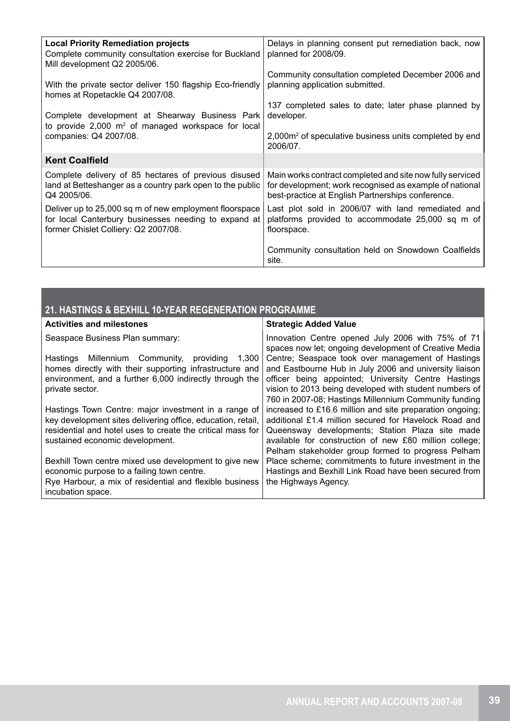| <b>Local Priority Remediation projects</b><br>Complete community consultation exercise for Buckland<br>Mill development Q2 2005/06. | Delays in planning consent put remediation back, now<br>planned for 2008/09.   |
|-------------------------------------------------------------------------------------------------------------------------------------|--------------------------------------------------------------------------------|
| With the private sector deliver 150 flagship Eco-friendly                                                                           | Community consultation completed December 2006 and                             |
| homes at Ropetackle Q4 2007/08.                                                                                                     | planning application submitted.                                                |
| Complete development at Shearway Business Park                                                                                      | 137 completed sales to date; later phase planned by                            |
| to provide $2,000$ m <sup>2</sup> of managed workspace for local                                                                    | developer.                                                                     |
| companies: Q4 2007/08.                                                                                                              | 2,000m <sup>2</sup> of speculative business units completed by end<br>2006/07. |
| <b>Kent Coalfield</b>                                                                                                               |                                                                                |
| Complete delivery of 85 hectares of previous disused                                                                                | Main works contract completed and site now fully serviced                      |
| land at Betteshanger as a country park open to the public                                                                           | for development; work recognised as example of national                        |
| Q4 2005/06.                                                                                                                         | best-practice at English Partnerships conference.                              |
| Deliver up to 25,000 sq m of new employment floorspace                                                                              | Last plot sold in 2006/07 with land remediated and                             |
| for local Canterbury businesses needing to expand at                                                                                | platforms provided to accommodate 25,000 sq m of                               |
| former Chislet Colliery: Q2 2007/08.                                                                                                | floorspace.                                                                    |
|                                                                                                                                     | Community consultation held on Snowdown Coalfields<br>site.                    |

# **21. HASTINGS & BEXHILL 10-YEAR REGENERATION PROGRAMME**

| <b>Activities and milestones</b>                            | <b>Strategic Added Value</b>                                                                               |
|-------------------------------------------------------------|------------------------------------------------------------------------------------------------------------|
| Seaspace Business Plan summary:                             | Innovation Centre opened July 2006 with 75% of 71<br>spaces now let; ongoing development of Creative Media |
| Hastings Millennium Community,<br>providing<br>1.300        | Centre; Seaspace took over management of Hastings                                                          |
| homes directly with their supporting infrastructure and     | and Eastbourne Hub in July 2006 and university liaison                                                     |
| environment, and a further 6,000 indirectly through the     | officer being appointed; University Centre Hastings                                                        |
| private sector.                                             | vision to 2013 being developed with student numbers of                                                     |
|                                                             | 760 in 2007-08; Hastings Millennium Community funding                                                      |
| Hastings Town Centre: major investment in a range of        | increased to £16.6 million and site preparation ongoing;                                                   |
| key development sites delivering office, education, retail, | additional £1.4 million secured for Havelock Road and                                                      |
| residential and hotel uses to create the critical mass for  | Queensway developments; Station Plaza site made                                                            |
| sustained economic development.                             | available for construction of new £80 million college;                                                     |
|                                                             | Pelham stakeholder group formed to progress Pelham                                                         |
| Bexhill Town centre mixed use development to give new       | Place scheme; commitments to future investment in the                                                      |
| economic purpose to a failing town centre.                  | Hastings and Bexhill Link Road have been secured from                                                      |
| Rye Harbour, a mix of residential and flexible business     | the Highways Agency.                                                                                       |
| incubation space.                                           |                                                                                                            |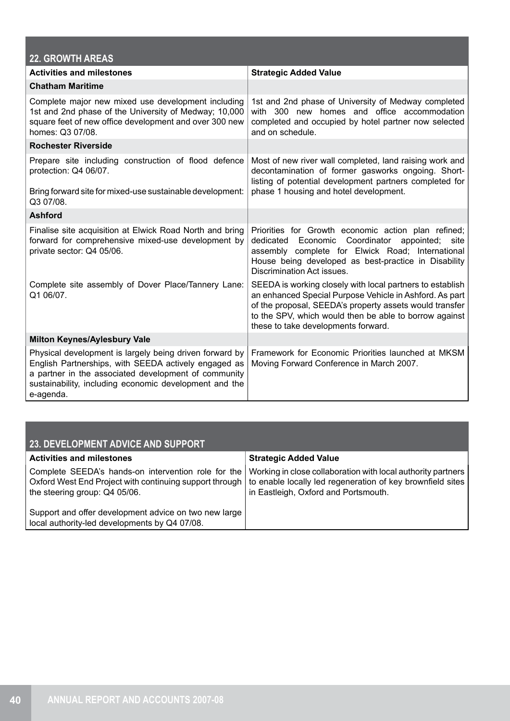| <b>22. GROWTH AREAS</b>                                                                                                                                                                                                                                   |                                                                                                                                                                                                                                                                                  |
|-----------------------------------------------------------------------------------------------------------------------------------------------------------------------------------------------------------------------------------------------------------|----------------------------------------------------------------------------------------------------------------------------------------------------------------------------------------------------------------------------------------------------------------------------------|
| <b>Activities and milestones</b>                                                                                                                                                                                                                          | <b>Strategic Added Value</b>                                                                                                                                                                                                                                                     |
| <b>Chatham Maritime</b>                                                                                                                                                                                                                                   |                                                                                                                                                                                                                                                                                  |
| Complete major new mixed use development including<br>1st and 2nd phase of the University of Medway; 10,000<br>square feet of new office development and over 300 new<br>homes: Q3 07/08.                                                                 | 1st and 2nd phase of University of Medway completed<br>with 300 new homes and office accommodation<br>completed and occupied by hotel partner now selected<br>and on schedule.                                                                                                   |
| <b>Rochester Riverside</b>                                                                                                                                                                                                                                |                                                                                                                                                                                                                                                                                  |
| Prepare site including construction of flood defence<br>Most of new river wall completed, land raising work and<br>protection: Q4 06/07.<br>decontamination of former gasworks ongoing. Short-<br>listing of potential development partners completed for |                                                                                                                                                                                                                                                                                  |
| Bring forward site for mixed-use sustainable development:<br>Q3 07/08.                                                                                                                                                                                    | phase 1 housing and hotel development.                                                                                                                                                                                                                                           |
| <b>Ashford</b>                                                                                                                                                                                                                                            |                                                                                                                                                                                                                                                                                  |
| Finalise site acquisition at Elwick Road North and bring<br>forward for comprehensive mixed-use development by<br>private sector: Q4 05/06.                                                                                                               | Priorities for Growth economic action plan refined;<br>dedicated<br>Economic Coordinator<br>appointed;<br>site<br>assembly complete for Elwick Road; International<br>House being developed as best-practice in Disability<br>Discrimination Act issues.                         |
| Complete site assembly of Dover Place/Tannery Lane:<br>Q1 06/07.                                                                                                                                                                                          | SEEDA is working closely with local partners to establish<br>an enhanced Special Purpose Vehicle in Ashford. As part<br>of the proposal, SEEDA's property assets would transfer<br>to the SPV, which would then be able to borrow against<br>these to take developments forward. |
| <b>Milton Keynes/Aylesbury Vale</b>                                                                                                                                                                                                                       |                                                                                                                                                                                                                                                                                  |
| Physical development is largely being driven forward by<br>English Partnerships, with SEEDA actively engaged as<br>a partner in the associated development of community<br>sustainability, including economic development and the<br>e-agenda.            | Framework for Economic Priorities launched at MKSM<br>Moving Forward Conference in March 2007.                                                                                                                                                                                   |

| 23. DEVELOPMENT ADVICE AND SUPPORT                                                                                                              |                                                                                                                                                                    |  |  |  |
|-------------------------------------------------------------------------------------------------------------------------------------------------|--------------------------------------------------------------------------------------------------------------------------------------------------------------------|--|--|--|
| <b>Activities and milestones</b>                                                                                                                | <b>Strategic Added Value</b>                                                                                                                                       |  |  |  |
| Complete SEEDA's hands-on intervention role for the<br>Oxford West End Project with continuing support through<br>the steering group: Q4 05/06. | Working in close collaboration with local authority partners<br>to enable locally led regeneration of key brownfield sites<br>in Eastleigh, Oxford and Portsmouth. |  |  |  |
| Support and offer development advice on two new large<br>local authority-led developments by Q4 07/08.                                          |                                                                                                                                                                    |  |  |  |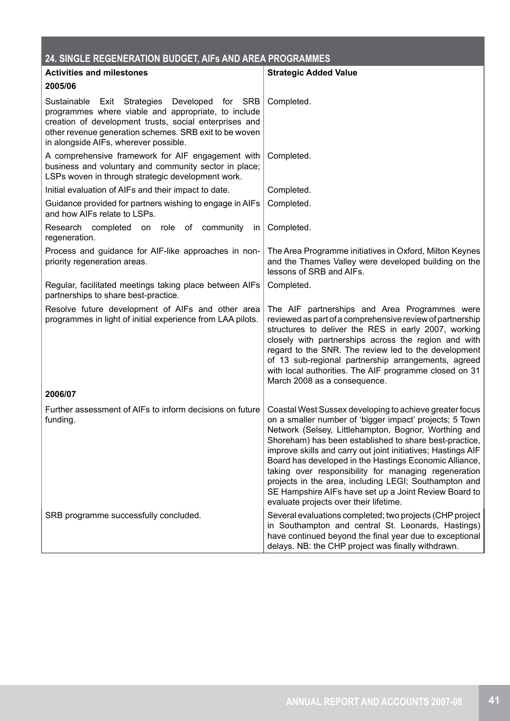| 24. SINGLE REGENERATION BUDGET, AIFS AND AREA PROGRAMMES                                                                                                                                                                                                          |                                                                                                                                                                                                                                                                                                                                                                                                                                                                                                                                                                                    |  |
|-------------------------------------------------------------------------------------------------------------------------------------------------------------------------------------------------------------------------------------------------------------------|------------------------------------------------------------------------------------------------------------------------------------------------------------------------------------------------------------------------------------------------------------------------------------------------------------------------------------------------------------------------------------------------------------------------------------------------------------------------------------------------------------------------------------------------------------------------------------|--|
| <b>Activities and milestones</b>                                                                                                                                                                                                                                  | <b>Strategic Added Value</b>                                                                                                                                                                                                                                                                                                                                                                                                                                                                                                                                                       |  |
| 2005/06                                                                                                                                                                                                                                                           |                                                                                                                                                                                                                                                                                                                                                                                                                                                                                                                                                                                    |  |
| Sustainable Exit Strategies Developed for SRB<br>programmes where viable and appropriate, to include<br>creation of development trusts, social enterprises and<br>other revenue generation schemes. SRB exit to be woven<br>in alongside AIFs, wherever possible. | Completed.                                                                                                                                                                                                                                                                                                                                                                                                                                                                                                                                                                         |  |
| A comprehensive framework for AIF engagement with<br>business and voluntary and community sector in place;<br>LSPs woven in through strategic development work.                                                                                                   | Completed.                                                                                                                                                                                                                                                                                                                                                                                                                                                                                                                                                                         |  |
| Initial evaluation of AIFs and their impact to date.                                                                                                                                                                                                              | Completed.                                                                                                                                                                                                                                                                                                                                                                                                                                                                                                                                                                         |  |
| Guidance provided for partners wishing to engage in AIFs<br>and how AIFs relate to LSPs.                                                                                                                                                                          | Completed.                                                                                                                                                                                                                                                                                                                                                                                                                                                                                                                                                                         |  |
| Research completed<br>on role of community<br>in.<br>regeneration.                                                                                                                                                                                                | Completed.                                                                                                                                                                                                                                                                                                                                                                                                                                                                                                                                                                         |  |
| Process and guidance for AIF-like approaches in non-<br>priority regeneration areas.                                                                                                                                                                              | The Area Programme initiatives in Oxford, Milton Keynes<br>and the Thames Valley were developed building on the<br>lessons of SRB and AIFs.                                                                                                                                                                                                                                                                                                                                                                                                                                        |  |
| Regular, facilitated meetings taking place between AIFs<br>partnerships to share best-practice.                                                                                                                                                                   | Completed.                                                                                                                                                                                                                                                                                                                                                                                                                                                                                                                                                                         |  |
| Resolve future development of AIFs and other area<br>programmes in light of initial experience from LAA pilots.                                                                                                                                                   | The AIF partnerships and Area Programmes were<br>reviewed as part of a comprehensive review of partnership<br>structures to deliver the RES in early 2007, working<br>closely with partnerships across the region and with<br>regard to the SNR. The review led to the development<br>of 13 sub-regional partnership arrangements, agreed<br>with local authorities. The AIF programme closed on 31<br>March 2008 as a consequence.                                                                                                                                                |  |
| 2006/07                                                                                                                                                                                                                                                           |                                                                                                                                                                                                                                                                                                                                                                                                                                                                                                                                                                                    |  |
| Further assessment of AIFs to inform decisions on future<br>funding.                                                                                                                                                                                              | Coastal West Sussex developing to achieve greater focus<br>on a smaller number of 'bigger impact' projects; 5 Town<br>Network (Selsey, Littlehampton, Bognor, Worthing and<br>Shoreham) has been established to share best-practice,<br>improve skills and carry out joint initiatives; Hastings AIF<br>Board has developed in the Hastings Economic Alliance,<br>taking over responsibility for managing regeneration<br>projects in the area, including LEGI; Southampton and<br>SE Hampshire AIFs have set up a Joint Review Board to<br>evaluate projects over their lifetime. |  |
| SRB programme successfully concluded.                                                                                                                                                                                                                             | Several evaluations completed; two projects (CHP project<br>in Southampton and central St. Leonards, Hastings)<br>have continued beyond the final year due to exceptional<br>delays. NB: the CHP project was finally withdrawn.                                                                                                                                                                                                                                                                                                                                                    |  |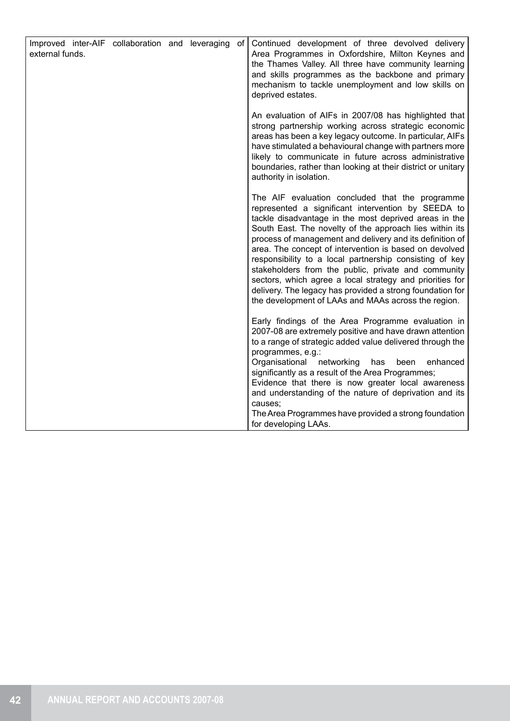| Improved inter-AIF collaboration and leveraging of<br>external funds. |  |  | Continued development of three devolved delivery<br>Area Programmes in Oxfordshire, Milton Keynes and<br>the Thames Valley. All three have community learning<br>and skills programmes as the backbone and primary<br>mechanism to tackle unemployment and low skills on<br>deprived estates.                                                                                                                                                                                                                                                                                                                                                     |
|-----------------------------------------------------------------------|--|--|---------------------------------------------------------------------------------------------------------------------------------------------------------------------------------------------------------------------------------------------------------------------------------------------------------------------------------------------------------------------------------------------------------------------------------------------------------------------------------------------------------------------------------------------------------------------------------------------------------------------------------------------------|
|                                                                       |  |  | An evaluation of AIFs in 2007/08 has highlighted that<br>strong partnership working across strategic economic<br>areas has been a key legacy outcome. In particular, AIFs<br>have stimulated a behavioural change with partners more<br>likely to communicate in future across administrative<br>boundaries, rather than looking at their district or unitary<br>authority in isolation.                                                                                                                                                                                                                                                          |
|                                                                       |  |  | The AIF evaluation concluded that the programme<br>represented a significant intervention by SEEDA to<br>tackle disadvantage in the most deprived areas in the<br>South East. The novelty of the approach lies within its<br>process of management and delivery and its definition of<br>area. The concept of intervention is based on devolved<br>responsibility to a local partnership consisting of key<br>stakeholders from the public, private and community<br>sectors, which agree a local strategy and priorities for<br>delivery. The legacy has provided a strong foundation for<br>the development of LAAs and MAAs across the region. |
|                                                                       |  |  | Early findings of the Area Programme evaluation in<br>2007-08 are extremely positive and have drawn attention<br>to a range of strategic added value delivered through the<br>programmes, e.g.:<br>Organisational<br>networking<br>enhanced<br>has<br>been<br>significantly as a result of the Area Programmes;<br>Evidence that there is now greater local awareness<br>and understanding of the nature of deprivation and its<br>causes;<br>The Area Programmes have provided a strong foundation<br>for developing LAAs.                                                                                                                       |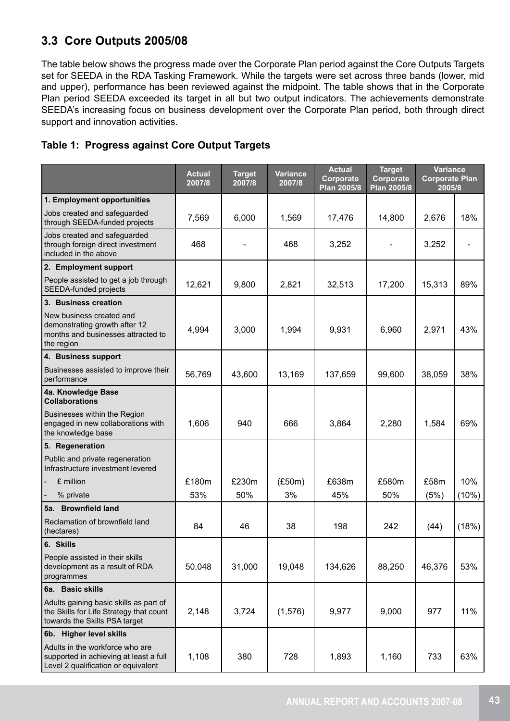# **3.3 Core Outputs 2005/08**

The table below shows the progress made over the Corporate Plan period against the Core Outputs Targets set for SEEDA in the RDA Tasking Framework. While the targets were set across three bands (lower, mid and upper), performance has been reviewed against the midpoint. The table shows that in the Corporate Plan period SEEDA exceeded its target in all but two output indicators. The achievements demonstrate SEEDA's increasing focus on business development over the Corporate Plan period, both through direct support and innovation activities.

# **Table 1: Progress against Core Output Targets**

|                                                                                                                    | <b>Actual</b><br>2007/8 | <b>Target</b><br>2007/8 | Variance<br>2007/8 | <b>Actual</b><br><b>Target</b><br>Corporate<br>Corporate<br>Plan 2005/8<br>Plan 2005/8 |        | <b>Variance</b><br><b>Corporate Plan</b><br>2005/8 |       |
|--------------------------------------------------------------------------------------------------------------------|-------------------------|-------------------------|--------------------|----------------------------------------------------------------------------------------|--------|----------------------------------------------------|-------|
| 1. Employment opportunities                                                                                        |                         |                         |                    |                                                                                        |        |                                                    |       |
| Jobs created and safeguarded<br>through SEEDA-funded projects                                                      | 7,569                   | 6,000                   | 1,569              | 17,476                                                                                 | 14,800 | 2,676                                              | 18%   |
| Jobs created and safeguarded<br>through foreign direct investment<br>included in the above                         | 468                     |                         | 468                | 3,252                                                                                  |        | 3,252                                              |       |
| 2. Employment support                                                                                              |                         |                         |                    |                                                                                        |        |                                                    |       |
| People assisted to get a job through<br><b>SEEDA-funded projects</b>                                               | 12,621                  | 9,800                   | 2,821              | 32,513                                                                                 | 17,200 | 15,313                                             | 89%   |
| 3. Business creation                                                                                               |                         |                         |                    |                                                                                        |        |                                                    |       |
| New business created and<br>demonstrating growth after 12<br>months and businesses attracted to<br>the region      | 4,994                   | 3,000                   | 1,994              | 9,931                                                                                  | 6,960  | 2,971                                              | 43%   |
| 4. Business support                                                                                                |                         |                         |                    |                                                                                        |        |                                                    |       |
| Businesses assisted to improve their<br>performance                                                                | 56,769                  | 43,600                  | 13,169             | 137,659                                                                                | 99,600 | 38,059                                             | 38%   |
| 4a. Knowledge Base<br><b>Collaborations</b>                                                                        |                         |                         |                    |                                                                                        |        |                                                    |       |
| Businesses within the Region<br>engaged in new collaborations with<br>the knowledge base                           | 1,606                   | 940                     | 666                | 3,864                                                                                  | 2,280  | 1,584                                              | 69%   |
| 5. Regeneration                                                                                                    |                         |                         |                    |                                                                                        |        |                                                    |       |
| Public and private regeneration<br>Infrastructure investment levered                                               |                         |                         |                    |                                                                                        |        |                                                    |       |
| £ million                                                                                                          | £180m                   | £230m                   | (E50m)             | £638m                                                                                  | £580m  | £58m                                               | 10%   |
| % private                                                                                                          | 53%                     | 50%                     | 3%                 | 45%                                                                                    | 50%    | (5%)                                               | (10%) |
| 5a. Brownfield land                                                                                                |                         |                         |                    |                                                                                        |        |                                                    |       |
| Reclamation of brownfield land<br>(hectares)                                                                       | 84                      | 46                      | 38                 | 198                                                                                    | 242    | (44)                                               | (18%) |
| 6. Skills                                                                                                          |                         |                         |                    |                                                                                        |        |                                                    |       |
| People assisted in their skills<br>development as a result of RDA<br>programmes                                    | 50,048                  | 31,000                  | 19,048             | 134,626                                                                                | 88,250 | 46,376                                             | 53%   |
| 6a. Basic skills                                                                                                   |                         |                         |                    |                                                                                        |        |                                                    |       |
| Adults gaining basic skills as part of<br>the Skills for Life Strategy that count<br>towards the Skills PSA target | 2,148                   | 3,724                   | (1, 576)           | 9,977                                                                                  | 9,000  | 977                                                | 11%   |
| 6b. Higher level skills                                                                                            |                         |                         |                    |                                                                                        |        |                                                    |       |
| Adults in the workforce who are<br>supported in achieving at least a full<br>Level 2 qualification or equivalent   | 1,108                   | 380                     | 728                | 1,893                                                                                  | 1,160  | 733                                                | 63%   |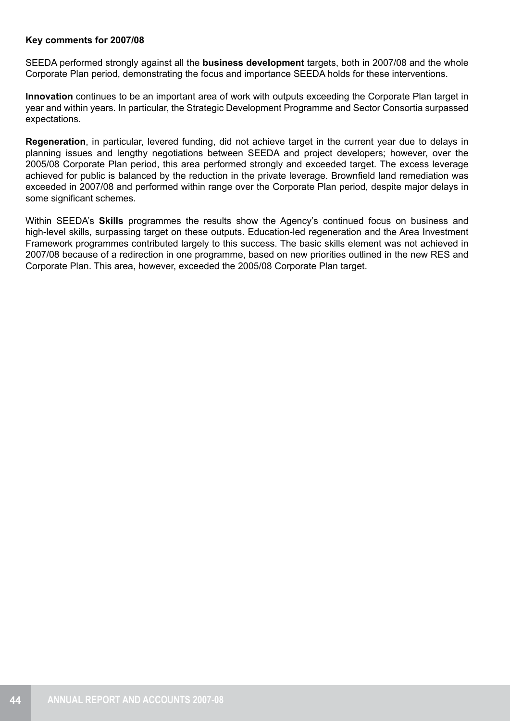## **Key comments for 2007/08**

SEEDA performed strongly against all the **business development** targets, both in 2007/08 and the whole Corporate Plan period, demonstrating the focus and importance SEEDA holds for these interventions.

**Innovation** continues to be an important area of work with outputs exceeding the Corporate Plan target in year and within years. In particular, the Strategic Development Programme and Sector Consortia surpassed expectations.

**Regeneration**, in particular, levered funding, did not achieve target in the current year due to delays in planning issues and lengthy negotiations between SEEDA and project developers; however, over the 2005/08 Corporate Plan period, this area performed strongly and exceeded target. The excess leverage achieved for public is balanced by the reduction in the private leverage. Brownfield land remediation was exceeded in 2007/08 and performed within range over the Corporate Plan period, despite major delays in some significant schemes.

Within SEEDA's **Skills** programmes the results show the Agency's continued focus on business and high-level skills, surpassing target on these outputs. Education-led regeneration and the Area Investment Framework programmes contributed largely to this success. The basic skills element was not achieved in 2007/08 because of a redirection in one programme, based on new priorities outlined in the new RES and Corporate Plan. This area, however, exceeded the 2005/08 Corporate Plan target.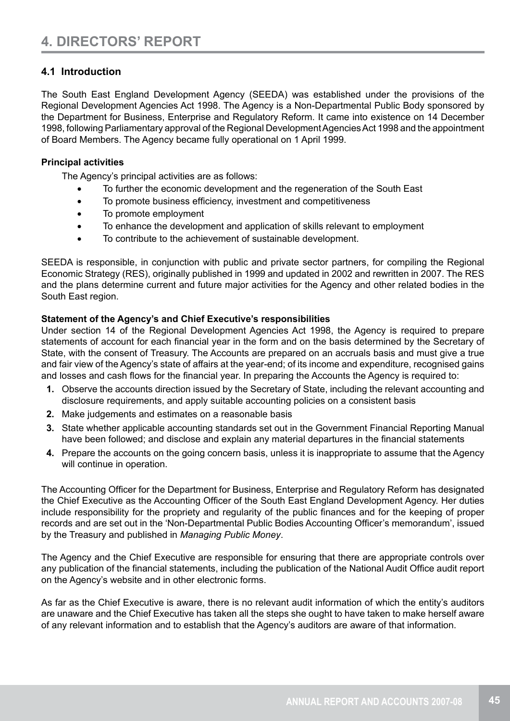# **4.1 Introduction**

The South East England Development Agency (SEEDA) was established under the provisions of the Regional Development Agencies Act 1998. The Agency is a Non-Departmental Public Body sponsored by the Department for Business, Enterprise and Regulatory Reform. It came into existence on 14 December 1998, following Parliamentary approval of the Regional Development Agencies Act 1998 and the appointment of Board Members. The Agency became fully operational on 1 April 1999.

# **Principal activities**

The Agency's principal activities are as follows:

- • To further the economic development and the regeneration of the South East
- To promote business efficiency, investment and competitiveness
- To promote employment
- • To enhance the development and application of skills relevant to employment
- • To contribute to the achievement of sustainable development.

SEEDA is responsible, in conjunction with public and private sector partners, for compiling the Regional Economic Strategy (RES), originally published in 1999 and updated in 2002 and rewritten in 2007. The RES and the plans determine current and future major activities for the Agency and other related bodies in the South East region.

# **Statement of the Agency's and Chief Executive's responsibilities**

Under section 14 of the Regional Development Agencies Act 1998, the Agency is required to prepare statements of account for each financial year in the form and on the basis determined by the Secretary of State, with the consent of Treasury. The Accounts are prepared on an accruals basis and must give a true and fair view of the Agency's state of affairs at the year-end; of its income and expenditure, recognised gains and losses and cash flows for the financial year. In preparing the Accounts the Agency is required to:

- **1.** Observe the accounts direction issued by the Secretary of State, including the relevant accounting and disclosure requirements, and apply suitable accounting policies on a consistent basis
- **2.** Make judgements and estimates on a reasonable basis
- **3.** State whether applicable accounting standards set out in the Government Financial Reporting Manual have been followed; and disclose and explain any material departures in the financial statements
- **4.** Prepare the accounts on the going concern basis, unless it is inappropriate to assume that the Agency will continue in operation.

The Accounting Officer for the Department for Business, Enterprise and Regulatory Reform has designated the Chief Executive as the Accounting Officer of the South East England Development Agency. Her duties include responsibility for the propriety and regularity of the public finances and for the keeping of proper records and are set out in the 'Non-Departmental Public Bodies Accounting Officer's memorandum', issued by the Treasury and published in *Managing Public Money*.

The Agency and the Chief Executive are responsible for ensuring that there are appropriate controls over any publication of the financial statements, including the publication of the National Audit Office audit report on the Agency's website and in other electronic forms.

As far as the Chief Executive is aware, there is no relevant audit information of which the entity's auditors are unaware and the Chief Executive has taken all the steps she ought to have taken to make herself aware of any relevant information and to establish that the Agency's auditors are aware of that information.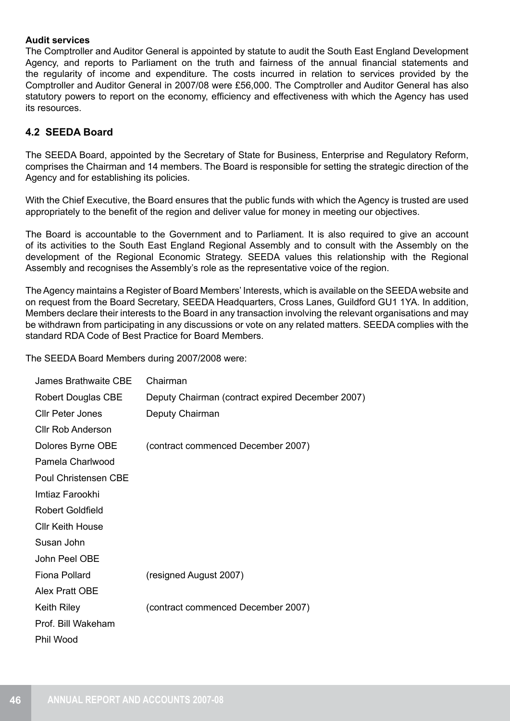# **Audit services**

The Comptroller and Auditor General is appointed by statute to audit the South East England Development Agency, and reports to Parliament on the truth and fairness of the annual financial statements and the regularity of income and expenditure. The costs incurred in relation to services provided by the Comptroller and Auditor General in 2007/08 were £56,000. The Comptroller and Auditor General has also statutory powers to report on the economy, efficiency and effectiveness with which the Agency has used its resources.

# **4.2 SEEDA Board**

The SEEDA Board, appointed by the Secretary of State for Business, Enterprise and Regulatory Reform, comprises the Chairman and 14 members. The Board is responsible for setting the strategic direction of the Agency and for establishing its policies.

With the Chief Executive, the Board ensures that the public funds with which the Agency is trusted are used appropriately to the benefit of the region and deliver value for money in meeting our objectives.

The Board is accountable to the Government and to Parliament. It is also required to give an account of its activities to the South East England Regional Assembly and to consult with the Assembly on the development of the Regional Economic Strategy. SEEDA values this relationship with the Regional Assembly and recognises the Assembly's role as the representative voice of the region.

The Agency maintains a Register of Board Members' Interests, which is available on the SEEDA website and on request from the Board Secretary, SEEDA Headquarters, Cross Lanes, Guildford GU1 1YA. In addition, Members declare their interests to the Board in any transaction involving the relevant organisations and may be withdrawn from participating in any discussions or vote on any related matters. SEEDA complies with the standard RDA Code of Best Practice for Board Members.

The SEEDA Board Members during 2007/2008 were:

| <b>James Brathwaite CBE</b> | Chairman                                         |
|-----------------------------|--------------------------------------------------|
| <b>Robert Douglas CBE</b>   | Deputy Chairman (contract expired December 2007) |
| <b>CIIr Peter Jones</b>     | Deputy Chairman                                  |
| <b>CIIr Rob Anderson</b>    |                                                  |
| Dolores Byrne OBE           | (contract commenced December 2007)               |
| Pamela Charlwood            |                                                  |
| <b>Poul Christensen CBE</b> |                                                  |
| Imtiaz Farookhi             |                                                  |
| <b>Robert Goldfield</b>     |                                                  |
| <b>CIIr Keith House</b>     |                                                  |
| Susan John                  |                                                  |
| <b>John Peel OBE</b>        |                                                  |
| Fiona Pollard               | (resigned August 2007)                           |
| <b>Alex Pratt OBE</b>       |                                                  |
| <b>Keith Riley</b>          | (contract commenced December 2007)               |
| Prof. Bill Wakeham          |                                                  |
| Phil Wood                   |                                                  |
|                             |                                                  |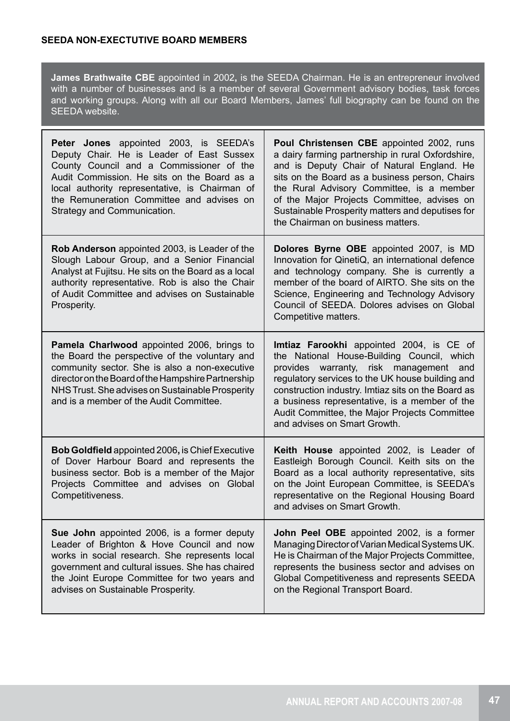**James Brathwaite CBE** appointed in 2002**,** is the SEEDA Chairman. He is an entrepreneur involved with a number of businesses and is a member of several Government advisory bodies, task forces and working groups. Along with all our Board Members, James' full biography can be found on the SEEDA website.

| <b>Peter Jones</b> appointed 2003, is SEEDA's<br>Deputy Chair. He is Leader of East Sussex<br>County Council and a Commissioner of the<br>Audit Commission. He sits on the Board as a<br>local authority representative, is Chairman of<br>the Remuneration Committee and advises on<br>Strategy and Communication. | Poul Christensen CBE appointed 2002, runs<br>a dairy farming partnership in rural Oxfordshire,<br>and is Deputy Chair of Natural England. He<br>sits on the Board as a business person, Chairs<br>the Rural Advisory Committee, is a member<br>of the Major Projects Committee, advises on<br>Sustainable Prosperity matters and deputises for<br>the Chairman on business matters. |
|---------------------------------------------------------------------------------------------------------------------------------------------------------------------------------------------------------------------------------------------------------------------------------------------------------------------|-------------------------------------------------------------------------------------------------------------------------------------------------------------------------------------------------------------------------------------------------------------------------------------------------------------------------------------------------------------------------------------|
| Rob Anderson appointed 2003, is Leader of the<br>Slough Labour Group, and a Senior Financial<br>Analyst at Fujitsu. He sits on the Board as a local<br>authority representative. Rob is also the Chair<br>of Audit Committee and advises on Sustainable<br>Prosperity.                                              | Dolores Byrne OBE appointed 2007, is MD<br>Innovation for QinetiQ, an international defence<br>and technology company. She is currently a<br>member of the board of AIRTO. She sits on the<br>Science, Engineering and Technology Advisory<br>Council of SEEDA. Dolores advises on Global<br>Competitive matters.                                                                   |
| Pamela Charlwood appointed 2006, brings to<br>the Board the perspective of the voluntary and<br>community sector. She is also a non-executive<br>director on the Board of the Hampshire Partnership<br>NHS Trust. She advises on Sustainable Prosperity<br>and is a member of the Audit Committee.                  | Imtiaz Farookhi appointed 2004, is CE of<br>the National House-Building Council, which<br>provides warranty, risk management and<br>regulatory services to the UK house building and<br>construction industry. Imtiaz sits on the Board as<br>a business representative, is a member of the<br>Audit Committee, the Major Projects Committee<br>and advises on Smart Growth.        |
| <b>Bob Goldfield</b> appointed 2006, is Chief Executive<br>of Dover Harbour Board and represents the<br>business sector. Bob is a member of the Major<br>Projects Committee and advises on Global<br>Competitiveness.                                                                                               | Keith House appointed 2002, is Leader of<br>Eastleigh Borough Council. Keith sits on the<br>Board as a local authority representative, sits<br>on the Joint European Committee, is SEEDA's<br>representative on the Regional Housing Board<br>and advises on Smart Growth.                                                                                                          |
| Sue John appointed 2006, is a former deputy<br>Leader of Brighton & Hove Council and now<br>works in social research. She represents local<br>government and cultural issues. She has chaired<br>the Joint Europe Committee for two years and<br>advises on Sustainable Prosperity.                                 | John Peel OBE appointed 2002, is a former<br>Managing Director of Varian Medical Systems UK.<br>He is Chairman of the Major Projects Committee,<br>represents the business sector and advises on<br>Global Competitiveness and represents SEEDA<br>on the Regional Transport Board.                                                                                                 |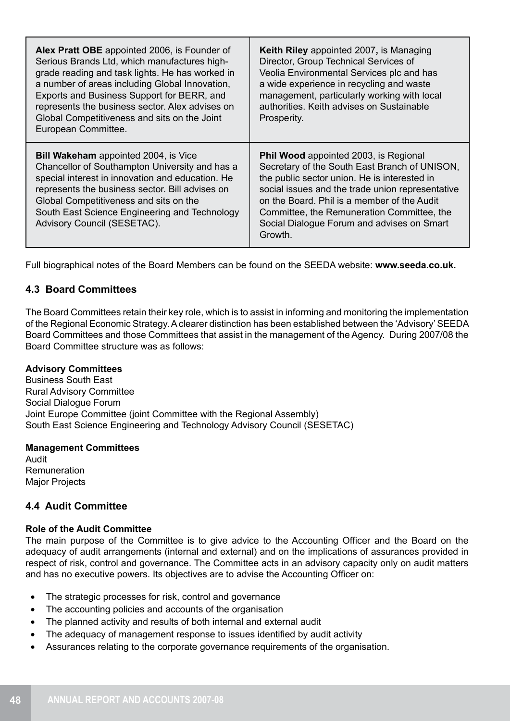| Alex Pratt OBE appointed 2006, is Founder of<br>Serious Brands Ltd, which manufactures high-<br>grade reading and task lights. He has worked in<br>a number of areas including Global Innovation,<br>Exports and Business Support for BERR, and<br>represents the business sector. Alex advises on<br>Global Competitiveness and sits on the Joint<br>European Committee. | Keith Riley appointed 2007, is Managing<br>Director, Group Technical Services of<br>Veolia Environmental Services plc and has<br>a wide experience in recycling and waste<br>management, particularly working with local<br>authorities. Keith advises on Sustainable<br>Prosperity.                                                                    |
|---------------------------------------------------------------------------------------------------------------------------------------------------------------------------------------------------------------------------------------------------------------------------------------------------------------------------------------------------------------------------|---------------------------------------------------------------------------------------------------------------------------------------------------------------------------------------------------------------------------------------------------------------------------------------------------------------------------------------------------------|
| <b>Bill Wakeham</b> appointed 2004, is Vice<br>Chancellor of Southampton University and has a<br>special interest in innovation and education. He<br>represents the business sector. Bill advises on<br>Global Competitiveness and sits on the<br>South East Science Engineering and Technology<br>Advisory Council (SESETAC).                                            | <b>Phil Wood</b> appointed 2003, is Regional<br>Secretary of the South East Branch of UNISON,<br>the public sector union. He is interested in<br>social issues and the trade union representative<br>on the Board. Phil is a member of the Audit<br>Committee, the Remuneration Committee, the<br>Social Dialogue Forum and advises on Smart<br>Growth. |

Full biographical notes of the Board Members can be found on the SEEDA website: **www.seeda.co.uk.**

# **4.3 Board Committees**

The Board Committees retain their key role, which is to assist in informing and monitoring the implementation of the Regional Economic Strategy. A clearer distinction has been established between the 'Advisory' SEEDA Board Committees and those Committees that assist in the management of the Agency. During 2007/08 the Board Committee structure was as follows:

## **Advisory Committees**

Business South East Rural Advisory Committee Social Dialogue Forum Joint Europe Committee (joint Committee with the Regional Assembly) South East Science Engineering and Technology Advisory Council (SESETAC)

## **Management Committees**

Audit Remuneration Major Projects

# **4.4 Audit Committee**

## **Role of the Audit Committee**

The main purpose of the Committee is to give advice to the Accounting Officer and the Board on the adequacy of audit arrangements (internal and external) and on the implications of assurances provided in respect of risk, control and governance. The Committee acts in an advisory capacity only on audit matters and has no executive powers. Its objectives are to advise the Accounting Officer on:

- The strategic processes for risk, control and governance
- The accounting policies and accounts of the organisation
- The planned activity and results of both internal and external audit
- The adequacy of management response to issues identified by audit activity
- Assurances relating to the corporate governance requirements of the organisation.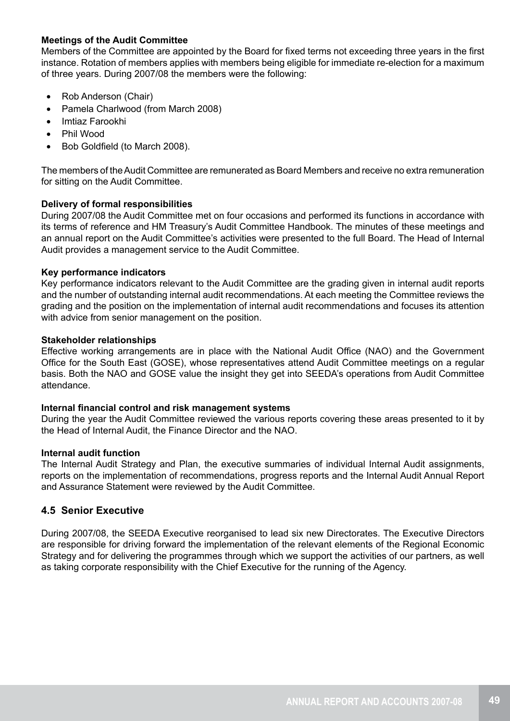# **Meetings of the Audit Committee**

Members of the Committee are appointed by the Board for fixed terms not exceeding three years in the first instance. Rotation of members applies with members being eligible for immediate re-election for a maximum of three years. During 2007/08 the members were the following:

- Rob Anderson (Chair)
- • Pamela Charlwood (from March 2008)
- • Imtiaz Farookhi
- **Phil Wood**
- Bob Goldfield (to March 2008).

The members of the Audit Committee are remunerated as Board Members and receive no extra remuneration for sitting on the Audit Committee.

## **Delivery of formal responsibilities**

During 2007/08 the Audit Committee met on four occasions and performed its functions in accordance with its terms of reference and HM Treasury's Audit Committee Handbook. The minutes of these meetings and an annual report on the Audit Committee's activities were presented to the full Board. The Head of Internal Audit provides a management service to the Audit Committee.

#### **Key performance indicators**

Key performance indicators relevant to the Audit Committee are the grading given in internal audit reports and the number of outstanding internal audit recommendations. At each meeting the Committee reviews the grading and the position on the implementation of internal audit recommendations and focuses its attention with advice from senior management on the position.

#### **Stakeholder relationships**

Effective working arrangements are in place with the National Audit Office (NAO) and the Government Office for the South East (GOSE), whose representatives attend Audit Committee meetings on a regular basis. Both the NAO and GOSE value the insight they get into SEEDA's operations from Audit Committee attendance.

## **Internal financial control and risk management systems**

During the year the Audit Committee reviewed the various reports covering these areas presented to it by the Head of Internal Audit, the Finance Director and the NAO.

## **Internal audit function**

The Internal Audit Strategy and Plan, the executive summaries of individual Internal Audit assignments, reports on the implementation of recommendations, progress reports and the Internal Audit Annual Report and Assurance Statement were reviewed by the Audit Committee.

# **4.5 Senior Executive**

During 2007/08, the SEEDA Executive reorganised to lead six new Directorates. The Executive Directors are responsible for driving forward the implementation of the relevant elements of the Regional Economic Strategy and for delivering the programmes through which we support the activities of our partners, as well as taking corporate responsibility with the Chief Executive for the running of the Agency.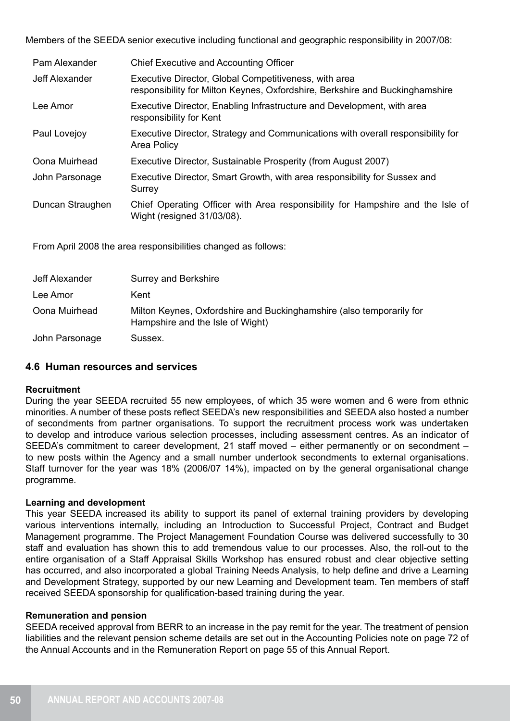Members of the SEEDA senior executive including functional and geographic responsibility in 2007/08:

| Pam Alexander    | <b>Chief Executive and Accounting Officer</b>                                                                                         |
|------------------|---------------------------------------------------------------------------------------------------------------------------------------|
| Jeff Alexander   | Executive Director, Global Competitiveness, with area<br>responsibility for Milton Keynes, Oxfordshire, Berkshire and Buckinghamshire |
| Lee Amor         | Executive Director, Enabling Infrastructure and Development, with area<br>responsibility for Kent                                     |
| Paul Lovejoy     | Executive Director, Strategy and Communications with overall responsibility for<br>Area Policy                                        |
| Oona Muirhead    | Executive Director, Sustainable Prosperity (from August 2007)                                                                         |
| John Parsonage   | Executive Director, Smart Growth, with area responsibility for Sussex and<br>Surrey                                                   |
| Duncan Straughen | Chief Operating Officer with Area responsibility for Hampshire and the Isle of<br>Wight (resigned 31/03/08).                          |
|                  |                                                                                                                                       |

From April 2008 the area responsibilities changed as follows:

| Jeff Alexander | Surrey and Berkshire                                                                                     |
|----------------|----------------------------------------------------------------------------------------------------------|
| Lee Amor       | Kent                                                                                                     |
| Oona Muirhead  | Milton Keynes, Oxfordshire and Buckinghamshire (also temporarily for<br>Hampshire and the Isle of Wight) |
| John Parsonage | Sussex.                                                                                                  |

## **4.6 Human resources and services**

## **Recruitment**

During the year SEEDA recruited 55 new employees, of which 35 were women and 6 were from ethnic minorities. A number of these posts reflect SEEDA's new responsibilities and SEEDA also hosted a number of secondments from partner organisations. To support the recruitment process work was undertaken to develop and introduce various selection processes, including assessment centres. As an indicator of SEEDA's commitment to career development, 21 staff moved – either permanently or on secondment – to new posts within the Agency and a small number undertook secondments to external organisations. Staff turnover for the year was 18% (2006/07 14%), impacted on by the general organisational change programme.

## **Learning and development**

This year SEEDA increased its ability to support its panel of external training providers by developing various interventions internally, including an Introduction to Successful Project, Contract and Budget Management programme. The Project Management Foundation Course was delivered successfully to 30 staff and evaluation has shown this to add tremendous value to our processes. Also, the roll-out to the entire organisation of a Staff Appraisal Skills Workshop has ensured robust and clear objective setting has occurred, and also incorporated a global Training Needs Analysis, to help define and drive a Learning and Development Strategy, supported by our new Learning and Development team. Ten members of staff received SEEDA sponsorship for qualification-based training during the year.

#### **Remuneration and pension**

SEEDA received approval from BERR to an increase in the pay remit for the year. The treatment of pension liabilities and the relevant pension scheme details are set out in the Accounting Policies note on page 72 of the Annual Accounts and in the Remuneration Report on page 55 of this Annual Report.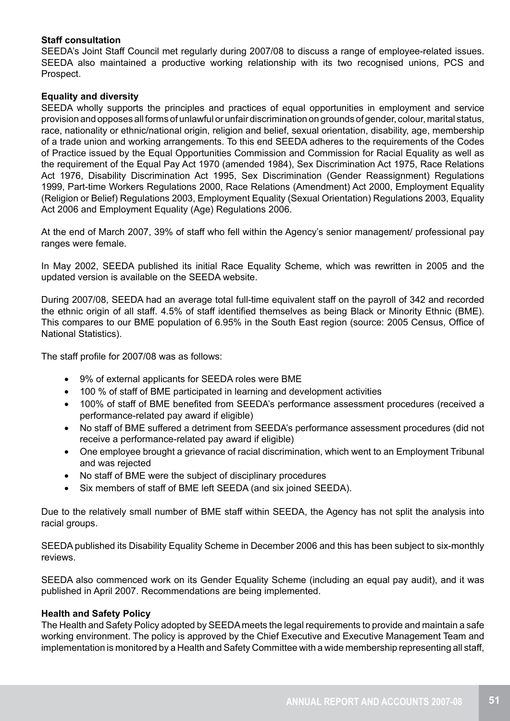# **Staff consultation**

SEEDA's Joint Staff Council met regularly during 2007/08 to discuss a range of employee-related issues. SEEDA also maintained a productive working relationship with its two recognised unions, PCS and Prospect.

# **Equality and diversity**

SEEDA wholly supports the principles and practices of equal opportunities in employment and service provision and opposes all forms of unlawful or unfair discrimination on grounds of gender, colour, marital status, race, nationality or ethnic/national origin, religion and belief, sexual orientation, disability, age, membership of a trade union and working arrangements. To this end SEEDA adheres to the requirements of the Codes of Practice issued by the Equal Opportunities Commission and Commission for Racial Equality as well as the requirement of the Equal Pay Act 1970 (amended 1984), Sex Discrimination Act 1975, Race Relations Act 1976, Disability Discrimination Act 1995, Sex Discrimination (Gender Reassignment) Regulations 1999, Part-time Workers Regulations 2000, Race Relations (Amendment) Act 2000, Employment Equality (Religion or Belief) Regulations 2003, Employment Equality (Sexual Orientation) Regulations 2003, Equality Act 2006 and Employment Equality (Age) Regulations 2006.

At the end of March 2007, 39% of staff who fell within the Agency's senior management/ professional pay ranges were female.

In May 2002, SEEDA published its initial Race Equality Scheme, which was rewritten in 2005 and the updated version is available on the SEEDA website.

During 2007/08, SEEDA had an average total full-time equivalent staff on the payroll of 342 and recorded the ethnic origin of all staff. 4.5% of staff identified themselves as being Black or Minority Ethnic (BME). This compares to our BME population of 6.95% in the South East region (source: 2005 Census, Office of National Statistics).

The staff profile for 2007/08 was as follows:

- • 9% of external applicants for SEEDA roles were BME
- 100 % of staff of BME participated in learning and development activities
- 100% of staff of BME benefited from SEEDA's performance assessment procedures (received a performance-related pay award if eligible)
- No staff of BME suffered a detriment from SEEDA's performance assessment procedures (did not receive a performance-related pay award if eligible)
- One employee brought a grievance of racial discrimination, which went to an Employment Tribunal and was rejected
- No staff of BME were the subject of disciplinary procedures
- Six members of staff of BME left SEEDA (and six joined SEEDA).

Due to the relatively small number of BME staff within SEEDA, the Agency has not split the analysis into racial groups.

SEEDA published its Disability Equality Scheme in December 2006 and this has been subject to six-monthly reviews.

SEEDA also commenced work on its Gender Equality Scheme (including an equal pay audit), and it was published in April 2007. Recommendations are being implemented.

## **Health and Safety Policy**

The Health and Safety Policy adopted by SEEDA meets the legal requirements to provide and maintain a safe working environment. The policy is approved by the Chief Executive and Executive Management Team and implementation is monitored by a Health and Safety Committee with a wide membership representing all staff,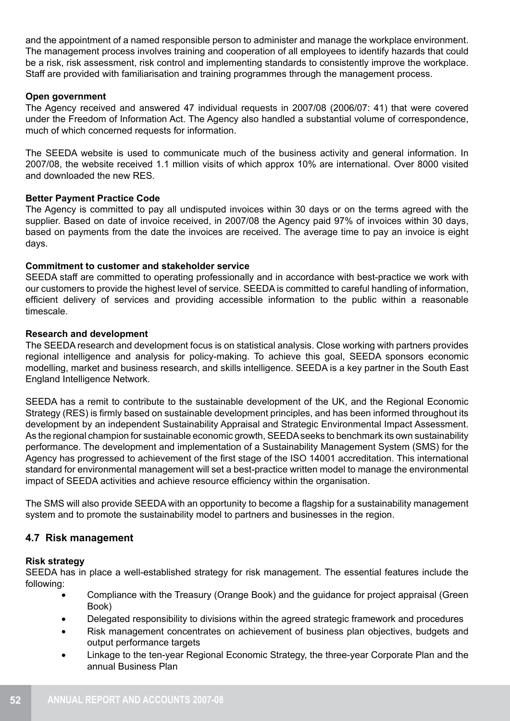and the appointment of a named responsible person to administer and manage the workplace environment. The management process involves training and cooperation of all employees to identify hazards that could be a risk, risk assessment, risk control and implementing standards to consistently improve the workplace. Staff are provided with familiarisation and training programmes through the management process.

#### **Open government**

The Agency received and answered 47 individual requests in 2007/08 (2006/07: 41) that were covered under the Freedom of Information Act. The Agency also handled a substantial volume of correspondence, much of which concerned requests for information.

The SEEDA website is used to communicate much of the business activity and general information. In 2007/08, the website received 1.1 million visits of which approx 10% are international. Over 8000 visited and downloaded the new RES.

## **Better Payment Practice Code**

The Agency is committed to pay all undisputed invoices within 30 days or on the terms agreed with the supplier. Based on date of invoice received, in 2007/08 the Agency paid 97% of invoices within 30 days, based on payments from the date the invoices are received. The average time to pay an invoice is eight days.

#### **Commitment to customer and stakeholder service**

SEEDA staff are committed to operating professionally and in accordance with best-practice we work with our customers to provide the highest level of service. SEEDA is committed to careful handling of information, efficient delivery of services and providing accessible information to the public within a reasonable timescale.

#### **Research and development**

The SEEDA research and development focus is on statistical analysis. Close working with partners provides regional intelligence and analysis for policy-making. To achieve this goal, SEEDA sponsors economic modelling, market and business research, and skills intelligence. SEEDA is a key partner in the South East England Intelligence Network.

SEEDA has a remit to contribute to the sustainable development of the UK, and the Regional Economic Strategy (RES) is firmly based on sustainable development principles, and has been informed throughout its development by an independent Sustainability Appraisal and Strategic Environmental Impact Assessment. As the regional champion for sustainable economic growth, SEEDA seeks to benchmark its own sustainability performance. The development and implementation of a Sustainability Management System (SMS) for the Agency has progressed to achievement of the first stage of the ISO 14001 accreditation. This international standard for environmental management will set a best-practice written model to manage the environmental impact of SEEDA activities and achieve resource efficiency within the organisation.

The SMS will also provide SEEDA with an opportunity to become a flagship for a sustainability management system and to promote the sustainability model to partners and businesses in the region.

## **4.7 Risk management**

## **Risk strategy**

SEEDA has in place a well-established strategy for risk management. The essential features include the following:

- Compliance with the Treasury (Orange Book) and the quidance for project appraisal (Green Book)
- Delegated responsibility to divisions within the agreed strategic framework and procedures
- Risk management concentrates on achievement of business plan objectives, budgets and output performance targets
- Linkage to the ten-year Regional Economic Strategy, the three-year Corporate Plan and the annual Business Plan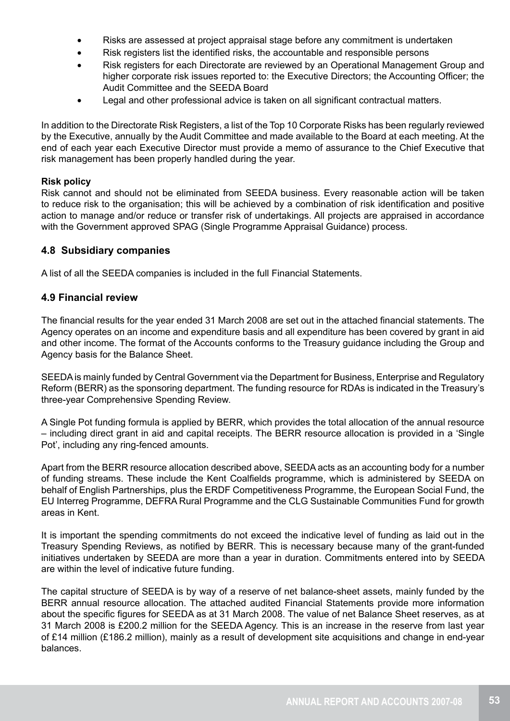- Risks are assessed at project appraisal stage before any commitment is undertaken
- Risk registers list the identified risks, the accountable and responsible persons
- Risk registers for each Directorate are reviewed by an Operational Management Group and higher corporate risk issues reported to: the Executive Directors; the Accounting Officer; the Audit Committee and the SEEDA Board
- Legal and other professional advice is taken on all significant contractual matters.

In addition to the Directorate Risk Registers, a list of the Top 10 Corporate Risks has been regularly reviewed by the Executive, annually by the Audit Committee and made available to the Board at each meeting. At the end of each year each Executive Director must provide a memo of assurance to the Chief Executive that risk management has been properly handled during the year.

#### **Risk policy**

Risk cannot and should not be eliminated from SEEDA business. Every reasonable action will be taken to reduce risk to the organisation; this will be achieved by a combination of risk identification and positive action to manage and/or reduce or transfer risk of undertakings. All projects are appraised in accordance with the Government approved SPAG (Single Programme Appraisal Guidance) process.

## **4.8 Subsidiary companies**

A list of all the SEEDA companies is included in the full Financial Statements.

## **4.9 Financial review**

The financial results for the year ended 31 March 2008 are set out in the attached financial statements. The Agency operates on an income and expenditure basis and all expenditure has been covered by grant in aid and other income. The format of the Accounts conforms to the Treasury guidance including the Group and Agency basis for the Balance Sheet.

SEEDA is mainly funded by Central Government via the Department for Business, Enterprise and Regulatory Reform (BERR) as the sponsoring department. The funding resource for RDAs is indicated in the Treasury's three-year Comprehensive Spending Review.

A Single Pot funding formula is applied by BERR, which provides the total allocation of the annual resource – including direct grant in aid and capital receipts. The BERR resource allocation is provided in a 'Single Pot', including any ring-fenced amounts.

Apart from the BERR resource allocation described above, SEEDA acts as an accounting body for a number of funding streams. These include the Kent Coalfields programme, which is administered by SEEDA on behalf of English Partnerships, plus the ERDF Competitiveness Programme, the European Social Fund, the EU Interreg Programme, DEFRA Rural Programme and the CLG Sustainable Communities Fund for growth areas in Kent.

It is important the spending commitments do not exceed the indicative level of funding as laid out in the Treasury Spending Reviews, as notified by BERR. This is necessary because many of the grant-funded initiatives undertaken by SEEDA are more than a year in duration. Commitments entered into by SEEDA are within the level of indicative future funding.

The capital structure of SEEDA is by way of a reserve of net balance-sheet assets, mainly funded by the BERR annual resource allocation. The attached audited Financial Statements provide more information about the specific figures for SEEDA as at 31 March 2008. The value of net Balance Sheet reserves, as at 31 March 2008 is £200.2 million for the SEEDA Agency. This is an increase in the reserve from last year of £14 million (£186.2 million), mainly as a result of development site acquisitions and change in end-year balances.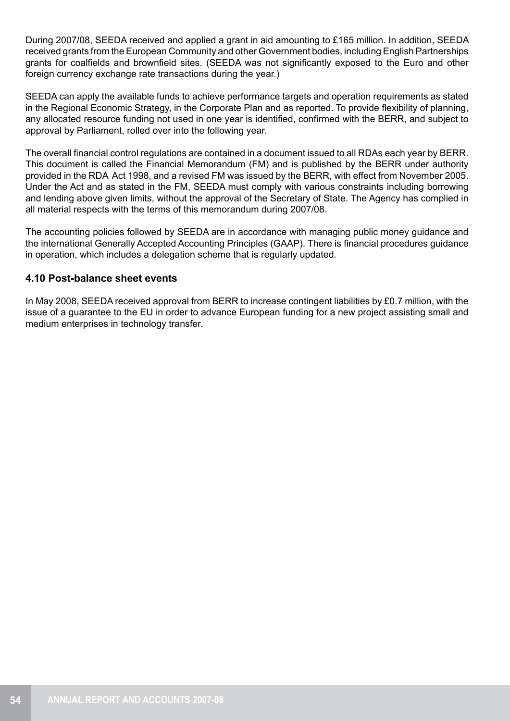During 2007/08, SEEDA received and applied a grant in aid amounting to £165 million. In addition, SEEDA received grants from the European Community and other Government bodies, including English Partnerships grants for coalfields and brownfield sites. (SEEDA was not significantly exposed to the Euro and other foreign currency exchange rate transactions during the year.)

SEEDA can apply the available funds to achieve performance targets and operation requirements as stated in the Regional Economic Strategy, in the Corporate Plan and as reported. To provide flexibility of planning, any allocated resource funding not used in one year is identified, confirmed with the BERR, and subject to approval by Parliament, rolled over into the following year.

The overall financial control regulations are contained in a document issued to all RDAs each year by BERR. This document is called the Financial Memorandum (FM) and is published by the BERR under authority provided in the RDA Act 1998, and a revised FM was issued by the BERR, with effect from November 2005. Under the Act and as stated in the FM, SEEDA must comply with various constraints including borrowing and lending above given limits, without the approval of the Secretary of State. The Agency has complied in all material respects with the terms of this memorandum during 2007/08.

The accounting policies followed by SEEDA are in accordance with managing public money guidance and the international Generally Accepted Accounting Principles (GAAP). There is financial procedures guidance in operation, which includes a delegation scheme that is regularly updated.

# **4.10 Post-balance sheet events**

In May 2008, SEEDA received approval from BERR to increase contingent liabilities by £0.7 million, with the issue of a guarantee to the EU in order to advance European funding for a new project assisting small and medium enterprises in technology transfer.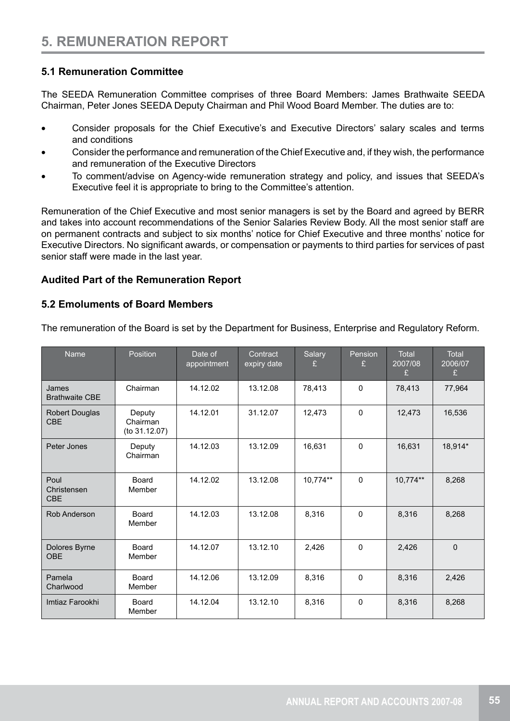# **5.1 Remuneration Committee**

The SEEDA Remuneration Committee comprises of three Board Members: James Brathwaite SEEDA Chairman, Peter Jones SEEDA Deputy Chairman and Phil Wood Board Member. The duties are to:

- Consider proposals for the Chief Executive's and Executive Directors' salary scales and terms and conditions
- Consider the performance and remuneration of the Chief Executive and, if they wish, the performance and remuneration of the Executive Directors
- To comment/advise on Agency-wide remuneration strategy and policy, and issues that SEEDA's Executive feel it is appropriate to bring to the Committee's attention.

Remuneration of the Chief Executive and most senior managers is set by the Board and agreed by BERR and takes into account recommendations of the Senior Salaries Review Body. All the most senior staff are on permanent contracts and subject to six months' notice for Chief Executive and three months' notice for Executive Directors. No significant awards, or compensation or payments to third parties for services of past senior staff were made in the last year.

# **Audited Part of the Remuneration Report**

# **5.2 Emoluments of Board Members**

The remuneration of the Board is set by the Department for Business, Enterprise and Regulatory Reform.

| <b>Name</b>                         | Position                            | Date of<br>appointment | Contract<br>expiry date | Salary<br>£ | Pension<br>£ | Total<br>2007/08<br>£ | <b>Total</b><br>2006/07<br>£ |
|-------------------------------------|-------------------------------------|------------------------|-------------------------|-------------|--------------|-----------------------|------------------------------|
| James<br><b>Brathwaite CBE</b>      | Chairman                            | 14.12.02               | 13.12.08                | 78,413      | $\mathbf{0}$ | 78,413                | 77,964                       |
| <b>Robert Douglas</b><br><b>CBE</b> | Deputy<br>Chairman<br>(to 31.12.07) | 14.12.01               | 31.12.07                | 12,473      | $\mathbf{0}$ | 12,473                | 16,536                       |
| Peter Jones                         | Deputy<br>Chairman                  | 14.12.03               | 13.12.09                | 16,631      | $\mathbf{0}$ | 16,631                | 18,914*                      |
| Poul<br>Christensen<br><b>CBE</b>   | Board<br>Member                     | 14.12.02               | 13.12.08                | 10,774**    | $\Omega$     | 10,774**              | 8,268                        |
| Rob Anderson                        | <b>Board</b><br>Member              | 14.12.03               | 13.12.08                | 8,316       | $\mathbf{0}$ | 8,316                 | 8,268                        |
| Dolores Byrne<br><b>OBE</b>         | Board<br>Member                     | 14.12.07               | 13.12.10                | 2,426       | $\mathbf{0}$ | 2,426                 | $\mathbf{0}$                 |
| Pamela<br>Charlwood                 | <b>Board</b><br>Member              | 14.12.06               | 13.12.09                | 8,316       | $\mathbf{0}$ | 8,316                 | 2,426                        |
| Imtiaz Farookhi                     | Board<br>Member                     | 14.12.04               | 13.12.10                | 8,316       | $\mathbf{0}$ | 8,316                 | 8,268                        |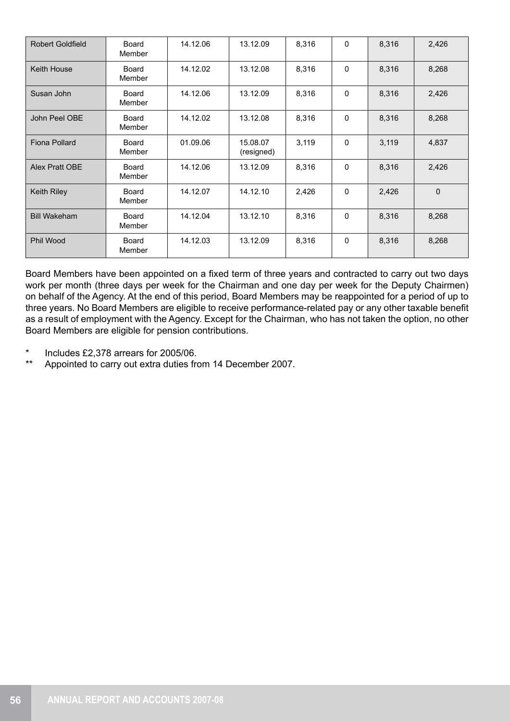| <b>Robert Goldfield</b> | Board<br>Member        | 14.12.06 | 13.12.09               | 8,316 | 0            | 8,316 | 2,426          |
|-------------------------|------------------------|----------|------------------------|-------|--------------|-------|----------------|
| Keith House             | <b>Board</b><br>Member | 14.12.02 | 13.12.08               | 8,316 | 0            | 8,316 | 8,268          |
| Susan John              | Board<br>Member        | 14.12.06 | 13.12.09               | 8,316 | 0            | 8,316 | 2,426          |
| John Peel OBE           | Board<br>Member        | 14.12.02 | 13.12.08               | 8,316 | $\mathbf{0}$ | 8,316 | 8,268          |
| Fiona Pollard           | Board<br>Member        | 01.09.06 | 15.08.07<br>(resigned) | 3,119 | 0            | 3,119 | 4,837          |
| Alex Pratt OBE          | Board<br>Member        | 14.12.06 | 13.12.09               | 8,316 | 0            | 8,316 | 2,426          |
| Keith Riley             | Board<br>Member        | 14.12.07 | 14.12.10               | 2,426 | 0            | 2,426 | $\overline{0}$ |
| <b>Bill Wakeham</b>     | Board<br>Member        | 14.12.04 | 13.12.10               | 8,316 | $\mathbf{0}$ | 8,316 | 8,268          |
| Phil Wood               | Board<br>Member        | 14.12.03 | 13.12.09               | 8,316 | 0            | 8,316 | 8,268          |

Board Members have been appointed on a fixed term of three years and contracted to carry out two days work per month (three days per week for the Chairman and one day per week for the Deputy Chairmen) on behalf of the Agency. At the end of this period, Board Members may be reappointed for a period of up to three years. No Board Members are eligible to receive performance-related pay or any other taxable benefit as a result of employment with the Agency. Except for the Chairman, who has not taken the option, no other Board Members are eligible for pension contributions.

- Includes  $£2.378$  arrears for  $2005/06$ .
- \*\* Appointed to carry out extra duties from 14 December 2007.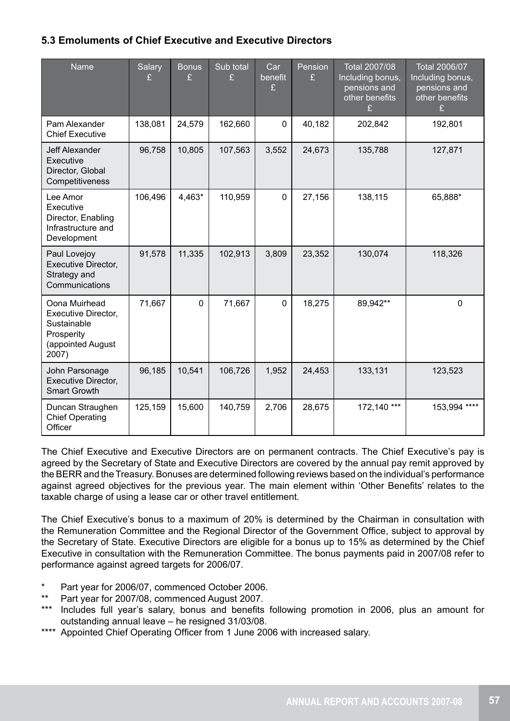# **5.3 Emoluments of Chief Executive and Executive Directors**

| Name                                                                                            | <b>Salary</b><br>£ | <b>Bonus</b><br>£ | Sub total<br>£ | Car<br>benefit<br>£ | Pension<br>£ | <b>Total 2007/08</b><br>Including bonus,<br>pensions and<br>other benefits<br>£ | Total 2006/07<br>Including bonus,<br>pensions and<br>other benefits<br>£ |
|-------------------------------------------------------------------------------------------------|--------------------|-------------------|----------------|---------------------|--------------|---------------------------------------------------------------------------------|--------------------------------------------------------------------------|
| Pam Alexander<br><b>Chief Executive</b>                                                         | 138,081            | 24,579            | 162,660        | $\mathbf 0$         | 40,182       | 202,842                                                                         | 192,801                                                                  |
| Jeff Alexander<br>Executive<br>Director, Global<br>Competitiveness                              | 96,758             | 10,805            | 107,563        | 3,552               | 24,673       | 135,788                                                                         | 127,871                                                                  |
| Lee Amor<br>Executive<br>Director, Enabling<br>Infrastructure and<br>Development                | 106,496            | 4,463*            | 110,959        | $\mathbf 0$         | 27,156       | 138,115                                                                         | 65,888*                                                                  |
| Paul Lovejoy<br>Executive Director,<br>Strategy and<br>Communications                           | 91,578             | 11,335            | 102,913        | 3,809               | 23,352       | 130,074                                                                         | 118,326                                                                  |
| Oona Muirhead<br>Executive Director,<br>Sustainable<br>Prosperity<br>(appointed August<br>2007) | 71,667             | $\mathbf{0}$      | 71,667         | $\mathbf 0$         | 18,275       | 89,942**                                                                        | $\mathbf 0$                                                              |
| John Parsonage<br>Executive Director,<br><b>Smart Growth</b>                                    | 96,185             | 10,541            | 106,726        | 1,952               | 24,453       | 133,131                                                                         | 123,523                                                                  |
| Duncan Straughen<br><b>Chief Operating</b><br>Officer                                           | 125,159            | 15,600            | 140,759        | 2,706               | 28,675       | 172,140 ***                                                                     | 153,994 ****                                                             |

The Chief Executive and Executive Directors are on permanent contracts. The Chief Executive's pay is agreed by the Secretary of State and Executive Directors are covered by the annual pay remit approved by the BERR and the Treasury. Bonuses are determined following reviews based on the individual's performance against agreed objectives for the previous year. The main element within 'Other Benefits' relates to the taxable charge of using a lease car or other travel entitlement.

The Chief Executive's bonus to a maximum of 20% is determined by the Chairman in consultation with the Remuneration Committee and the Regional Director of the Government Office, subject to approval by the Secretary of State. Executive Directors are eligible for a bonus up to 15% as determined by the Chief Executive in consultation with the Remuneration Committee. The bonus payments paid in 2007/08 refer to performance against agreed targets for 2006/07.

- Part year for 2006/07, commenced October 2006.
- Part year for 2007/08, commenced August 2007.
- \*\*\* Includes full year's salary, bonus and benefits following promotion in 2006, plus an amount for outstanding annual leave – he resigned 31/03/08.
- \*\*\*\* Appointed Chief Operating Officer from 1 June 2006 with increased salary.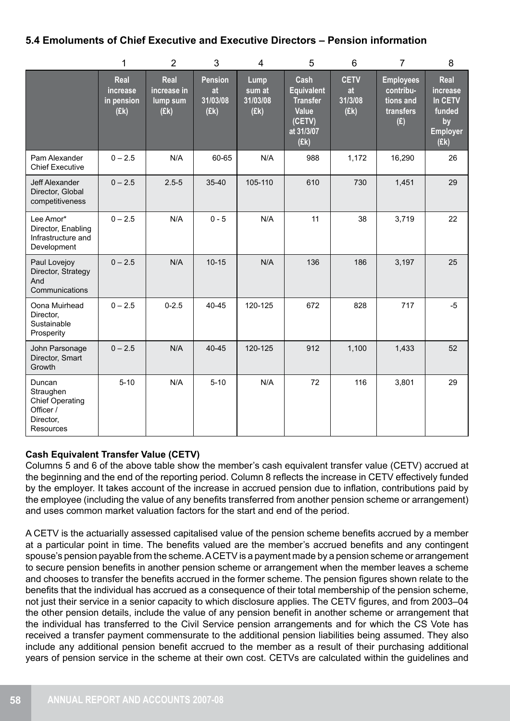# **5.4 Emoluments of Chief Executive and Executive Directors – Pension information**

|                                                                                      | 1                                      | $\overline{2}$                          | 3                                        | $\overline{4}$                            | 5                                                                                     | 6                                    | $\overline{7}$                                                 | 8                                                                      |
|--------------------------------------------------------------------------------------|----------------------------------------|-----------------------------------------|------------------------------------------|-------------------------------------------|---------------------------------------------------------------------------------------|--------------------------------------|----------------------------------------------------------------|------------------------------------------------------------------------|
|                                                                                      | Real<br>increase<br>in pension<br>(Ek) | Real<br>increase in<br>lump sum<br>(Ek) | <b>Pension</b><br>at<br>31/03/08<br>(Ek) | <b>Lump</b><br>sum at<br>31/03/08<br>(Ek) | Cash<br><b>Equivalent</b><br><b>Transfer</b><br>Value<br>(CETV)<br>at 31/3/07<br>(Ek) | <b>CETV</b><br>at<br>31/3/08<br>(Ek) | <b>Employees</b><br>contribu-<br>tions and<br>transfers<br>(E) | Real<br>increase<br>In CETV<br>funded<br>by<br><b>Employer</b><br>(Ek) |
| Pam Alexander<br><b>Chief Executive</b>                                              | $0 - 2.5$                              | N/A                                     | 60-65                                    | N/A                                       | 988                                                                                   | 1,172                                | 16,290                                                         | 26                                                                     |
| Jeff Alexander<br>Director, Global<br>competitiveness                                | $0 - 2.5$                              | $2.5 - 5$                               | $35 - 40$                                | 105-110                                   | 610                                                                                   | 730                                  | 1,451                                                          | 29                                                                     |
| Lee Amor*<br>Director, Enabling<br>Infrastructure and<br>Development                 | $0 - 2.5$                              | N/A                                     | $0 - 5$                                  | N/A                                       | 11                                                                                    | 38                                   | 3,719                                                          | 22                                                                     |
| Paul Lovejoy<br>Director, Strategy<br>And<br>Communications                          | $0 - 2.5$                              | N/A                                     | $10 - 15$                                | N/A                                       | 136                                                                                   | 186                                  | 3,197                                                          | 25                                                                     |
| Oona Muirhead<br>Director,<br>Sustainable<br>Prosperity                              | $0 - 2.5$                              | $0 - 2.5$                               | 40-45                                    | 120-125                                   | 672                                                                                   | 828                                  | 717                                                            | $-5$                                                                   |
| John Parsonage<br>Director, Smart<br>Growth                                          | $0 - 2.5$                              | N/A                                     | 40-45                                    | 120-125                                   | 912                                                                                   | 1,100                                | 1,433                                                          | 52                                                                     |
| Duncan<br>Straughen<br><b>Chief Operating</b><br>Officer /<br>Director,<br>Resources | $5 - 10$                               | N/A                                     | $5 - 10$                                 | N/A                                       | 72                                                                                    | 116                                  | 3,801                                                          | 29                                                                     |

# **Cash Equivalent Transfer Value (CETV)**

Columns 5 and 6 of the above table show the member's cash equivalent transfer value (CETV) accrued at the beginning and the end of the reporting period. Column 8 reflects the increase in CETV effectively funded by the employer. It takes account of the increase in accrued pension due to inflation, contributions paid by the employee (including the value of any benefits transferred from another pension scheme or arrangement) and uses common market valuation factors for the start and end of the period.

A CETV is the actuarially assessed capitalised value of the pension scheme benefits accrued by a member at a particular point in time. The benefits valued are the member's accrued benefits and any contingent spouse's pension payable from the scheme. A CETV is a payment made by a pension scheme or arrangement to secure pension benefits in another pension scheme or arrangement when the member leaves a scheme and chooses to transfer the benefits accrued in the former scheme. The pension figures shown relate to the benefits that the individual has accrued as a consequence of their total membership of the pension scheme, not just their service in a senior capacity to which disclosure applies. The CETV figures, and from 2003–04 the other pension details, include the value of any pension benefit in another scheme or arrangement that the individual has transferred to the Civil Service pension arrangements and for which the CS Vote has received a transfer payment commensurate to the additional pension liabilities being assumed. They also include any additional pension benefit accrued to the member as a result of their purchasing additional years of pension service in the scheme at their own cost. CETVs are calculated within the guidelines and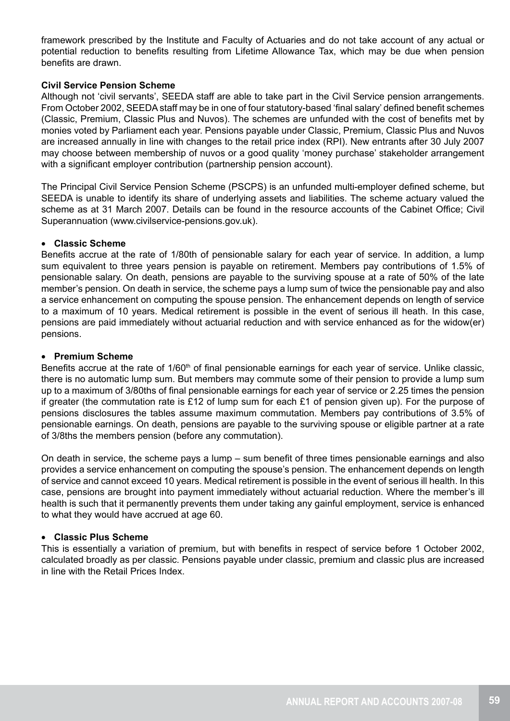framework prescribed by the Institute and Faculty of Actuaries and do not take account of any actual or potential reduction to benefits resulting from Lifetime Allowance Tax, which may be due when pension benefits are drawn.

#### **Civil Service Pension Scheme**

Although not 'civil servants', SEEDA staff are able to take part in the Civil Service pension arrangements. From October 2002, SEEDA staff may be in one of four statutory-based 'final salary' defined benefit schemes (Classic, Premium, Classic Plus and Nuvos). The schemes are unfunded with the cost of benefits met by monies voted by Parliament each year. Pensions payable under Classic, Premium, Classic Plus and Nuvos are increased annually in line with changes to the retail price index (RPI). New entrants after 30 July 2007 may choose between membership of nuvos or a good quality 'money purchase' stakeholder arrangement with a significant employer contribution (partnership pension account).

The Principal Civil Service Pension Scheme (PSCPS) is an unfunded multi-employer defined scheme, but SEEDA is unable to identify its share of underlying assets and liabilities. The scheme actuary valued the scheme as at 31 March 2007. Details can be found in the resource accounts of the Cabinet Office; Civil Superannuation (www.civilservice-pensions.gov.uk).

#### • **Classic Scheme**

Benefits accrue at the rate of 1/80th of pensionable salary for each year of service. In addition, a lump sum equivalent to three years pension is payable on retirement. Members pay contributions of 1.5% of pensionable salary. On death, pensions are payable to the surviving spouse at a rate of 50% of the late member's pension. On death in service, the scheme pays a lump sum of twice the pensionable pay and also a service enhancement on computing the spouse pension. The enhancement depends on length of service to a maximum of 10 years. Medical retirement is possible in the event of serious ill heath. In this case, pensions are paid immediately without actuarial reduction and with service enhanced as for the widow(er) pensions.

#### • **Premium Scheme**

Benefits accrue at the rate of 1/60<sup>th</sup> of final pensionable earnings for each year of service. Unlike classic, there is no automatic lump sum. But members may commute some of their pension to provide a lump sum up to a maximum of 3/80ths of final pensionable earnings for each year of service or 2.25 times the pension if greater (the commutation rate is £12 of lump sum for each £1 of pension given up). For the purpose of pensions disclosures the tables assume maximum commutation. Members pay contributions of 3.5% of pensionable earnings. On death, pensions are payable to the surviving spouse or eligible partner at a rate of 3/8ths the members pension (before any commutation).

On death in service, the scheme pays a lump – sum benefit of three times pensionable earnings and also provides a service enhancement on computing the spouse's pension. The enhancement depends on length of service and cannot exceed 10 years. Medical retirement is possible in the event of serious ill health. In this case, pensions are brought into payment immediately without actuarial reduction. Where the member's ill health is such that it permanently prevents them under taking any gainful employment, service is enhanced to what they would have accrued at age 60.

#### • **Classic Plus Scheme**

This is essentially a variation of premium, but with benefits in respect of service before 1 October 2002, calculated broadly as per classic. Pensions payable under classic, premium and classic plus are increased in line with the Retail Prices Index.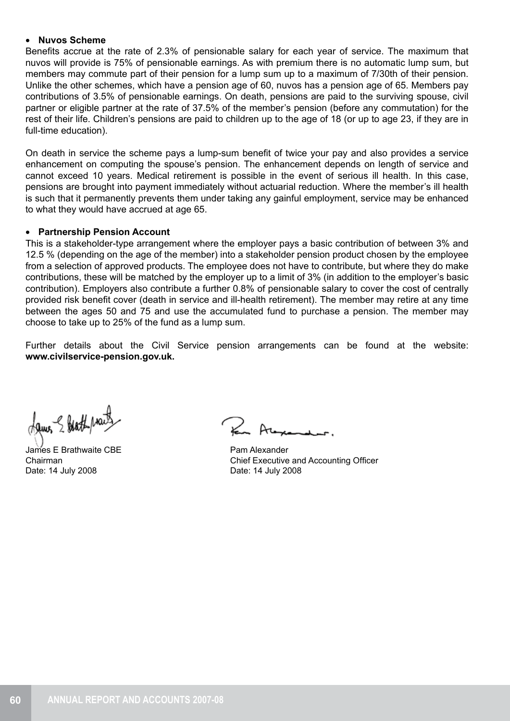#### • **Nuvos Scheme**

Benefits accrue at the rate of 2.3% of pensionable salary for each year of service. The maximum that nuvos will provide is 75% of pensionable earnings. As with premium there is no automatic lump sum, but members may commute part of their pension for a lump sum up to a maximum of 7/30th of their pension. Unlike the other schemes, which have a pension age of 60, nuvos has a pension age of 65. Members pay contributions of 3.5% of pensionable earnings. On death, pensions are paid to the surviving spouse, civil partner or eligible partner at the rate of 37.5% of the member's pension (before any commutation) for the rest of their life. Children's pensions are paid to children up to the age of 18 (or up to age 23, if they are in full-time education).

On death in service the scheme pays a lump-sum benefit of twice your pay and also provides a service enhancement on computing the spouse's pension. The enhancement depends on length of service and cannot exceed 10 years. Medical retirement is possible in the event of serious ill health. In this case, pensions are brought into payment immediately without actuarial reduction. Where the member's ill health is such that it permanently prevents them under taking any gainful employment, service may be enhanced to what they would have accrued at age 65.

#### • **Partnership Pension Account**

This is a stakeholder-type arrangement where the employer pays a basic contribution of between 3% and 12.5 % (depending on the age of the member) into a stakeholder pension product chosen by the employee from a selection of approved products. The employee does not have to contribute, but where they do make contributions, these will be matched by the employer up to a limit of 3% (in addition to the employer's basic contribution). Employers also contribute a further 0.8% of pensionable salary to cover the cost of centrally provided risk benefit cover (death in service and ill-health retirement). The member may retire at any time between the ages 50 and 75 and use the accumulated fund to purchase a pension. The member may choose to take up to 25% of the fund as a lump sum.

Further details about the Civil Service pension arrangements can be found at the website: **www.civilservice-pension.gov.uk.**

James & Hathpracts

James E Brathwaite CBE Chairman Date: 14 July 2008

Pam Alexander Chief Executive and Accounting Officer Date: 14 July 2008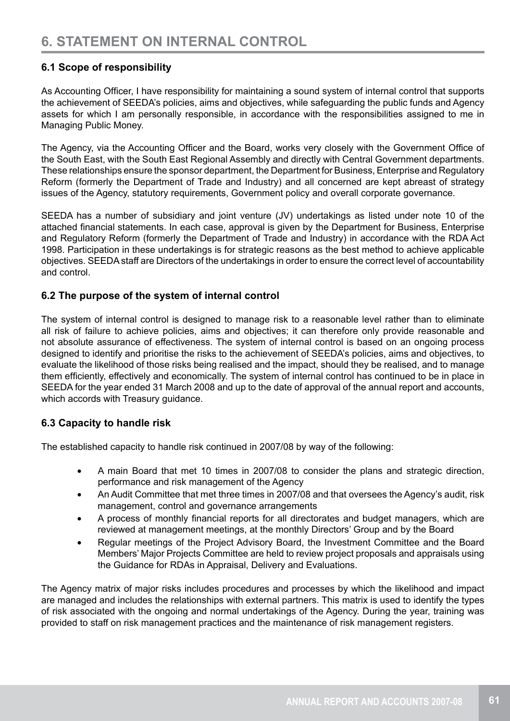# **6.1 Scope of responsibility**

As Accounting Officer, I have responsibility for maintaining a sound system of internal control that supports the achievement of SEEDA's policies, aims and objectives, while safeguarding the public funds and Agency assets for which I am personally responsible, in accordance with the responsibilities assigned to me in Managing Public Money.

The Agency, via the Accounting Officer and the Board, works very closely with the Government Office of the South East, with the South East Regional Assembly and directly with Central Government departments. These relationships ensure the sponsor department, the Department for Business, Enterprise and Regulatory Reform (formerly the Department of Trade and Industry) and all concerned are kept abreast of strategy issues of the Agency, statutory requirements, Government policy and overall corporate governance.

SEEDA has a number of subsidiary and joint venture (JV) undertakings as listed under note 10 of the attached financial statements. In each case, approval is given by the Department for Business, Enterprise and Regulatory Reform (formerly the Department of Trade and Industry) in accordance with the RDA Act 1998. Participation in these undertakings is for strategic reasons as the best method to achieve applicable objectives. SEEDA staff are Directors of the undertakings in order to ensure the correct level of accountability and control.

# **6.2 The purpose of the system of internal control**

The system of internal control is designed to manage risk to a reasonable level rather than to eliminate all risk of failure to achieve policies, aims and objectives; it can therefore only provide reasonable and not absolute assurance of effectiveness. The system of internal control is based on an ongoing process designed to identify and prioritise the risks to the achievement of SEEDA's policies, aims and objectives, to evaluate the likelihood of those risks being realised and the impact, should they be realised, and to manage them efficiently, effectively and economically. The system of internal control has continued to be in place in SEEDA for the year ended 31 March 2008 and up to the date of approval of the annual report and accounts, which accords with Treasury guidance.

# **6.3 Capacity to handle risk**

The established capacity to handle risk continued in 2007/08 by way of the following:

- A main Board that met 10 times in 2007/08 to consider the plans and strategic direction, performance and risk management of the Agency
- An Audit Committee that met three times in 2007/08 and that oversees the Agency's audit, risk management, control and governance arrangements
- • A process of monthly financial reports for all directorates and budget managers, which are reviewed at management meetings, at the monthly Directors' Group and by the Board
- Regular meetings of the Project Advisory Board, the Investment Committee and the Board Members' Major Projects Committee are held to review project proposals and appraisals using the Guidance for RDAs in Appraisal, Delivery and Evaluations.

The Agency matrix of major risks includes procedures and processes by which the likelihood and impact are managed and includes the relationships with external partners. This matrix is used to identify the types of risk associated with the ongoing and normal undertakings of the Agency. During the year, training was provided to staff on risk management practices and the maintenance of risk management registers.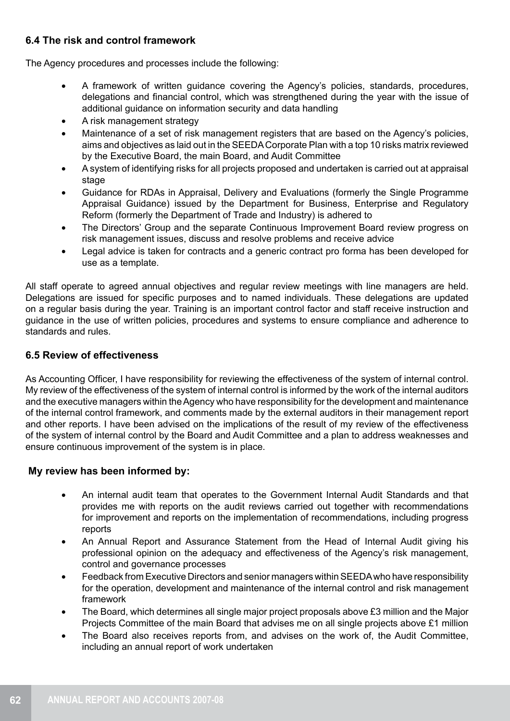# **6.4 The risk and control framework**

The Agency procedures and processes include the following:

- A framework of written quidance covering the Agency's policies, standards, procedures, delegations and financial control, which was strengthened during the year with the issue of additional guidance on information security and data handling
- A risk management strategy
- Maintenance of a set of risk management registers that are based on the Agency's policies, aims and objectives as laid out in the SEEDA Corporate Plan with a top 10 risks matrix reviewed by the Executive Board, the main Board, and Audit Committee
- A system of identifying risks for all projects proposed and undertaken is carried out at appraisal stage
- Guidance for RDAs in Appraisal, Delivery and Evaluations (formerly the Single Programme Appraisal Guidance) issued by the Department for Business, Enterprise and Regulatory Reform (formerly the Department of Trade and Industry) is adhered to
- The Directors' Group and the separate Continuous Improvement Board review progress on risk management issues, discuss and resolve problems and receive advice
- Legal advice is taken for contracts and a generic contract pro forma has been developed for use as a template.

All staff operate to agreed annual objectives and regular review meetings with line managers are held. Delegations are issued for specific purposes and to named individuals. These delegations are updated on a regular basis during the year. Training is an important control factor and staff receive instruction and guidance in the use of written policies, procedures and systems to ensure compliance and adherence to standards and rules.

# **6.5 Review of effectiveness**

As Accounting Officer, I have responsibility for reviewing the effectiveness of the system of internal control. My review of the effectiveness of the system of internal control is informed by the work of the internal auditors and the executive managers within the Agency who have responsibility for the development and maintenance of the internal control framework, and comments made by the external auditors in their management report and other reports. I have been advised on the implications of the result of my review of the effectiveness of the system of internal control by the Board and Audit Committee and a plan to address weaknesses and ensure continuous improvement of the system is in place.

# **My review has been informed by:**

- An internal audit team that operates to the Government Internal Audit Standards and that provides me with reports on the audit reviews carried out together with recommendations for improvement and reports on the implementation of recommendations, including progress reports
- An Annual Report and Assurance Statement from the Head of Internal Audit giving his professional opinion on the adequacy and effectiveness of the Agency's risk management, control and governance processes
- Feedback from Executive Directors and senior managers within SEEDA who have responsibility for the operation, development and maintenance of the internal control and risk management framework
- The Board, which determines all single major project proposals above £3 million and the Major Projects Committee of the main Board that advises me on all single projects above £1 million
- The Board also receives reports from, and advises on the work of, the Audit Committee, including an annual report of work undertaken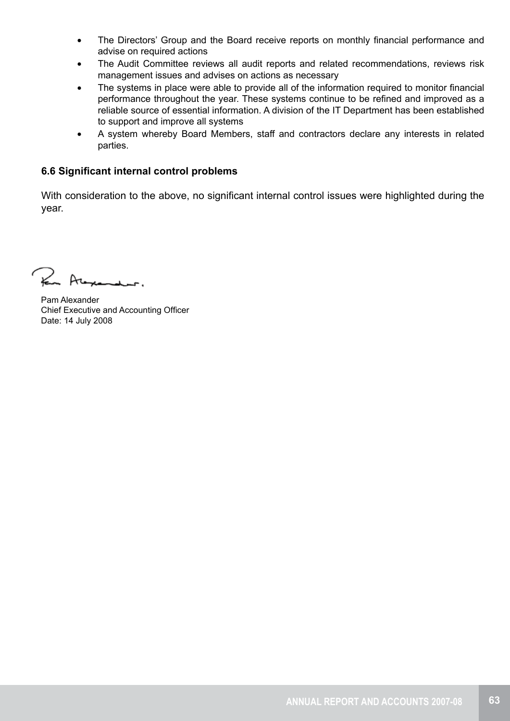- The Directors' Group and the Board receive reports on monthly financial performance and advise on required actions
- The Audit Committee reviews all audit reports and related recommendations, reviews risk management issues and advises on actions as necessary
- The systems in place were able to provide all of the information required to monitor financial performance throughout the year. These systems continue to be refined and improved as a reliable source of essential information. A division of the IT Department has been established to support and improve all systems
- A system whereby Board Members, staff and contractors declare any interests in related parties.

# **6.6 Significant internal control problems**

With consideration to the above, no significant internal control issues were highlighted during the year.

For Alexander.

Pam Alexander Chief Executive and Accounting Officer Date: 14 July 2008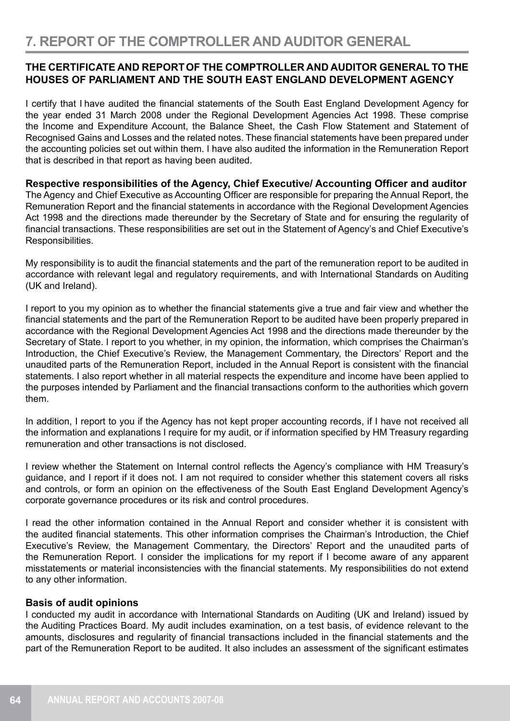# **THE CERTIFICATE AND REPORTOF THE COMPTROLLER AND AUDITOR GENERAL TO THE HOUSES OF PARLIAMENT AND THE SOUTH EAST ENGLAND DEVELOPMENT AGENCY**

I certify that I have audited the financial statements of the South East England Development Agency for the year ended 31 March 2008 under the Regional Development Agencies Act 1998. These comprise the Income and Expenditure Account, the Balance Sheet, the Cash Flow Statement and Statement of Recognised Gains and Losses and the related notes. These financial statements have been prepared under the accounting policies set out within them. I have also audited the information in the Remuneration Report that is described in that report as having been audited.

**Respective responsibilities of the Agency, Chief Executive/ Accounting Officer and auditor** The Agency and Chief Executive as Accounting Officer are responsible for preparing the Annual Report, the Remuneration Report and the financial statements in accordance with the Regional Development Agencies Act 1998 and the directions made thereunder by the Secretary of State and for ensuring the regularity of financial transactions. These responsibilities are set out in the Statement of Agency's and Chief Executive's Responsibilities.

My responsibility is to audit the financial statements and the part of the remuneration report to be audited in accordance with relevant legal and regulatory requirements, and with International Standards on Auditing (UK and Ireland).

I report to you my opinion as to whether the financial statements give a true and fair view and whether the financial statements and the part of the Remuneration Report to be audited have been properly prepared in accordance with the Regional Development Agencies Act 1998 and the directions made thereunder by the Secretary of State. I report to you whether, in my opinion, the information, which comprises the Chairman's Introduction, the Chief Executive's Review, the Management Commentary, the Directors' Report and the unaudited parts of the Remuneration Report, included in the Annual Report is consistent with the financial statements. I also report whether in all material respects the expenditure and income have been applied to the purposes intended by Parliament and the financial transactions conform to the authorities which govern them.

In addition, I report to you if the Agency has not kept proper accounting records, if I have not received all the information and explanations I require for my audit, or if information specified by HM Treasury regarding remuneration and other transactions is not disclosed.

I review whether the Statement on Internal control reflects the Agency's compliance with HM Treasury's guidance, and I report if it does not. I am not required to consider whether this statement covers all risks and controls, or form an opinion on the effectiveness of the South East England Development Agency's corporate governance procedures or its risk and control procedures.

I read the other information contained in the Annual Report and consider whether it is consistent with the audited financial statements. This other information comprises the Chairman's Introduction, the Chief Executive's Review, the Management Commentary, the Directors' Report and the unaudited parts of the Remuneration Report. I consider the implications for my report if I become aware of any apparent misstatements or material inconsistencies with the financial statements. My responsibilities do not extend to any other information.

# **Basis of audit opinions**

I conducted my audit in accordance with International Standards on Auditing (UK and Ireland) issued by the Auditing Practices Board. My audit includes examination, on a test basis, of evidence relevant to the amounts, disclosures and regularity of financial transactions included in the financial statements and the part of the Remuneration Report to be audited. It also includes an assessment of the significant estimates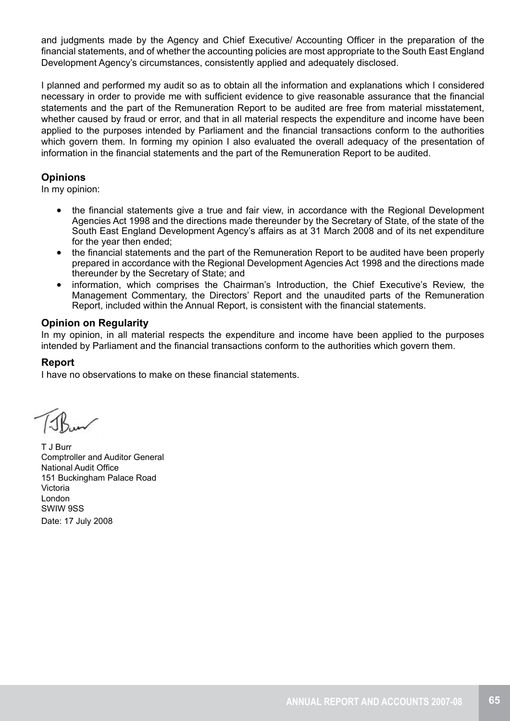and judgments made by the Agency and Chief Executive/ Accounting Officer in the preparation of the financial statements, and of whether the accounting policies are most appropriate to the South East England Development Agency's circumstances, consistently applied and adequately disclosed.

I planned and performed my audit so as to obtain all the information and explanations which I considered necessary in order to provide me with sufficient evidence to give reasonable assurance that the financial statements and the part of the Remuneration Report to be audited are free from material misstatement, whether caused by fraud or error, and that in all material respects the expenditure and income have been applied to the purposes intended by Parliament and the financial transactions conform to the authorities which govern them. In forming my opinion I also evaluated the overall adequacy of the presentation of information in the financial statements and the part of the Remuneration Report to be audited.

# **Opinions**

In my opinion:

- the financial statements give a true and fair view, in accordance with the Regional Development Agencies Act 1998 and the directions made thereunder by the Secretary of State, of the state of the South East England Development Agency's affairs as at 31 March 2008 and of its net expenditure for the year then ended;
- the financial statements and the part of the Remuneration Report to be audited have been properly prepared in accordance with the Regional Development Agencies Act 1998 and the directions made thereunder by the Secretary of State; and
- information, which comprises the Chairman's Introduction, the Chief Executive's Review, the Management Commentary, the Directors' Report and the unaudited parts of the Remuneration Report, included within the Annual Report, is consistent with the financial statements.

# **Opinion on Regularity**

In my opinion, in all material respects the expenditure and income have been applied to the purposes intended by Parliament and the financial transactions conform to the authorities which govern them.

# **Report**

I have no observations to make on these financial statements.

T J Burr Comptroller and Auditor General National Audit Office 151 Buckingham Palace Road Victoria London SWIW 9SS Date: 17 July 2008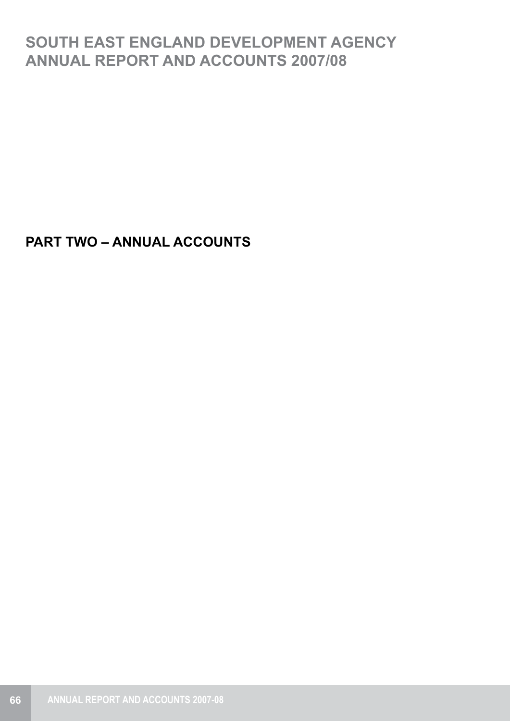# **SOUTH EAST ENGLAND DEVELOPMENT AGENCY ANNUAL REPORT AND ACCOUNTS 2007/08**

**PART TWO – ANNUAL ACCOUNTS**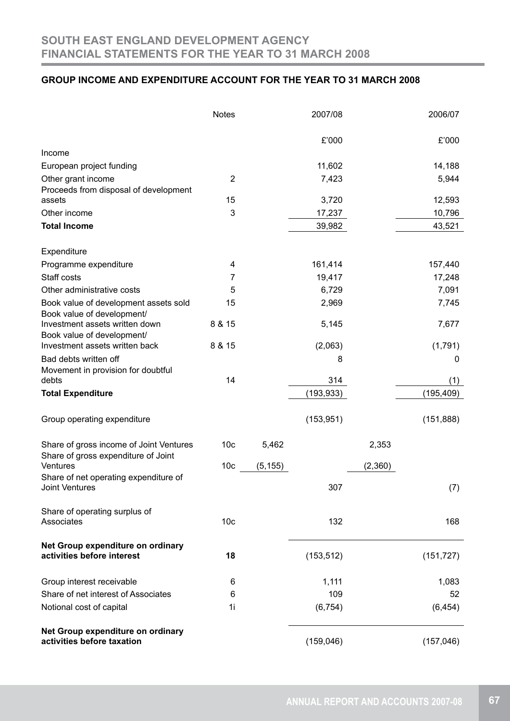# **GROUP INCOME AND EXPENDITURE ACCOUNT FOR THE YEAR TO 31 MARCH 2008**

|                                                                 | <b>Notes</b>    |          | 2007/08    |         | 2006/07    |
|-----------------------------------------------------------------|-----------------|----------|------------|---------|------------|
|                                                                 |                 |          | £'000      |         | £'000      |
| Income                                                          |                 |          |            |         |            |
| European project funding                                        |                 |          | 11,602     |         | 14,188     |
| Other grant income                                              | $\overline{2}$  |          | 7,423      |         | 5,944      |
| Proceeds from disposal of development                           |                 |          |            |         |            |
| assets                                                          | 15              |          | 3,720      |         | 12,593     |
| Other income                                                    | 3               |          | 17,237     |         | 10,796     |
| <b>Total Income</b>                                             |                 |          | 39,982     |         | 43,521     |
| Expenditure                                                     |                 |          |            |         |            |
| Programme expenditure                                           | 4               |          | 161,414    |         | 157,440    |
| Staff costs                                                     | 7               |          | 19,417     |         | 17,248     |
| Other administrative costs                                      | 5               |          | 6,729      |         | 7,091      |
| Book value of development assets sold                           | 15              |          | 2,969      |         | 7,745      |
| Book value of development/                                      |                 |          |            |         |            |
| Investment assets written down                                  | 8 & 15          |          | 5,145      |         | 7,677      |
| Book value of development/<br>Investment assets written back    | 8 & 15          |          | (2,063)    |         |            |
|                                                                 |                 |          |            |         | (1,791)    |
| Bad debts written off<br>Movement in provision for doubtful     |                 |          | 8          |         | 0          |
| debts                                                           | 14              |          | 314        |         | (1)        |
| <b>Total Expenditure</b>                                        |                 |          | (193, 933) |         | (195, 409) |
|                                                                 |                 |          |            |         |            |
| Group operating expenditure                                     |                 |          | (153, 951) |         | (151, 888) |
| Share of gross income of Joint Ventures                         | 10 <sub>c</sub> | 5,462    |            | 2,353   |            |
| Share of gross expenditure of Joint                             |                 |          |            |         |            |
| Ventures<br>Share of net operating expenditure of               | 10 <sub>c</sub> | (5, 155) |            | (2,360) |            |
| <b>Joint Ventures</b>                                           |                 |          | 307        |         | (7)        |
| Share of operating surplus of                                   |                 |          |            |         |            |
| Associates                                                      | 10 <sub>c</sub> |          | 132        |         | 168        |
| Net Group expenditure on ordinary                               |                 |          |            |         |            |
| activities before interest                                      | 18              |          | (153, 512) |         | (151, 727) |
| Group interest receivable                                       | 6               |          | 1,111      |         | 1,083      |
| Share of net interest of Associates                             | 6               |          | 109        |         | 52         |
| Notional cost of capital                                        | 1i              |          | (6, 754)   |         | (6, 454)   |
| Net Group expenditure on ordinary<br>activities before taxation |                 |          | (159, 046) |         | (157, 046) |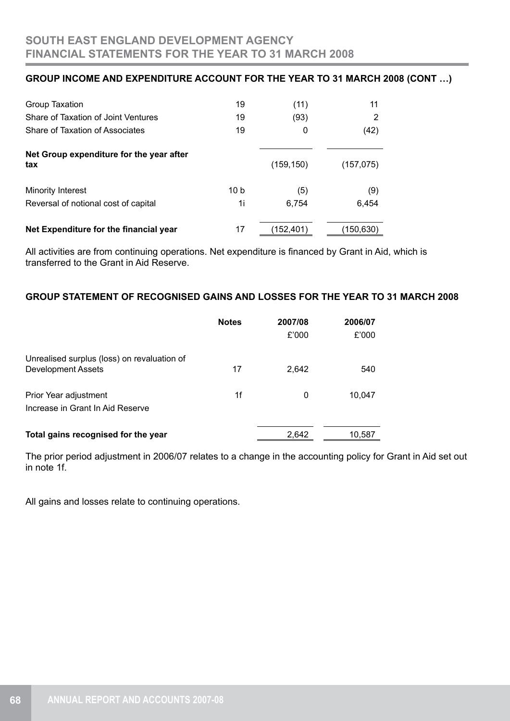# **GROUP INCOME AND EXPENDITURE ACCOUNT FOR THE YEAR TO 31 MARCH 2008 (CONT …)**

| Group Taxation                                  | 19   | (11)       | 11         |
|-------------------------------------------------|------|------------|------------|
| Share of Taxation of Joint Ventures             | 19   | (93)       | 2          |
| Share of Taxation of Associates                 | 19   | 0          | (42)       |
| Net Group expenditure for the year after<br>tax |      | (159, 150) | (157, 075) |
| <b>Minority Interest</b>                        | 10 b | (5)        | (9)        |
| Reversal of notional cost of capital            | 1i   | 6,754      | 6,454      |
| Net Expenditure for the financial year          | 17   | (152,401)  | (150,630   |

All activities are from continuing operations. Net expenditure is financed by Grant in Aid, which is transferred to the Grant in Aid Reserve.

# **GROUP STATEMENT OF RECOGNISED GAINS AND LOSSES FOR THE YEAR TO 31 MARCH 2008**

|                                                                          | <b>Notes</b> | 2007/08<br>£'000 | 2006/07<br>£'000 |
|--------------------------------------------------------------------------|--------------|------------------|------------------|
| Unrealised surplus (loss) on revaluation of<br><b>Development Assets</b> | 17           | 2.642            | 540              |
| Prior Year adjustment<br>Increase in Grant In Aid Reserve                | 1f           | 0                | 10.047           |
| Total gains recognised for the year                                      |              | 2.642            | 10,587           |

The prior period adjustment in 2006/07 relates to a change in the accounting policy for Grant in Aid set out in note 1f.

All gains and losses relate to continuing operations.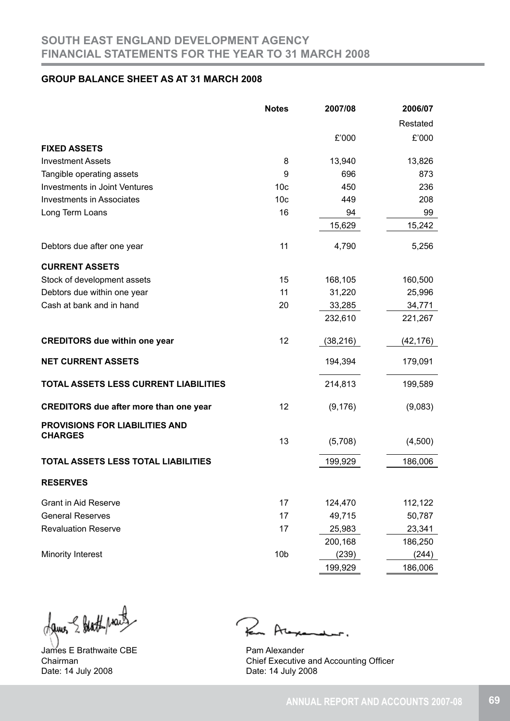## **GROUP BALANCE SHEET AS AT 31 MARCH 2008**

|                                               | <b>Notes</b>    | 2007/08   | 2006/07   |
|-----------------------------------------------|-----------------|-----------|-----------|
|                                               |                 |           | Restated  |
|                                               |                 | £'000     | £'000     |
| <b>FIXED ASSETS</b>                           |                 |           |           |
| <b>Investment Assets</b>                      | 8               | 13,940    | 13,826    |
| Tangible operating assets                     | 9               | 696       | 873       |
| <b>Investments in Joint Ventures</b>          | 10 <sub>c</sub> | 450       | 236       |
| <b>Investments in Associates</b>              | 10 <sub>c</sub> | 449       | 208       |
| Long Term Loans                               | 16              | 94        | 99        |
|                                               |                 | 15,629    | 15,242    |
| Debtors due after one year                    | 11              | 4,790     | 5,256     |
| <b>CURRENT ASSETS</b>                         |                 |           |           |
| Stock of development assets                   | 15              | 168,105   | 160,500   |
| Debtors due within one year                   | 11              | 31,220    | 25,996    |
| Cash at bank and in hand                      | 20              | 33,285    | 34,771    |
|                                               |                 | 232,610   | 221,267   |
| <b>CREDITORS due within one year</b>          | 12              | (38, 216) | (42, 176) |
| <b>NET CURRENT ASSETS</b>                     |                 | 194,394   | 179,091   |
| TOTAL ASSETS LESS CURRENT LIABILITIES         |                 | 214,813   | 199,589   |
| <b>CREDITORS due after more than one year</b> | 12              | (9, 176)  | (9,083)   |
| <b>PROVISIONS FOR LIABILITIES AND</b>         |                 |           |           |
| <b>CHARGES</b>                                | 13              | (5,708)   | (4,500)   |
| TOTAL ASSETS LESS TOTAL LIABILITIES           |                 | 199,929   | 186,006   |
| <b>RESERVES</b>                               |                 |           |           |
| <b>Grant in Aid Reserve</b>                   | 17              | 124,470   | 112,122   |
| <b>General Reserves</b>                       | 17              | 49,715    | 50,787    |
| <b>Revaluation Reserve</b>                    | 17              | 25,983    | 23,341    |
|                                               |                 | 200,168   | 186,250   |
| <b>Minority Interest</b>                      | 10 <sub>b</sub> | (239)     | (244)     |
|                                               |                 | 199,929   | 186,006   |

dames & Hathpract

James E Brathwaite CBE Chairman Date: 14 July 2008

 $\mathcal{R}$ 

Pam Alexander Chief Executive and Accounting Officer Date: 14 July 2008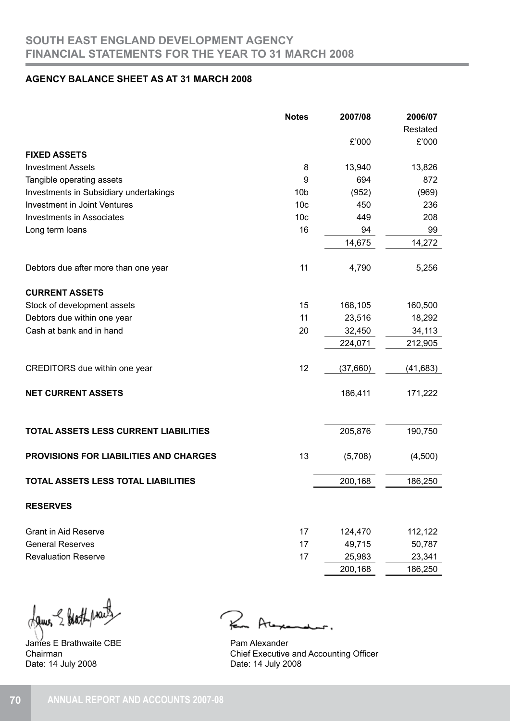## **AGENCY BALANCE SHEET AS AT 31 MARCH 2008**

|                                            | <b>Notes</b>    | 2007/08  | 2006/07<br>Restated |
|--------------------------------------------|-----------------|----------|---------------------|
|                                            |                 | £'000    | £'000               |
| <b>FIXED ASSETS</b>                        |                 |          |                     |
| <b>Investment Assets</b>                   | 8               | 13,940   | 13,826              |
| Tangible operating assets                  | 9               | 694      | 872                 |
| Investments in Subsidiary undertakings     | 10 <sub>b</sub> | (952)    | (969)               |
| <b>Investment in Joint Ventures</b>        | 10 <sub>c</sub> | 450      | 236                 |
| <b>Investments in Associates</b>           | 10 <sub>c</sub> | 449      | 208                 |
| Long term loans                            | 16              | 94       | 99                  |
|                                            |                 | 14,675   | 14,272              |
| Debtors due after more than one year       | 11              | 4,790    | 5,256               |
| <b>CURRENT ASSETS</b>                      |                 |          |                     |
| Stock of development assets                | 15              | 168,105  | 160,500             |
| Debtors due within one year                | 11              | 23,516   | 18,292              |
| Cash at bank and in hand                   | 20              | 32,450   | 34,113              |
|                                            |                 | 224,071  | 212,905             |
| CREDITORS due within one year              | 12              | (37,660) | (41, 683)           |
| <b>NET CURRENT ASSETS</b>                  |                 | 186,411  | 171,222             |
| TOTAL ASSETS LESS CURRENT LIABILITIES      |                 | 205,876  | 190,750             |
| PROVISIONS FOR LIABILITIES AND CHARGES     | 13              | (5,708)  | (4,500)             |
| <b>TOTAL ASSETS LESS TOTAL LIABILITIES</b> |                 | 200,168  | 186,250             |
| <b>RESERVES</b>                            |                 |          |                     |
| <b>Grant in Aid Reserve</b>                | 17              | 124,470  | 112,122             |
| <b>General Reserves</b>                    | 17              | 49,715   | 50,787              |
| <b>Revaluation Reserve</b>                 | 17              | 25,983   | 23,341              |
|                                            |                 | 200,168  | 186,250             |

dames & Hathprais

James E Brathwaite CBE Chairman Date: 14 July 2008

 $\geq$  $Ar$ 

Pam Alexander Chief Executive and Accounting Officer Date: 14 July 2008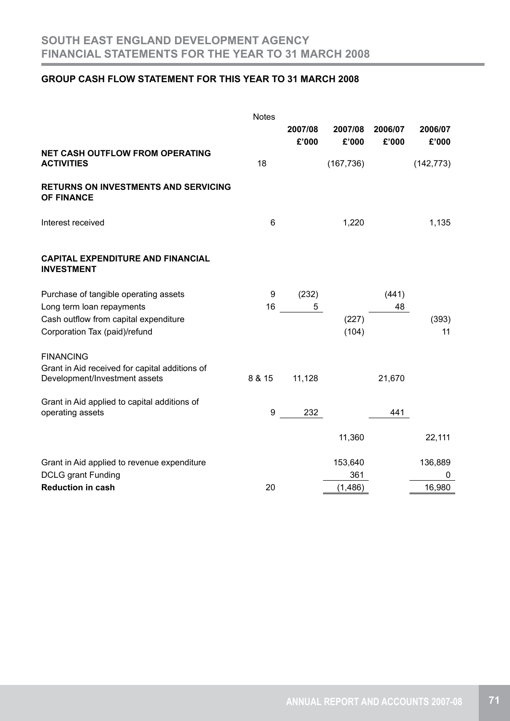# **GROUP CASH FLOW STATEMENT FOR THIS YEAR TO 31 MARCH 2008**

|                                                                  | <b>Notes</b> |                  |                  |                  |                  |
|------------------------------------------------------------------|--------------|------------------|------------------|------------------|------------------|
|                                                                  |              | 2007/08<br>£'000 | 2007/08<br>£'000 | 2006/07<br>£'000 | 2006/07<br>£'000 |
| <b>NET CASH OUTFLOW FROM OPERATING</b><br><b>ACTIVITIES</b>      | 18           |                  | (167, 736)       |                  | (142, 773)       |
| <b>RETURNS ON INVESTMENTS AND SERVICING</b><br><b>OF FINANCE</b> |              |                  |                  |                  |                  |
| Interest received                                                | 6            |                  | 1,220            |                  | 1,135            |
| <b>CAPITAL EXPENDITURE AND FINANCIAL</b><br><b>INVESTMENT</b>    |              |                  |                  |                  |                  |
| Purchase of tangible operating assets                            | 9            | (232)            |                  | (441)            |                  |
| Long term loan repayments                                        | 16           | 5                |                  | 48               |                  |
| Cash outflow from capital expenditure                            |              |                  | (227)            |                  | (393)            |
| Corporation Tax (paid)/refund                                    |              |                  | (104)            |                  | 11               |
| <b>FINANCING</b>                                                 |              |                  |                  |                  |                  |
| Grant in Aid received for capital additions of                   |              |                  |                  |                  |                  |
| Development/Investment assets                                    | 8 & 15       | 11,128           |                  | 21,670           |                  |
| Grant in Aid applied to capital additions of                     |              |                  |                  |                  |                  |
| operating assets                                                 | 9            | 232              |                  | 441              |                  |
|                                                                  |              |                  | 11,360           |                  | 22,111           |
| Grant in Aid applied to revenue expenditure                      |              |                  | 153,640          |                  | 136,889          |
| <b>DCLG</b> grant Funding                                        |              |                  | 361              |                  | 0                |
| <b>Reduction in cash</b>                                         | 20           |                  | (1, 486)         |                  | 16,980           |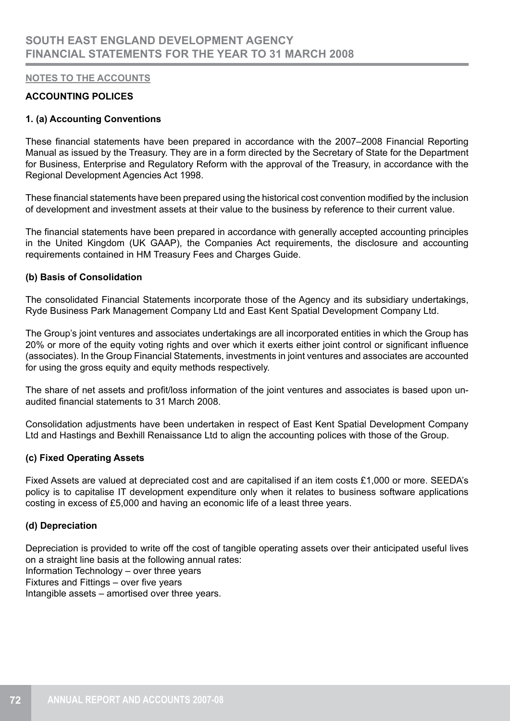## **ACCOUNTING POLICES**

#### **1. (a) Accounting Conventions**

These financial statements have been prepared in accordance with the 2007–2008 Financial Reporting Manual as issued by the Treasury. They are in a form directed by the Secretary of State for the Department for Business, Enterprise and Regulatory Reform with the approval of the Treasury, in accordance with the Regional Development Agencies Act 1998.

These financial statements have been prepared using the historical cost convention modified by the inclusion of development and investment assets at their value to the business by reference to their current value.

The financial statements have been prepared in accordance with generally accepted accounting principles in the United Kingdom (UK GAAP), the Companies Act requirements, the disclosure and accounting requirements contained in HM Treasury Fees and Charges Guide.

#### **(b) Basis of Consolidation**

The consolidated Financial Statements incorporate those of the Agency and its subsidiary undertakings, Ryde Business Park Management Company Ltd and East Kent Spatial Development Company Ltd.

The Group's joint ventures and associates undertakings are all incorporated entities in which the Group has 20% or more of the equity voting rights and over which it exerts either joint control or significant influence (associates). In the Group Financial Statements, investments in joint ventures and associates are accounted for using the gross equity and equity methods respectively.

The share of net assets and profit/loss information of the joint ventures and associates is based upon unaudited financial statements to 31 March 2008.

Consolidation adjustments have been undertaken in respect of East Kent Spatial Development Company Ltd and Hastings and Bexhill Renaissance Ltd to align the accounting polices with those of the Group.

#### **(c) Fixed Operating Assets**

Fixed Assets are valued at depreciated cost and are capitalised if an item costs £1,000 or more. SEEDA's policy is to capitalise IT development expenditure only when it relates to business software applications costing in excess of £5,000 and having an economic life of a least three years.

#### **(d) Depreciation**

Depreciation is provided to write off the cost of tangible operating assets over their anticipated useful lives on a straight line basis at the following annual rates: Information Technology – over three years Fixtures and Fittings – over five years Intangible assets – amortised over three years.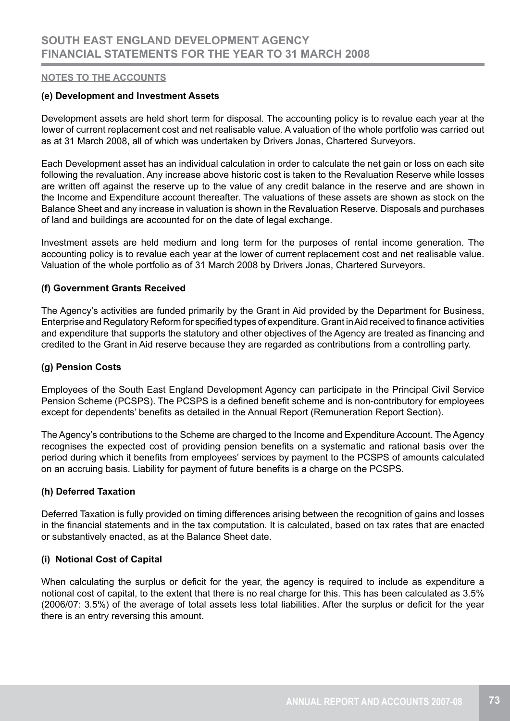#### **(e) Development and Investment Assets**

Development assets are held short term for disposal. The accounting policy is to revalue each year at the lower of current replacement cost and net realisable value. A valuation of the whole portfolio was carried out as at 31 March 2008, all of which was undertaken by Drivers Jonas, Chartered Surveyors.

Each Development asset has an individual calculation in order to calculate the net gain or loss on each site following the revaluation. Any increase above historic cost is taken to the Revaluation Reserve while losses are written off against the reserve up to the value of any credit balance in the reserve and are shown in the Income and Expenditure account thereafter. The valuations of these assets are shown as stock on the Balance Sheet and any increase in valuation is shown in the Revaluation Reserve. Disposals and purchases of land and buildings are accounted for on the date of legal exchange.

Investment assets are held medium and long term for the purposes of rental income generation. The accounting policy is to revalue each year at the lower of current replacement cost and net realisable value. Valuation of the whole portfolio as of 31 March 2008 by Drivers Jonas, Chartered Surveyors.

## **(f) Government Grants Received**

The Agency's activities are funded primarily by the Grant in Aid provided by the Department for Business, Enterprise and Regulatory Reform for specified types of expenditure. Grant in Aid received to finance activities and expenditure that supports the statutory and other objectives of the Agency are treated as financing and credited to the Grant in Aid reserve because they are regarded as contributions from a controlling party.

## **(g) Pension Costs**

Employees of the South East England Development Agency can participate in the Principal Civil Service Pension Scheme (PCSPS). The PCSPS is a defined benefit scheme and is non-contributory for employees except for dependents' benefits as detailed in the Annual Report (Remuneration Report Section).

The Agency's contributions to the Scheme are charged to the Income and Expenditure Account. The Agency recognises the expected cost of providing pension benefits on a systematic and rational basis over the period during which it benefits from employees' services by payment to the PCSPS of amounts calculated on an accruing basis. Liability for payment of future benefits is a charge on the PCSPS.

#### **(h) Deferred Taxation**

Deferred Taxation is fully provided on timing differences arising between the recognition of gains and losses in the financial statements and in the tax computation. It is calculated, based on tax rates that are enacted or substantively enacted, as at the Balance Sheet date.

## **(i) Notional Cost of Capital**

When calculating the surplus or deficit for the year, the agency is required to include as expenditure a notional cost of capital, to the extent that there is no real charge for this. This has been calculated as 3.5% (2006/07: 3.5%) of the average of total assets less total liabilities. After the surplus or deficit for the year there is an entry reversing this amount.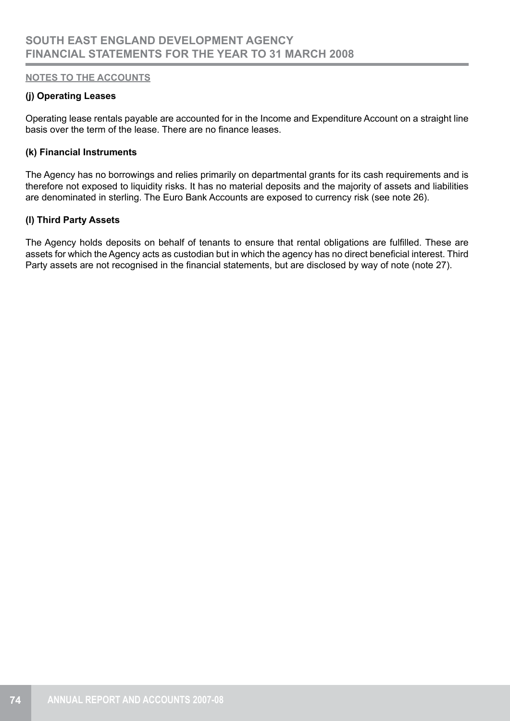## **(j) Operating Leases**

Operating lease rentals payable are accounted for in the Income and Expenditure Account on a straight line basis over the term of the lease. There are no finance leases.

#### **(k) Financial Instruments**

The Agency has no borrowings and relies primarily on departmental grants for its cash requirements and is therefore not exposed to liquidity risks. It has no material deposits and the majority of assets and liabilities are denominated in sterling. The Euro Bank Accounts are exposed to currency risk (see note 26).

## **(l) Third Party Assets**

The Agency holds deposits on behalf of tenants to ensure that rental obligations are fulfilled. These are assets for which the Agency acts as custodian but in which the agency has no direct beneficial interest. Third Party assets are not recognised in the financial statements, but are disclosed by way of note (note 27).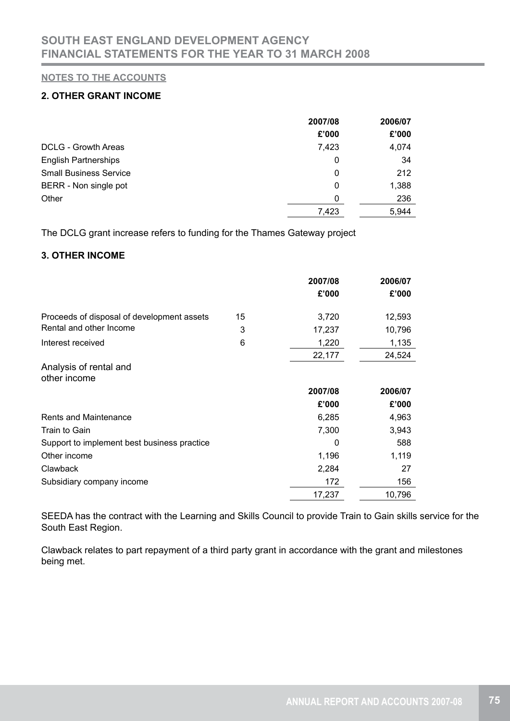# **2. OTHER GRANT INCOME**

|                               | 2007/08 | 2006/07 |
|-------------------------------|---------|---------|
|                               | £'000   | £'000   |
| DCLG - Growth Areas           | 7,423   | 4,074   |
| <b>English Partnerships</b>   | 0       | 34      |
| <b>Small Business Service</b> | 0       | 212     |
| BERR - Non single pot         | 0       | 1,388   |
| Other                         | 0       | 236     |
|                               | 7,423   | 5,944   |

The DCLG grant increase refers to funding for the Thames Gateway project

## **3. OTHER INCOME**

|                                             |    | 2007/08 | 2006/07 |
|---------------------------------------------|----|---------|---------|
|                                             |    | £'000   | £'000   |
| Proceeds of disposal of development assets  | 15 | 3,720   | 12,593  |
| Rental and other Income                     | 3  | 17,237  | 10,796  |
| Interest received                           | 6  | 1,220   | 1,135   |
|                                             |    | 22,177  | 24,524  |
| Analysis of rental and                      |    |         |         |
| other income                                |    |         |         |
|                                             |    | 2007/08 | 2006/07 |
|                                             |    | £'000   | £'000   |
| <b>Rents and Maintenance</b>                |    | 6,285   | 4,963   |
| Train to Gain                               |    | 7,300   | 3,943   |
| Support to implement best business practice |    | 0       | 588     |
| Other income                                |    | 1,196   | 1,119   |
| Clawback                                    |    | 2,284   | 27      |
| Subsidiary company income                   |    | 172     | 156     |
|                                             |    | 17,237  | 10,796  |

SEEDA has the contract with the Learning and Skills Council to provide Train to Gain skills service for the South East Region.

Clawback relates to part repayment of a third party grant in accordance with the grant and milestones being met.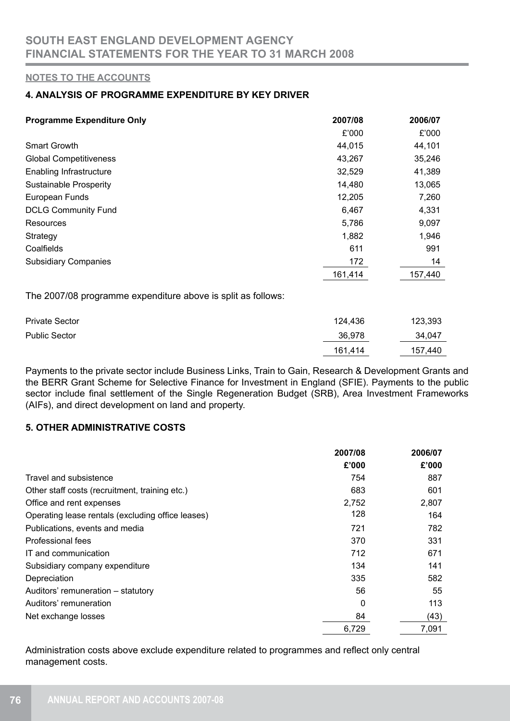## **4. ANALYSIS OF PROGRAMME EXPENDITURE BY KEY DRIVER**

| <b>Programme Expenditure Only</b> | 2007/08 | 2006/07 |
|-----------------------------------|---------|---------|
|                                   | £'000   | £'000   |
| <b>Smart Growth</b>               | 44,015  | 44,101  |
| <b>Global Competitiveness</b>     | 43,267  | 35,246  |
| Enabling Infrastructure           | 32,529  | 41,389  |
| <b>Sustainable Prosperity</b>     | 14,480  | 13,065  |
| European Funds                    | 12,205  | 7,260   |
| <b>DCLG Community Fund</b>        | 6,467   | 4,331   |
| <b>Resources</b>                  | 5,786   | 9,097   |
| Strategy                          | 1,882   | 1,946   |
| Coalfields                        | 611     | 991     |
| <b>Subsidiary Companies</b>       | 172     | 14      |
|                                   | 161,414 | 157,440 |
|                                   |         |         |

The 2007/08 programme expenditure above is split as follows:

| <b>Private Sector</b> | 124,436 | 123,393 |
|-----------------------|---------|---------|
| <b>Public Sector</b>  | 36,978  | 34,047  |
|                       | 161,414 | 157,440 |

Payments to the private sector include Business Links, Train to Gain, Research & Development Grants and the BERR Grant Scheme for Selective Finance for Investment in England (SFIE). Payments to the public sector include final settlement of the Single Regeneration Budget (SRB), Area Investment Frameworks (AIFs), and direct development on land and property.

# **5. OTHER ADMINISTRATIVE COSTS**

|                                                   | 2007/08 | 2006/07 |
|---------------------------------------------------|---------|---------|
|                                                   | £'000   | £'000   |
| Travel and subsistence                            | 754     | 887     |
| Other staff costs (recruitment, training etc.)    | 683     | 601     |
| Office and rent expenses                          | 2,752   | 2,807   |
| Operating lease rentals (excluding office leases) | 128     | 164     |
| Publications, events and media                    | 721     | 782     |
| Professional fees                                 | 370     | 331     |
| IT and communication                              | 712     | 671     |
| Subsidiary company expenditure                    | 134     | 141     |
| Depreciation                                      | 335     | 582     |
| Auditors' remuneration – statutory                | 56      | 55      |
| Auditors' remuneration                            | 0       | 113     |
| Net exchange losses                               | 84      | (43)    |
|                                                   | 6,729   | 7,091   |

Administration costs above exclude expenditure related to programmes and reflect only central management costs.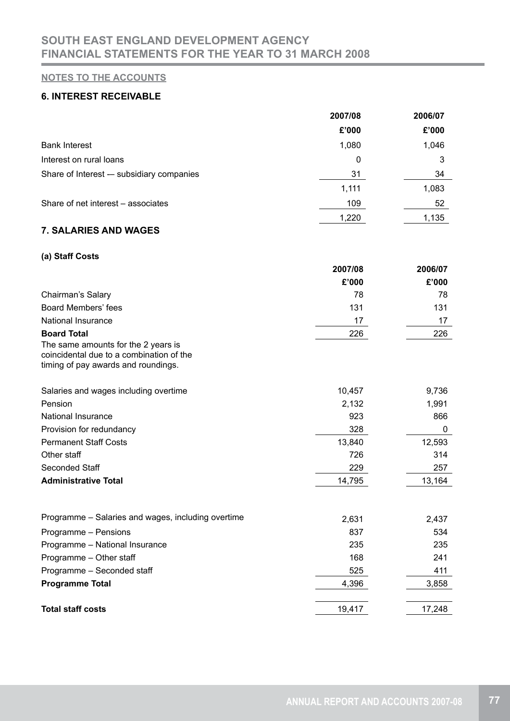## **6. INTEREST RECEIVABLE**

|                                          | 2007/08 | 2006/07 |
|------------------------------------------|---------|---------|
|                                          | £'000   | £'000   |
| <b>Bank Interest</b>                     | 1,080   | 1,046   |
| Interest on rural loans                  | 0       | 3       |
| Share of Interest - subsidiary companies | 31      | 34      |
|                                          | 1,111   | 1,083   |
| Share of net interest – associates       | 109     | 52      |
|                                          | 1,220   | 1,135   |

# **7. SALARIES AND WAGES**

## **(a) Staff Costs**

|                                                                                                                        | 2007/08 | 2006/07     |
|------------------------------------------------------------------------------------------------------------------------|---------|-------------|
|                                                                                                                        | £'000   | £'000       |
| Chairman's Salary                                                                                                      | 78      | 78          |
| <b>Board Members' fees</b>                                                                                             | 131     | 131         |
| National Insurance                                                                                                     | 17      | 17          |
| <b>Board Total</b>                                                                                                     | 226     | 226         |
| The same amounts for the 2 years is<br>coincidental due to a combination of the<br>timing of pay awards and roundings. |         |             |
| Salaries and wages including overtime                                                                                  | 10,457  | 9,736       |
| Pension                                                                                                                | 2,132   | 1,991       |
| <b>National Insurance</b>                                                                                              | 923     | 866         |
| Provision for redundancy                                                                                               | 328     | $\mathbf 0$ |
| <b>Permanent Staff Costs</b>                                                                                           | 13,840  | 12,593      |
| Other staff                                                                                                            | 726     | 314         |
| Seconded Staff                                                                                                         | 229     | 257         |
| <b>Administrative Total</b>                                                                                            | 14,795  | 13,164      |
| Programme – Salaries and wages, including overtime                                                                     | 2,631   | 2,437       |
| Programme - Pensions                                                                                                   | 837     | 534         |
| Programme - National Insurance                                                                                         | 235     | 235         |
| Programme - Other staff                                                                                                | 168     | 241         |
| Programme - Seconded staff                                                                                             | 525     | 411         |
| <b>Programme Total</b>                                                                                                 | 4,396   | 3,858       |
|                                                                                                                        |         |             |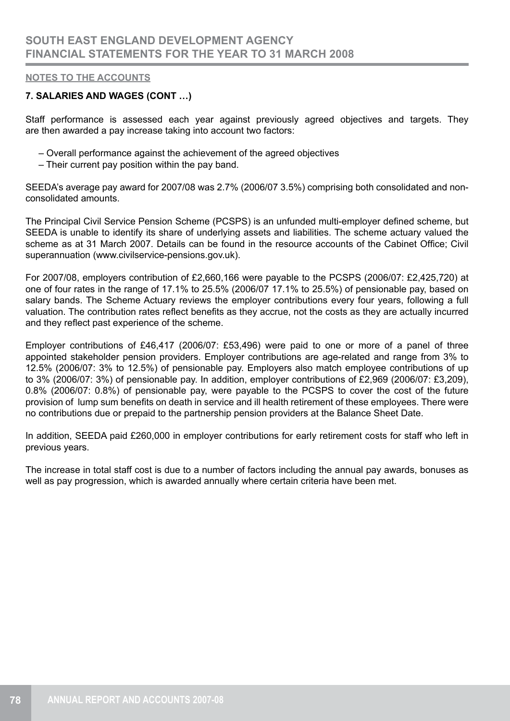## **7. SALARIES AND WAGES (CONT …)**

Staff performance is assessed each year against previously agreed objectives and targets. They are then awarded a pay increase taking into account two factors:

- Overall performance against the achievement of the agreed objectives
- Their current pay position within the pay band.

SEEDA's average pay award for 2007/08 was 2.7% (2006/07 3.5%) comprising both consolidated and nonconsolidated amounts.

The Principal Civil Service Pension Scheme (PCSPS) is an unfunded multi-employer defined scheme, but SEEDA is unable to identify its share of underlying assets and liabilities. The scheme actuary valued the scheme as at 31 March 2007. Details can be found in the resource accounts of the Cabinet Office; Civil superannuation (www.civilservice-pensions.gov.uk).

For 2007/08, employers contribution of £2,660,166 were payable to the PCSPS (2006/07: £2,425,720) at one of four rates in the range of 17.1% to 25.5% (2006/07 17.1% to 25.5%) of pensionable pay, based on salary bands. The Scheme Actuary reviews the employer contributions every four years, following a full valuation. The contribution rates reflect benefits as they accrue, not the costs as they are actually incurred and they reflect past experience of the scheme.

Employer contributions of £46,417 (2006/07: £53,496) were paid to one or more of a panel of three appointed stakeholder pension providers. Employer contributions are age-related and range from 3% to 12.5% (2006/07: 3% to 12.5%) of pensionable pay. Employers also match employee contributions of up to 3% (2006/07: 3%) of pensionable pay. In addition, employer contributions of £2,969 (2006/07: £3,209), 0.8% (2006/07: 0.8%) of pensionable pay, were payable to the PCSPS to cover the cost of the future provision of lump sum benefits on death in service and ill health retirement of these employees. There were no contributions due or prepaid to the partnership pension providers at the Balance Sheet Date.

In addition, SEEDA paid £260,000 in employer contributions for early retirement costs for staff who left in previous years.

The increase in total staff cost is due to a number of factors including the annual pay awards, bonuses as well as pay progression, which is awarded annually where certain criteria have been met.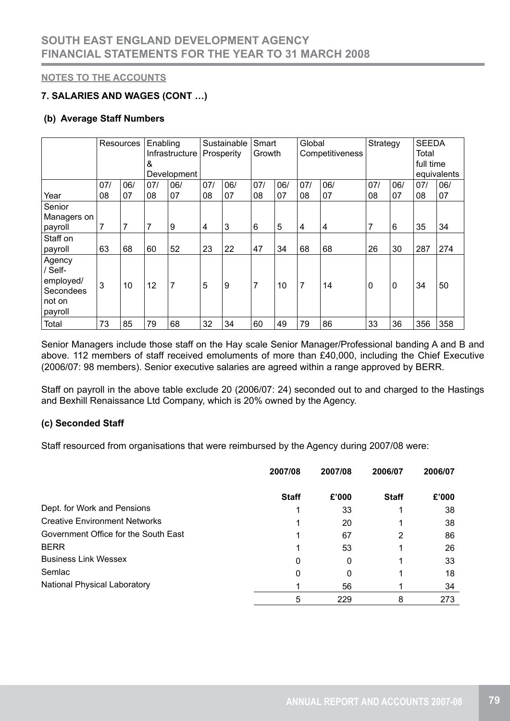# **7. SALARIES AND WAGES (CONT …)**

## **(b) Average Staff Numbers**

|                                                                  |     | Resources | Enabling |                |     | Sustainable | Smart  |     | Global         |                         | Strategy       |                | <b>SEEDA</b> |             |
|------------------------------------------------------------------|-----|-----------|----------|----------------|-----|-------------|--------|-----|----------------|-------------------------|----------------|----------------|--------------|-------------|
|                                                                  |     |           |          | Infrastructure |     | Prosperity  | Growth |     |                | Competitiveness         |                |                | Total        |             |
|                                                                  |     |           | &        |                |     |             |        |     |                |                         |                |                | full time    |             |
|                                                                  |     |           |          | Development    |     |             |        |     |                |                         |                |                |              | equivalents |
|                                                                  | 07/ | 06/       | 07/      | 06/            | 07/ | 06/         | 07/    | 06/ | 07/            | 06/                     | 07/            | 06/            | 07/          | 06/         |
| Year                                                             | 08  | 07        | 08       | 07             | 08  | 07          | 08     | 07  | 08             | 07                      | 08             | 07             | 08           | 07          |
| Senior                                                           |     |           |          |                |     |             |        |     |                |                         |                |                |              |             |
| Managers on                                                      |     |           |          |                |     |             |        |     |                |                         |                |                |              |             |
| payroll                                                          | 7   | 7         | 7        | 9              | 4   | 3           | 6      | 5   | 4              | $\overline{\mathbf{4}}$ | $\overline{7}$ | 6              | 35           | 34          |
| Staff on                                                         |     |           |          |                |     |             |        |     |                |                         |                |                |              |             |
| payroll                                                          | 63  | 68        | 60       | 52             | 23  | 22          | 47     | 34  | 68             | 68                      | 26             | 30             | 287          | 274         |
| Agency<br>/ Self-<br>employed/<br>Secondees<br>not on<br>payroll | 3   | 10        | 12       | $\overline{7}$ | 5   | 9           | 7      | 10  | $\overline{7}$ | 14                      | 0              | $\overline{0}$ | 34           | 50          |
| Total                                                            | 73  | 85        | 79       | 68             | 32  | 34          | 60     | 49  | 79             | 86                      | 33             | 36             | 356          | 358         |

Senior Managers include those staff on the Hay scale Senior Manager/Professional banding A and B and above. 112 members of staff received emoluments of more than £40,000, including the Chief Executive (2006/07: 98 members). Senior executive salaries are agreed within a range approved by BERR.

Staff on payroll in the above table exclude 20 (2006/07: 24) seconded out to and charged to the Hastings and Bexhill Renaissance Ltd Company, which is 20% owned by the Agency.

## **(c) Seconded Staff**

Staff resourced from organisations that were reimbursed by the Agency during 2007/08 were:

|                                      | 2007/08      | 2007/08 | 2006/07      | 2006/07 |
|--------------------------------------|--------------|---------|--------------|---------|
|                                      | <b>Staff</b> | £'000   | <b>Staff</b> | £'000   |
| Dept. for Work and Pensions          |              | 33      |              | 38      |
| <b>Creative Environment Networks</b> |              | 20      |              | 38      |
| Government Office for the South East |              | 67      | 2            | 86      |
| <b>BERR</b>                          |              | 53      |              | 26      |
| <b>Business Link Wessex</b>          | 0            | 0       |              | 33      |
| Semlac                               | 0            | 0       |              | 18      |
| <b>National Physical Laboratory</b>  |              | 56      |              | 34      |
|                                      | 5            | 229     | 8            | 273     |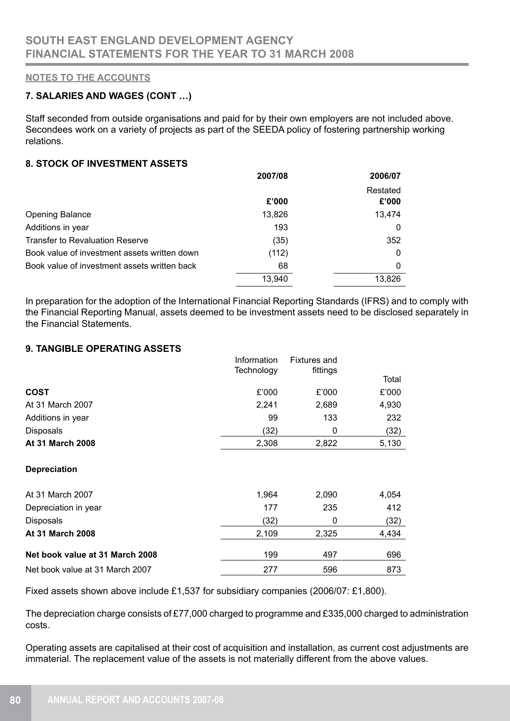## **7. SALARIES AND WAGES (CONT …)**

Staff seconded from outside organisations and paid for by their own employers are not included above. Secondees work on a variety of projects as part of the SEEDA policy of fostering partnership working relations.

## **8. STOCK OF INVESTMENT ASSETS**

|                                              | 2007/08 | 2006/07      |
|----------------------------------------------|---------|--------------|
|                                              |         | Restated     |
|                                              | £'000   | £'000        |
| <b>Opening Balance</b>                       | 13,826  | 13,474       |
| Additions in year                            | 193     | 0            |
| <b>Transfer to Revaluation Reserve</b>       | (35)    | 352          |
| Book value of investment assets written down | (112)   | $\mathbf{0}$ |
| Book value of investment assets written back | 68      | $\mathbf{0}$ |
|                                              | 13,940  | 13,826       |

In preparation for the adoption of the International Financial Reporting Standards (IFRS) and to comply with the Financial Reporting Manual, assets deemed to be investment assets need to be disclosed separately in the Financial Statements.

## **9. TANGIBLE OPERATING ASSETS**

|                   | Information | <b>Fixtures and</b> |       |
|-------------------|-------------|---------------------|-------|
|                   | Technology  | fittings            | Total |
| <b>COST</b>       | £'000       | £'000               | £'000 |
| At 31 March 2007  | 2.241       | 2,689               | 4,930 |
| Additions in year | 99          | 133                 | 232   |
| <b>Disposals</b>  | (32)        | 0                   | (32)  |
| At 31 March 2008  | 2,308       | 2,822               | 5,130 |

#### **Depreciation**

| At 31 March 2007                | 1.964 | 2,090 | 4,054 |
|---------------------------------|-------|-------|-------|
| Depreciation in year            | 177   | 235   | 412   |
| <b>Disposals</b>                | (32)  | 0     | (32)  |
| <b>At 31 March 2008</b>         | 2.109 | 2.325 | 4,434 |
| Net book value at 31 March 2008 | 199   | 497   | 696   |
| Net book value at 31 March 2007 | 277   | 596   | 873   |

Fixed assets shown above include £1,537 for subsidiary companies (2006/07: £1,800).

The depreciation charge consists of £77,000 charged to programme and £335,000 charged to administration costs.

Operating assets are capitalised at their cost of acquisition and installation, as current cost adjustments are immaterial. The replacement value of the assets is not materially different from the above values.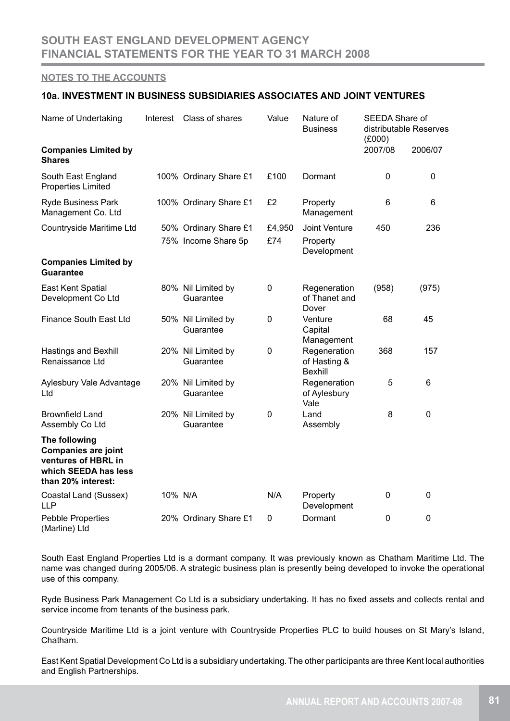#### **10a. INVESTMENT IN BUSINESS SUBSIDIARIES ASSOCIATES AND JOINT VENTURES**

| Name of Undertaking                                                                                              | Interest | Class of shares                              | Value         | Nature of<br><b>Business</b>                   | SEEDA Share of<br>(E000) | distributable Reserves |
|------------------------------------------------------------------------------------------------------------------|----------|----------------------------------------------|---------------|------------------------------------------------|--------------------------|------------------------|
| <b>Companies Limited by</b><br><b>Shares</b>                                                                     |          |                                              |               |                                                | 2007/08                  | 2006/07                |
| South East England<br><b>Properties Limited</b>                                                                  |          | 100% Ordinary Share £1                       | £100          | Dormant                                        | 0                        | 0                      |
| <b>Ryde Business Park</b><br>Management Co. Ltd                                                                  |          | 100% Ordinary Share £1                       | £2            | Property<br>Management                         | 6                        | 6                      |
| Countryside Maritime Ltd                                                                                         |          | 50% Ordinary Share £1<br>75% Income Share 5p | £4,950<br>£74 | Joint Venture<br>Property<br>Development       | 450                      | 236                    |
| <b>Companies Limited by</b><br><b>Guarantee</b>                                                                  |          |                                              |               |                                                |                          |                        |
| East Kent Spatial<br>Development Co Ltd                                                                          |          | 80% Nil Limited by<br>Guarantee              | 0             | Regeneration<br>of Thanet and<br>Dover         | (958)                    | (975)                  |
| Finance South East Ltd                                                                                           |          | 50% Nil Limited by<br>Guarantee              | 0             | Venture<br>Capital<br>Management               | 68                       | 45                     |
| <b>Hastings and Bexhill</b><br>Renaissance Ltd                                                                   |          | 20% Nil Limited by<br>Guarantee              | $\mathbf 0$   | Regeneration<br>of Hasting &<br><b>Bexhill</b> | 368                      | 157                    |
| Aylesbury Vale Advantage<br>Ltd                                                                                  |          | 20% Nil Limited by<br>Guarantee              |               | Regeneration<br>of Aylesbury<br>Vale           | 5                        | 6                      |
| <b>Brownfield Land</b><br>Assembly Co Ltd                                                                        |          | 20% Nil Limited by<br>Guarantee              | 0             | Land<br>Assembly                               | 8                        | 0                      |
| The following<br><b>Companies are joint</b><br>ventures of HBRL in<br>which SEEDA has less<br>than 20% interest: |          |                                              |               |                                                |                          |                        |
| Coastal Land (Sussex)<br><b>LLP</b>                                                                              | 10% N/A  |                                              | N/A           | Property<br>Development                        | 0                        | 0                      |
| <b>Pebble Properties</b><br>(Marline) Ltd                                                                        |          | 20% Ordinary Share £1                        | $\mathbf 0$   | Dormant                                        | $\mathbf 0$              | 0                      |

South East England Properties Ltd is a dormant company. It was previously known as Chatham Maritime Ltd. The name was changed during 2005/06. A strategic business plan is presently being developed to invoke the operational use of this company.

Ryde Business Park Management Co Ltd is a subsidiary undertaking. It has no fixed assets and collects rental and service income from tenants of the business park.

Countryside Maritime Ltd is a joint venture with Countryside Properties PLC to build houses on St Mary's Island, Chatham.

East Kent Spatial Development Co Ltd is a subsidiary undertaking. The other participants are three Kent local authorities and English Partnerships.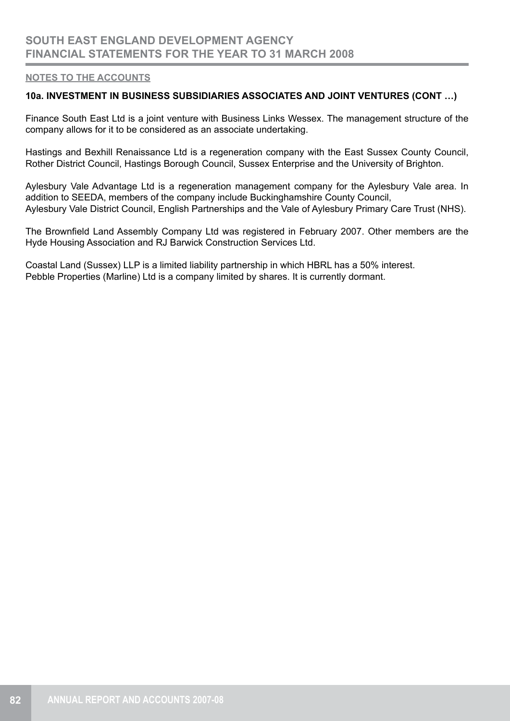### **10a. INVESTMENT IN BUSINESS SUBSIDIARIES ASSOCIATES AND JOINT VENTURES (CONT …)**

Finance South East Ltd is a joint venture with Business Links Wessex. The management structure of the company allows for it to be considered as an associate undertaking.

Hastings and Bexhill Renaissance Ltd is a regeneration company with the East Sussex County Council, Rother District Council, Hastings Borough Council, Sussex Enterprise and the University of Brighton.

Aylesbury Vale Advantage Ltd is a regeneration management company for the Aylesbury Vale area. In addition to SEEDA, members of the company include Buckinghamshire County Council, Aylesbury Vale District Council, English Partnerships and the Vale of Aylesbury Primary Care Trust (NHS).

The Brownfield Land Assembly Company Ltd was registered in February 2007. Other members are the Hyde Housing Association and RJ Barwick Construction Services Ltd.

Coastal Land (Sussex) LLP is a limited liability partnership in which HBRL has a 50% interest. Pebble Properties (Marline) Ltd is a company limited by shares. It is currently dormant.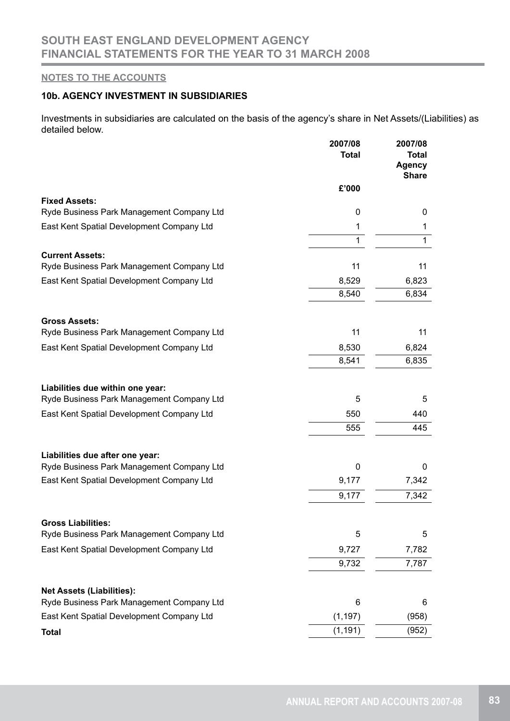## **10b. AGENCY INVESTMENT IN SUBSIDIARIES**

Investments in subsidiaries are calculated on the basis of the agency's share in Net Assets/(Liabilities) as detailed below.

|                                                                     | 2007/08<br><b>Total</b> | 2007/08<br><b>Total</b><br><b>Agency</b><br><b>Share</b> |
|---------------------------------------------------------------------|-------------------------|----------------------------------------------------------|
|                                                                     | £'000                   |                                                          |
| <b>Fixed Assets:</b>                                                |                         |                                                          |
| Ryde Business Park Management Company Ltd                           | 0                       | 0                                                        |
| East Kent Spatial Development Company Ltd                           | 1                       | 1                                                        |
|                                                                     | 1                       | 1                                                        |
| <b>Current Assets:</b><br>Ryde Business Park Management Company Ltd | 11                      | 11                                                       |
| East Kent Spatial Development Company Ltd                           | 8,529                   | 6,823                                                    |
|                                                                     | 8,540                   | 6,834                                                    |
| <b>Gross Assets:</b>                                                |                         |                                                          |
| Ryde Business Park Management Company Ltd                           | 11                      | 11                                                       |
| East Kent Spatial Development Company Ltd                           | 8,530                   | 6,824                                                    |
|                                                                     | 8,541                   | 6,835                                                    |
| Liabilities due within one year:                                    |                         |                                                          |
| Ryde Business Park Management Company Ltd                           | 5                       | 5                                                        |
| East Kent Spatial Development Company Ltd                           | 550                     | 440                                                      |
|                                                                     | 555                     | 445                                                      |
| Liabilities due after one year:                                     |                         |                                                          |
| Ryde Business Park Management Company Ltd                           | 0                       | 0                                                        |
| East Kent Spatial Development Company Ltd                           | 9,177                   | 7,342                                                    |
|                                                                     | 9,177                   | 7,342                                                    |
| <b>Gross Liabilities:</b>                                           |                         |                                                          |
| Ryde Business Park Management Company Ltd                           | 5                       | 5                                                        |
| East Kent Spatial Development Company Ltd                           | 9,727                   | 7,782                                                    |
|                                                                     | 9,732                   | 7,787                                                    |
| <b>Net Assets (Liabilities):</b>                                    |                         |                                                          |
| Ryde Business Park Management Company Ltd                           | 6                       | 6                                                        |
| East Kent Spatial Development Company Ltd                           | (1, 197)                | (958)                                                    |
| <b>Total</b>                                                        | (1, 191)                | (952)                                                    |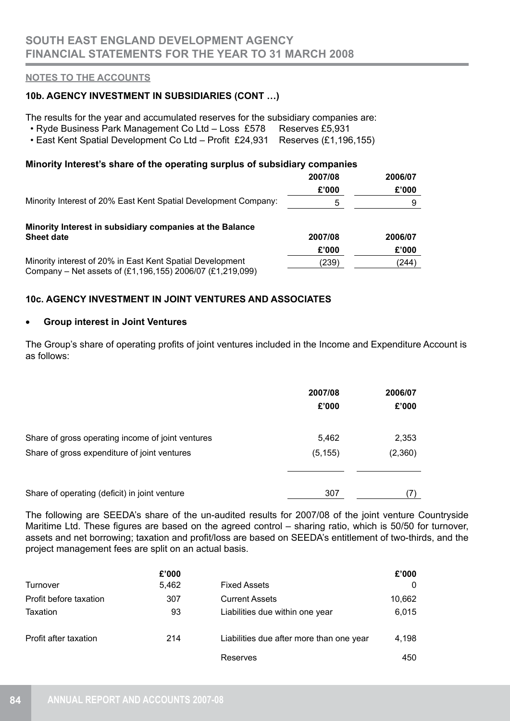## **10b. AGENCY INVESTMENT IN SUBSIDIARIES (CONT …)**

The results for the year and accumulated reserves for the subsidiary companies are:

- Ryde Business Park Management Co Ltd Loss £578 Reserves £5,931
- East Kent Spatial Development Co Ltd Profit £24,931 Reserves (£1,196,155)

## **Minority Interest's share of the operating surplus of subsidiary companies**

|                                                                                                                        | 2007/08 | 2006/07 |
|------------------------------------------------------------------------------------------------------------------------|---------|---------|
|                                                                                                                        | £'000   | £'000   |
| Minority Interest of 20% East Kent Spatial Development Company:                                                        | 5       | 9       |
| Minority Interest in subsidiary companies at the Balance                                                               |         |         |
| <b>Sheet date</b>                                                                                                      | 2007/08 | 2006/07 |
|                                                                                                                        | £'000   | £'000   |
| Minority interest of 20% in East Kent Spatial Development<br>Company – Net assets of (£1,196,155) 2006/07 (£1,219,099) | (239)   | (244)   |

## **10c. AGENCY INVESTMENT IN JOINT VENTURES AND ASSOCIATES**

#### • **Group interest in Joint Ventures**

The Group's share of operating profits of joint ventures included in the Income and Expenditure Account is as follows:

|                                                   | 2007/08<br>£'000 | 2006/07<br>£'000 |
|---------------------------------------------------|------------------|------------------|
| Share of gross operating income of joint ventures | 5,462            | 2,353            |
| Share of gross expenditure of joint ventures      | (5, 155)         | (2,360)          |
|                                                   |                  |                  |
| Share of operating (deficit) in joint venture     | 307              | (7)              |

The following are SEEDA's share of the un-audited results for 2007/08 of the joint venture Countryside Maritime Ltd. These figures are based on the agreed control – sharing ratio, which is 50/50 for turnover, assets and net borrowing; taxation and profit/loss are based on SEEDA's entitlement of two-thirds, and the project management fees are split on an actual basis.

|                        | £'000 |                                          | £'000  |
|------------------------|-------|------------------------------------------|--------|
| Turnover               | 5,462 | <b>Fixed Assets</b>                      | 0      |
| Profit before taxation | 307   | <b>Current Assets</b>                    | 10,662 |
| Taxation               | 93    | Liabilities due within one year          | 6,015  |
| Profit after taxation  | 214   | Liabilities due after more than one year | 4,198  |
|                        |       | Reserves                                 | 450    |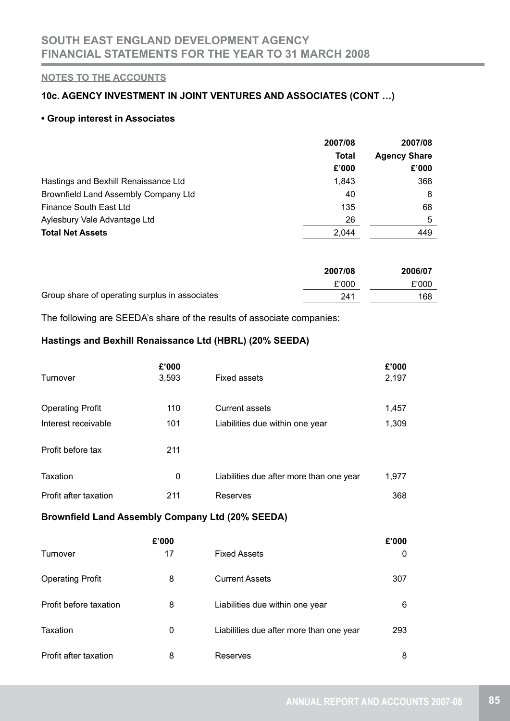## **10c. AGENCY INVESTMENT IN JOINT VENTURES AND ASSOCIATES (CONT …)**

### **• Group interest in Associates**

|                                      | 2007/08      | 2007/08<br><b>Agency Share</b> |  |
|--------------------------------------|--------------|--------------------------------|--|
|                                      | <b>Total</b> |                                |  |
|                                      | £'000        | £'000                          |  |
| Hastings and Bexhill Renaissance Ltd | 1.843        | 368                            |  |
| Brownfield Land Assembly Company Ltd | 40           | 8                              |  |
| Finance South East Ltd               | 135          | 68                             |  |
| Aylesbury Vale Advantage Ltd         | 26           | 5                              |  |
| <b>Total Net Assets</b>              | 2.044        | 449                            |  |

|                                                | 2007/08 | 2006/07 |
|------------------------------------------------|---------|---------|
|                                                | £'000   | £'000   |
| Group share of operating surplus in associates | 241     | 168     |

The following are SEEDA's share of the results of associate companies:

## **Hastings and Bexhill Renaissance Ltd (HBRL) (20% SEEDA)**

|                                                         | £'000 |                                          | £'000 |
|---------------------------------------------------------|-------|------------------------------------------|-------|
| Turnover                                                | 3,593 | <b>Fixed assets</b>                      | 2,197 |
|                                                         |       |                                          |       |
| <b>Operating Profit</b>                                 | 110   | <b>Current assets</b>                    | 1,457 |
| Interest receivable                                     | 101   | Liabilities due within one year          | 1,309 |
|                                                         |       |                                          |       |
| Profit before tax                                       | 211   |                                          |       |
|                                                         |       |                                          |       |
| <b>Taxation</b>                                         | 0     | Liabilities due after more than one year | 1,977 |
| Profit after taxation                                   | 211   | Reserves                                 | 368   |
| <b>Brownfield Land Assembly Company Ltd (20% SEEDA)</b> |       |                                          |       |
|                                                         | £'000 |                                          | £'000 |
| Turnover                                                | 17    | <b>Fixed Assets</b>                      | 0     |
|                                                         |       |                                          |       |
| <b>Operating Profit</b>                                 | 8     | <b>Current Assets</b>                    | 307   |
| Profit before taxation                                  | 8     | Liabilities due within one year          | 6     |

Taxation **120 CONFTAN CONFTANY** CONFTANDITIES due after more than one year 293

Profit after taxation 8 Reserves 8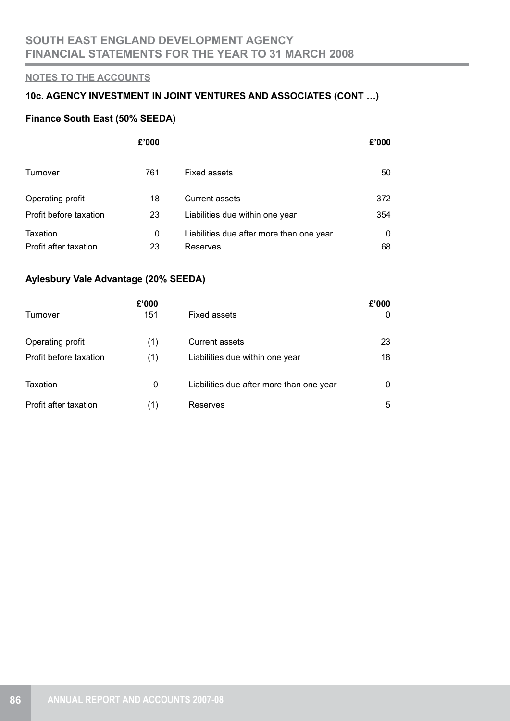# **10c. AGENCY INVESTMENT IN JOINT VENTURES AND ASSOCIATES (CONT …)**

## **Finance South East (50% SEEDA)**

|                        | £'000 |                                          | £'000 |
|------------------------|-------|------------------------------------------|-------|
| Turnover               | 761   | <b>Fixed assets</b>                      | 50    |
| Operating profit       | 18    | <b>Current assets</b>                    | 372   |
| Profit before taxation | 23    | Liabilities due within one year          | 354   |
| Taxation               | 0     | Liabilities due after more than one year | 0     |
| Profit after taxation  | 23    | Reserves                                 | 68    |

## **Aylesbury Vale Advantage (20% SEEDA)**

|                        | £'000 |                                          | £'000 |
|------------------------|-------|------------------------------------------|-------|
| Turnover               | 151   | <b>Fixed assets</b>                      | 0     |
| Operating profit       | (1)   | <b>Current assets</b>                    | 23    |
| Profit before taxation | (1)   | Liabilities due within one year          | 18    |
| Taxation               | 0     | Liabilities due after more than one year | 0     |
| Profit after taxation  | (1)   | Reserves                                 | 5     |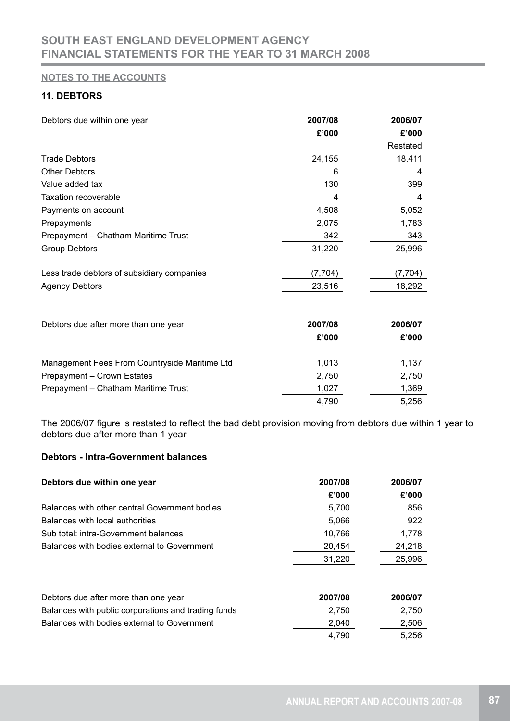# **11. DEBTORS**

| Debtors due within one year                   | 2007/08<br>£'000 | 2006/07<br>£'000<br>Restated |
|-----------------------------------------------|------------------|------------------------------|
| <b>Trade Debtors</b>                          | 24,155           | 18,411                       |
| <b>Other Debtors</b>                          | 6                | 4                            |
| Value added tax                               | 130              | 399                          |
| <b>Taxation recoverable</b>                   | 4                | 4                            |
| Payments on account                           | 4,508            | 5,052                        |
| Prepayments                                   | 2,075            | 1,783                        |
| Prepayment - Chatham Maritime Trust           | 342              | 343                          |
| <b>Group Debtors</b>                          | 31,220           | 25,996                       |
| Less trade debtors of subsidiary companies    | (7, 704)         | (7, 704)                     |
| <b>Agency Debtors</b>                         | 23,516           | 18,292                       |
| Debtors due after more than one year          | 2007/08          | 2006/07                      |
|                                               | £'000            | £'000                        |
| Management Fees From Countryside Maritime Ltd | 1,013            | 1,137                        |
| Prepayment - Crown Estates                    | 2,750            | 2,750                        |
| Prepayment - Chatham Maritime Trust           | 1,027            | 1,369                        |
|                                               | 4,790            | 5,256                        |

The 2006/07 figure is restated to reflect the bad debt provision moving from debtors due within 1 year to debtors due after more than 1 year

## **Debtors - Intra-Government balances**

| Debtors due within one year                         | 2007/08 | 2006/07 |
|-----------------------------------------------------|---------|---------|
|                                                     | £'000   | £'000   |
| Balances with other central Government bodies       | 5,700   | 856     |
| Balances with local authorities                     | 5,066   | 922     |
| Sub total: intra-Government balances                | 10,766  | 1,778   |
| Balances with bodies external to Government         | 20.454  | 24,218  |
|                                                     | 31,220  | 25,996  |
| Debtors due after more than one year                | 2007/08 | 2006/07 |
| Balances with public corporations and trading funds | 2,750   | 2,750   |
| Balances with bodies external to Government         | 2,040   | 2,506   |
|                                                     | 4,790   | 5.256   |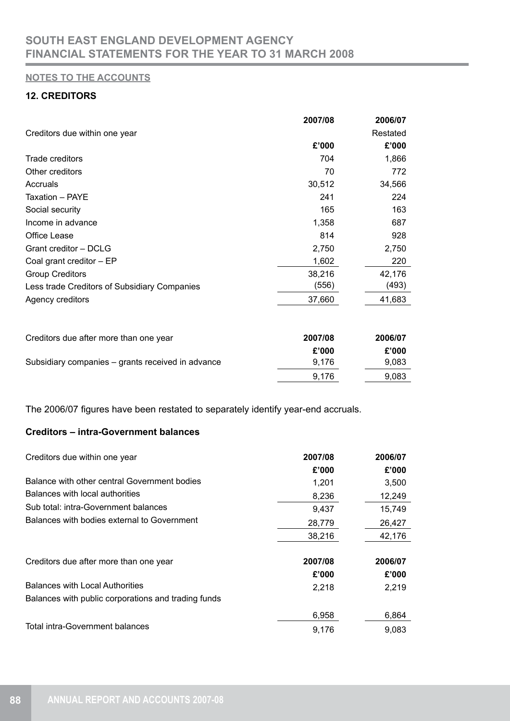# **12. CREDITORS**

|                                              | 2007/08 | 2006/07  |
|----------------------------------------------|---------|----------|
| Creditors due within one year                |         | Restated |
|                                              | £'000   | £'000    |
| Trade creditors                              | 704     | 1,866    |
| Other creditors                              | 70      | 772      |
| Accruals                                     | 30,512  | 34,566   |
| Taxation - PAYE                              | 241     | 224      |
| Social security                              | 165     | 163      |
| Income in advance                            | 1,358   | 687      |
| Office Lease                                 | 814     | 928      |
| Grant creditor - DCLG                        | 2,750   | 2,750    |
| Coal grant creditor - EP                     | 1,602   | 220      |
| <b>Group Creditors</b>                       | 38,216  | 42,176   |
| Less trade Creditors of Subsidiary Companies | (556)   | (493)    |
| Agency creditors                             | 37,660  | 41,683   |

| Creditors due after more than one year            | 2007/08 | 2006/07 |
|---------------------------------------------------|---------|---------|
|                                                   | £'000   | £'000   |
| Subsidiary companies – grants received in advance | 9.176   | 9,083   |
|                                                   | 9.176   | 9,083   |

The 2006/07 figures have been restated to separately identify year-end accruals.

## **Creditors – intra-Government balances**

| Creditors due within one year                       | 2007/08 | 2006/07 |
|-----------------------------------------------------|---------|---------|
|                                                     | £'000   | £'000   |
| Balance with other central Government bodies        | 1,201   | 3,500   |
| Balances with local authorities                     | 8,236   | 12,249  |
| Sub total: intra-Government balances                | 9,437   | 15,749  |
| Balances with bodies external to Government         | 28,779  | 26,427  |
|                                                     | 38,216  | 42,176  |
| Creditors due after more than one year              | 2007/08 | 2006/07 |
|                                                     | £'000   | £'000   |
| <b>Balances with Local Authorities</b>              | 2,218   | 2,219   |
| Balances with public corporations and trading funds |         |         |
|                                                     | 6,958   | 6,864   |
| <b>Total intra-Government balances</b>              | 9,176   | 9.083   |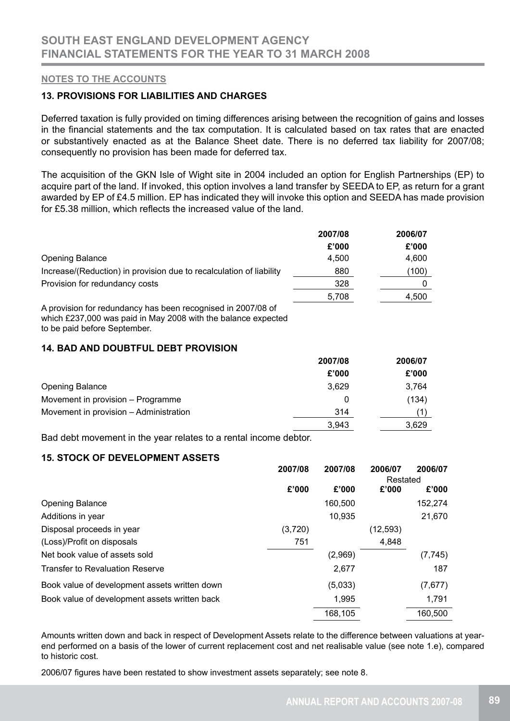### **13. PROVISIONS FOR LIABILITIES AND CHARGES**

Deferred taxation is fully provided on timing differences arising between the recognition of gains and losses in the financial statements and the tax computation. It is calculated based on tax rates that are enacted or substantively enacted as at the Balance Sheet date. There is no deferred tax liability for 2007/08; consequently no provision has been made for deferred tax.

The acquisition of the GKN Isle of Wight site in 2004 included an option for English Partnerships (EP) to acquire part of the land. If invoked, this option involves a land transfer by SEEDA to EP, as return for a grant awarded by EP of £4.5 million. EP has indicated they will invoke this option and SEEDA has made provision for £5.38 million, which reflects the increased value of the land.

|                                                                     | 2007/08 | 2006/07 |  |
|---------------------------------------------------------------------|---------|---------|--|
|                                                                     | £'000   | £'000   |  |
| <b>Opening Balance</b>                                              | 4.500   | 4,600   |  |
| Increase/(Reduction) in provision due to recalculation of liability | 880     | (100)   |  |
| Provision for redundancy costs                                      | 328     |         |  |
|                                                                     | 5,708   | 4,500   |  |
| A provision for redundancy has been recognised in 2007/08 of        |         |         |  |

which £237,000 was paid in May 2008 with the balance expected to be paid before September.

## **14. BAD AND DOUBTFUL DEBT PROVISION**

|                                        | 2007/08 | 2006/07 |  |
|----------------------------------------|---------|---------|--|
|                                        | £'000   | £'000   |  |
| <b>Opening Balance</b>                 | 3,629   | 3,764   |  |
| Movement in provision – Programme      | 0       | (134)   |  |
| Movement in provision - Administration | 314     |         |  |
|                                        | 3.943   | 3,629   |  |

Bad debt movement in the year relates to a rental income debtor.

## **15. STOCK OF DEVELOPMENT ASSETS**

|                                               | 2007/08 | 2007/08 | 2006/07   | 2006/07  |
|-----------------------------------------------|---------|---------|-----------|----------|
|                                               |         |         | Restated  |          |
|                                               | £'000   | £'000   | £'000     | £'000    |
| <b>Opening Balance</b>                        |         | 160,500 |           | 152.274  |
| Additions in year                             |         | 10,935  |           | 21,670   |
| Disposal proceeds in year                     | (3,720) |         | (12, 593) |          |
| (Loss)/Profit on disposals                    | 751     |         | 4,848     |          |
| Net book value of assets sold                 |         | (2,969) |           | (7, 745) |
| <b>Transfer to Revaluation Reserve</b>        |         | 2,677   |           | 187      |
| Book value of development assets written down |         | (5,033) |           | (7,677)  |
| Book value of development assets written back |         | 1.995   |           | 1,791    |
|                                               |         | 168,105 |           | 160,500  |

Amounts written down and back in respect of Development Assets relate to the difference between valuations at yearend performed on a basis of the lower of current replacement cost and net realisable value (see note 1.e), compared to historic cost.

2006/07 figures have been restated to show investment assets separately; see note 8.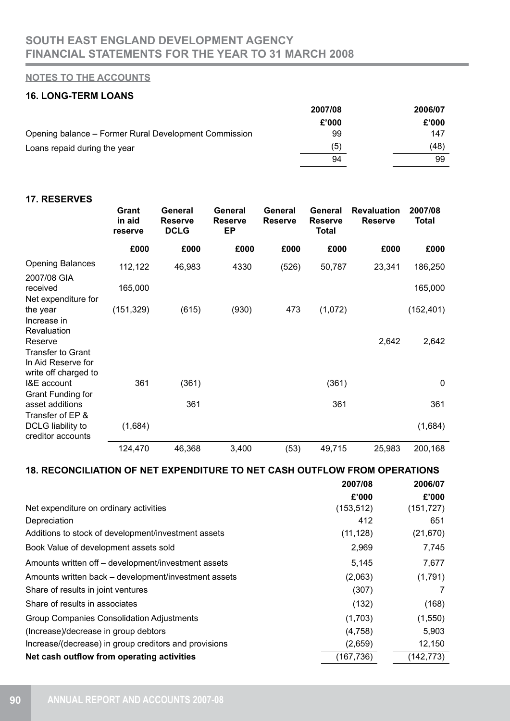# **16. LONG-TERM LOANS**

|                                                       | 2007/08 | 2006/07 |
|-------------------------------------------------------|---------|---------|
|                                                       | £'000   | £'000   |
| Opening balance – Former Rural Development Commission | 99      | 147     |
| Loans repaid during the year                          | (5)     | (48)    |
|                                                       | 94      | 99      |

#### **17. RESERVES**

|                                                                                   | Grant<br>in aid<br>reserve | General<br><b>Reserve</b><br><b>DCLG</b> | General<br><b>Reserve</b><br><b>EP</b> | General<br><b>Reserve</b> | General<br><b>Reserve</b><br><b>Total</b> | <b>Revaluation</b><br><b>Reserve</b> | 2007/08<br><b>Total</b> |
|-----------------------------------------------------------------------------------|----------------------------|------------------------------------------|----------------------------------------|---------------------------|-------------------------------------------|--------------------------------------|-------------------------|
|                                                                                   | £000                       | £000                                     | £000                                   | £000                      | £000                                      | £000                                 | £000                    |
| <b>Opening Balances</b><br>2007/08 GIA                                            | 112,122                    | 46,983                                   | 4330                                   | (526)                     | 50,787                                    | 23,341                               | 186,250                 |
| received<br>Net expenditure for                                                   | 165,000                    |                                          |                                        |                           |                                           |                                      | 165,000                 |
| the year<br>Increase in<br>Revaluation                                            | (151, 329)                 | (615)                                    | (930)                                  | 473                       | (1,072)                                   |                                      | (152, 401)              |
| Reserve<br><b>Transfer to Grant</b><br>In Aid Reserve for<br>write off charged to |                            |                                          |                                        |                           |                                           | 2,642                                | 2,642                   |
| I&E account<br><b>Grant Funding for</b>                                           | 361                        | (361)                                    |                                        |                           | (361)                                     |                                      | $\mathbf{0}$            |
| asset additions<br>Transfer of EP &                                               |                            | 361                                      |                                        |                           | 361                                       |                                      | 361                     |
| DCLG liability to<br>creditor accounts                                            | (1,684)                    |                                          |                                        |                           |                                           |                                      | (1,684)                 |
|                                                                                   | 124,470                    | 46,368                                   | 3,400                                  | (53)                      | 49,715                                    | 25,983                               | 200,168                 |

## **18. RECONCILIATION OF NET EXPENDITURE TO NET CASH OUTFLOW FROM OPERATIONS**

| 2007/08    | 2006/07    |
|------------|------------|
| £'000      | £'000      |
| (153, 512) | (151, 727) |
| 412        | 651        |
| (11, 128)  | (21, 670)  |
| 2,969      | 7,745      |
| 5,145      | 7,677      |
| (2,063)    | (1,791)    |
| (307)      | 7          |
| (132)      | (168)      |
| (1,703)    | (1,550)    |
| (4,758)    | 5,903      |
| (2,659)    | 12,150     |
| (167, 736) | (142, 773) |
|            |            |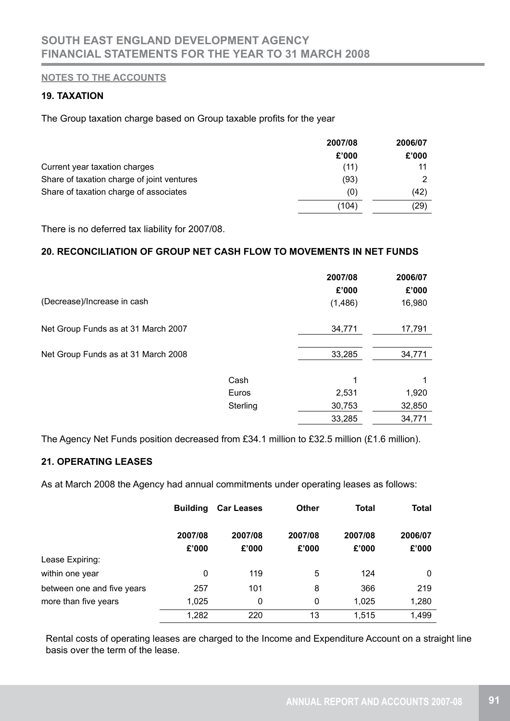## **19. TAXATION**

The Group taxation charge based on Group taxable profits for the year

|                                            | 2007/08 | 2006/07 |  |
|--------------------------------------------|---------|---------|--|
|                                            | £'000   | £'000   |  |
| Current year taxation charges              | (11)    |         |  |
| Share of taxation charge of joint ventures | (93)    | 2       |  |
| Share of taxation charge of associates     | (0)     | (42)    |  |
|                                            | (104)   | (29)    |  |

There is no deferred tax liability for 2007/08.

## **20. RECONCILIATION OF GROUP NET CASH FLOW TO MOVEMENTS IN NET FUNDS**

|                                     |          | 2007/08<br>£'000 | 2006/07<br>£'000 |
|-------------------------------------|----------|------------------|------------------|
| (Decrease)/Increase in cash         |          | (1,486)          | 16,980           |
| Net Group Funds as at 31 March 2007 |          | 34,771           | 17,791           |
| Net Group Funds as at 31 March 2008 |          | 33,285           | 34,771           |
|                                     | Cash     | 1                | 1                |
|                                     | Euros    | 2,531            | 1,920            |
|                                     | Sterling | 30,753           | 32,850           |
|                                     |          | 33,285           | 34,771           |

The Agency Net Funds position decreased from £34.1 million to £32.5 million (£1.6 million).

## **21. OPERATING LEASES**

As at March 2008 the Agency had annual commitments under operating leases as follows:

|                            | <b>Building</b>  | <b>Car Leases</b> | <b>Other</b>     | Total            | <b>Total</b>     |
|----------------------------|------------------|-------------------|------------------|------------------|------------------|
|                            | 2007/08<br>£'000 | 2007/08<br>£'000  | 2007/08<br>£'000 | 2007/08<br>£'000 | 2006/07<br>£'000 |
| Lease Expiring:            |                  |                   |                  |                  |                  |
| within one year            | $\mathbf 0$      | 119               | 5                | 124              | 0                |
| between one and five years | 257              | 101               | 8                | 366              | 219              |
| more than five years       | 1,025            | 0                 | 0                | 1,025            | 1,280            |
|                            | 1,282            | 220               | 13               | 1,515            | 1,499            |

Rental costs of operating leases are charged to the Income and Expenditure Account on a straight line basis over the term of the lease.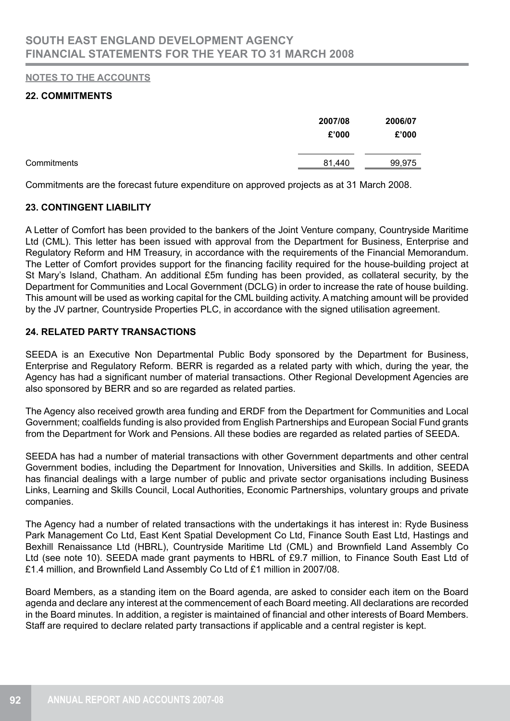## **22. COMMITMENTS**

|             | 2007/08<br>£'000 | 2006/07<br>£'000 |
|-------------|------------------|------------------|
| Commitments | 81,440           | 99,975           |

Commitments are the forecast future expenditure on approved projects as at 31 March 2008.

## **23. CONTINGENT LIABILITY**

A Letter of Comfort has been provided to the bankers of the Joint Venture company, Countryside Maritime Ltd (CML). This letter has been issued with approval from the Department for Business, Enterprise and Regulatory Reform and HM Treasury, in accordance with the requirements of the Financial Memorandum. The Letter of Comfort provides support for the financing facility required for the house-building project at St Mary's Island, Chatham. An additional £5m funding has been provided, as collateral security, by the Department for Communities and Local Government (DCLG) in order to increase the rate of house building. This amount will be used as working capital for the CML building activity. A matching amount will be provided by the JV partner, Countryside Properties PLC, in accordance with the signed utilisation agreement.

## **24. RELATED PARTY TRANSACTIONS**

SEEDA is an Executive Non Departmental Public Body sponsored by the Department for Business, Enterprise and Regulatory Reform. BERR is regarded as a related party with which, during the year, the Agency has had a significant number of material transactions. Other Regional Development Agencies are also sponsored by BERR and so are regarded as related parties.

The Agency also received growth area funding and ERDF from the Department for Communities and Local Government; coalfields funding is also provided from English Partnerships and European Social Fund grants from the Department for Work and Pensions. All these bodies are regarded as related parties of SEEDA.

SEEDA has had a number of material transactions with other Government departments and other central Government bodies, including the Department for Innovation, Universities and Skills. In addition, SEEDA has financial dealings with a large number of public and private sector organisations including Business Links, Learning and Skills Council, Local Authorities, Economic Partnerships, voluntary groups and private companies.

The Agency had a number of related transactions with the undertakings it has interest in: Ryde Business Park Management Co Ltd, East Kent Spatial Development Co Ltd, Finance South East Ltd, Hastings and Bexhill Renaissance Ltd (HBRL), Countryside Maritime Ltd (CML) and Brownfield Land Assembly Co Ltd (see note 10). SEEDA made grant payments to HBRL of £9.7 million, to Finance South East Ltd of £1.4 million, and Brownfield Land Assembly Co Ltd of £1 million in 2007/08.

Board Members, as a standing item on the Board agenda, are asked to consider each item on the Board agenda and declare any interest at the commencement of each Board meeting. All declarations are recorded in the Board minutes. In addition, a register is maintained of financial and other interests of Board Members. Staff are required to declare related party transactions if applicable and a central register is kept.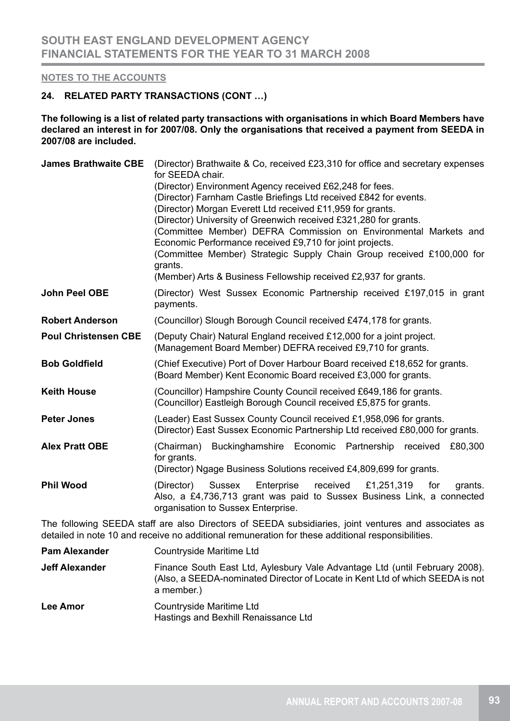### **24. RELATED PARTY TRANSACTIONS (CONT …)**

**The following is a list of related party transactions with organisations in which Board Members have declared an interest in for 2007/08. Only the organisations that received a payment from SEEDA in 2007/08 are included.**

| <b>James Brathwaite CBE</b>                                                                                                                                                                               | (Director) Brathwaite & Co, received £23,310 for office and secretary expenses<br>for SEEDA chair.<br>(Director) Environment Agency received £62,248 for fees.<br>(Director) Farnham Castle Briefings Ltd received £842 for events.<br>(Director) Morgan Everett Ltd received £11,959 for grants.<br>(Director) University of Greenwich received £321,280 for grants.<br>(Committee Member) DEFRA Commission on Environmental Markets and<br>Economic Performance received £9,710 for joint projects.<br>(Committee Member) Strategic Supply Chain Group received £100,000 for<br>grants.<br>(Member) Arts & Business Fellowship received £2,937 for grants. |  |  |  |
|-----------------------------------------------------------------------------------------------------------------------------------------------------------------------------------------------------------|--------------------------------------------------------------------------------------------------------------------------------------------------------------------------------------------------------------------------------------------------------------------------------------------------------------------------------------------------------------------------------------------------------------------------------------------------------------------------------------------------------------------------------------------------------------------------------------------------------------------------------------------------------------|--|--|--|
| <b>John Peel OBE</b>                                                                                                                                                                                      | (Director) West Sussex Economic Partnership received £197,015 in grant<br>payments.                                                                                                                                                                                                                                                                                                                                                                                                                                                                                                                                                                          |  |  |  |
| <b>Robert Anderson</b>                                                                                                                                                                                    | (Councillor) Slough Borough Council received £474,178 for grants.                                                                                                                                                                                                                                                                                                                                                                                                                                                                                                                                                                                            |  |  |  |
| <b>Poul Christensen CBE</b>                                                                                                                                                                               | (Deputy Chair) Natural England received £12,000 for a joint project.<br>(Management Board Member) DEFRA received £9,710 for grants.                                                                                                                                                                                                                                                                                                                                                                                                                                                                                                                          |  |  |  |
| <b>Bob Goldfield</b>                                                                                                                                                                                      | (Chief Executive) Port of Dover Harbour Board received £18,652 for grants.<br>(Board Member) Kent Economic Board received £3,000 for grants.                                                                                                                                                                                                                                                                                                                                                                                                                                                                                                                 |  |  |  |
| <b>Keith House</b>                                                                                                                                                                                        | (Councillor) Hampshire County Council received £649,186 for grants.<br>(Councillor) Eastleigh Borough Council received £5,875 for grants.                                                                                                                                                                                                                                                                                                                                                                                                                                                                                                                    |  |  |  |
| <b>Peter Jones</b>                                                                                                                                                                                        | (Leader) East Sussex County Council received £1,958,096 for grants.<br>(Director) East Sussex Economic Partnership Ltd received £80,000 for grants.                                                                                                                                                                                                                                                                                                                                                                                                                                                                                                          |  |  |  |
| <b>Alex Pratt OBE</b>                                                                                                                                                                                     | Buckinghamshire Economic Partnership received<br>(Chairman)<br>£80,300<br>for grants.<br>(Director) Ngage Business Solutions received £4,809,699 for grants.                                                                                                                                                                                                                                                                                                                                                                                                                                                                                                 |  |  |  |
| <b>Phil Wood</b>                                                                                                                                                                                          | Enterprise<br>received<br>£1,251,319<br>(Director)<br>Sussex<br>for<br>grants.<br>Also, a £4,736,713 grant was paid to Sussex Business Link, a connected<br>organisation to Sussex Enterprise.                                                                                                                                                                                                                                                                                                                                                                                                                                                               |  |  |  |
| The following SEEDA staff are also Directors of SEEDA subsidiaries, joint ventures and associates as<br>detailed in note 10 and receive no additional remuneration for these additional responsibilities. |                                                                                                                                                                                                                                                                                                                                                                                                                                                                                                                                                                                                                                                              |  |  |  |
| <b>Pam Alexander</b>                                                                                                                                                                                      | Countryside Maritime Ltd                                                                                                                                                                                                                                                                                                                                                                                                                                                                                                                                                                                                                                     |  |  |  |
| <b>Jeff Alexander</b>                                                                                                                                                                                     | Finance South East Ltd, Aylesbury Vale Advantage Ltd (until February 2008).                                                                                                                                                                                                                                                                                                                                                                                                                                                                                                                                                                                  |  |  |  |

(Also, a SEEDA-nominated Director of Locate in Kent Ltd of which SEEDA is not

Lee Amor<br>
Countryside Maritime Ltd Hastings and Bexhill Renaissance Ltd

a member.)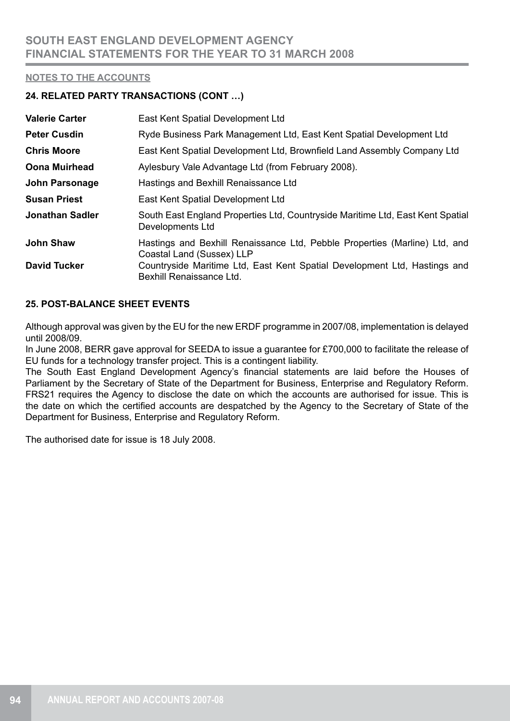## **24. RELATED PARTY TRANSACTIONS (CONT …)**

| <b>Valerie Carter</b> | East Kent Spatial Development Ltd                                                                       |
|-----------------------|---------------------------------------------------------------------------------------------------------|
| <b>Peter Cusdin</b>   | Ryde Business Park Management Ltd, East Kent Spatial Development Ltd                                    |
| <b>Chris Moore</b>    | East Kent Spatial Development Ltd, Brownfield Land Assembly Company Ltd                                 |
| <b>Oona Muirhead</b>  | Aylesbury Vale Advantage Ltd (from February 2008).                                                      |
| John Parsonage        | Hastings and Bexhill Renaissance Ltd                                                                    |
| <b>Susan Priest</b>   | East Kent Spatial Development Ltd                                                                       |
| Jonathan Sadler       | South East England Properties Ltd, Countryside Maritime Ltd, East Kent Spatial<br>Developments Ltd      |
| <b>John Shaw</b>      | Hastings and Bexhill Renaissance Ltd, Pebble Properties (Marline) Ltd, and<br>Coastal Land (Sussex) LLP |
| <b>David Tucker</b>   | Countryside Maritime Ltd, East Kent Spatial Development Ltd, Hastings and<br>Bexhill Renaissance Ltd.   |

## **25. POST-BALANCE SHEET EVENTS**

Although approval was given by the EU for the new ERDF programme in 2007/08, implementation is delayed until 2008/09.

In June 2008, BERR gave approval for SEEDA to issue a guarantee for £700,000 to facilitate the release of EU funds for a technology transfer project. This is a contingent liability.

The South East England Development Agency's financial statements are laid before the Houses of Parliament by the Secretary of State of the Department for Business, Enterprise and Regulatory Reform. FRS21 requires the Agency to disclose the date on which the accounts are authorised for issue. This is the date on which the certified accounts are despatched by the Agency to the Secretary of State of the Department for Business, Enterprise and Regulatory Reform.

The authorised date for issue is 18 July 2008.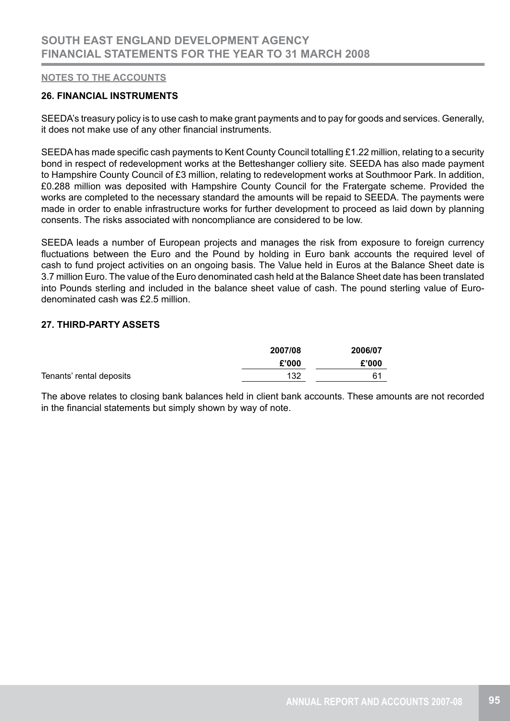### **26. FINANCIAL INSTRUMENTS**

SEEDA's treasury policy is to use cash to make grant payments and to pay for goods and services. Generally, it does not make use of any other financial instruments.

SEEDA has made specific cash payments to Kent County Council totalling £1.22 million, relating to a security bond in respect of redevelopment works at the Betteshanger colliery site. SEEDA has also made payment to Hampshire County Council of £3 million, relating to redevelopment works at Southmoor Park. In addition, £0.288 million was deposited with Hampshire County Council for the Fratergate scheme. Provided the works are completed to the necessary standard the amounts will be repaid to SEEDA. The payments were made in order to enable infrastructure works for further development to proceed as laid down by planning consents. The risks associated with noncompliance are considered to be low.

SEEDA leads a number of European projects and manages the risk from exposure to foreign currency fluctuations between the Euro and the Pound by holding in Euro bank accounts the required level of cash to fund project activities on an ongoing basis. The Value held in Euros at the Balance Sheet date is 3.7 million Euro. The value of the Euro denominated cash held at the Balance Sheet date has been translated into Pounds sterling and included in the balance sheet value of cash. The pound sterling value of Eurodenominated cash was £2.5 million.

## **27. THIRD-PARTY ASSETS**

|                          | 2007/08 | 2006/07 |
|--------------------------|---------|---------|
|                          | £'000   | £'000   |
| Tenants' rental deposits | 132     | 61      |

The above relates to closing bank balances held in client bank accounts. These amounts are not recorded in the financial statements but simply shown by way of note.